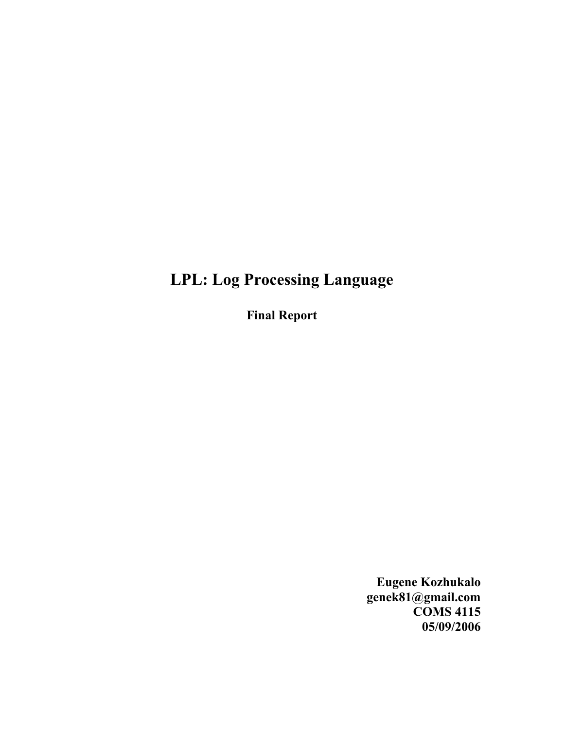# **LPL: Log Processing Language**

**Final Report**

**Eugene Kozhukalo genek81@gmail.com COMS 4115 05/09/2006**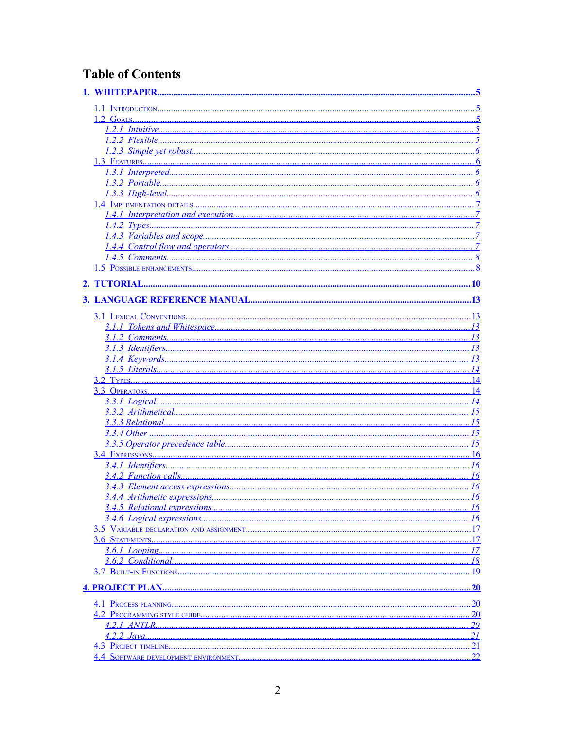# **Table of Contents**

<span id="page-1-50"></span><span id="page-1-49"></span><span id="page-1-48"></span><span id="page-1-47"></span><span id="page-1-46"></span><span id="page-1-45"></span><span id="page-1-44"></span><span id="page-1-43"></span><span id="page-1-42"></span><span id="page-1-41"></span><span id="page-1-40"></span><span id="page-1-39"></span><span id="page-1-38"></span><span id="page-1-37"></span><span id="page-1-36"></span><span id="page-1-35"></span><span id="page-1-34"></span><span id="page-1-33"></span><span id="page-1-32"></span><span id="page-1-31"></span><span id="page-1-30"></span><span id="page-1-29"></span><span id="page-1-28"></span><span id="page-1-27"></span><span id="page-1-26"></span><span id="page-1-25"></span><span id="page-1-24"></span><span id="page-1-23"></span><span id="page-1-22"></span><span id="page-1-21"></span><span id="page-1-20"></span><span id="page-1-19"></span><span id="page-1-18"></span><span id="page-1-17"></span><span id="page-1-16"></span><span id="page-1-15"></span><span id="page-1-14"></span><span id="page-1-13"></span><span id="page-1-12"></span><span id="page-1-11"></span><span id="page-1-10"></span><span id="page-1-9"></span><span id="page-1-8"></span><span id="page-1-7"></span><span id="page-1-6"></span><span id="page-1-5"></span><span id="page-1-4"></span><span id="page-1-3"></span><span id="page-1-2"></span><span id="page-1-1"></span><span id="page-1-0"></span>

| 1.1 INTRODUCTION                 |                 |
|----------------------------------|-----------------|
|                                  |                 |
|                                  |                 |
|                                  |                 |
|                                  |                 |
|                                  | 6               |
|                                  | 6               |
|                                  |                 |
|                                  |                 |
|                                  |                 |
|                                  |                 |
|                                  |                 |
|                                  |                 |
|                                  |                 |
|                                  |                 |
|                                  |                 |
|                                  | . 10            |
|                                  |                 |
|                                  |                 |
|                                  |                 |
|                                  |                 |
|                                  |                 |
|                                  |                 |
|                                  |                 |
|                                  |                 |
|                                  |                 |
|                                  | 14              |
|                                  | 14              |
|                                  | 15              |
|                                  | 15              |
|                                  | 15              |
| 3.3.5 Operator precedence table. | 15              |
|                                  | 16              |
|                                  | 16              |
|                                  | 16              |
|                                  | 16              |
|                                  | 16              |
|                                  | <u>16</u>       |
|                                  | $\ldots$ 16     |
|                                  | 17              |
|                                  | $\dots$ 17      |
| 3.6.1 Looping.                   | 17              |
|                                  | 19              |
|                                  |                 |
|                                  |                 |
|                                  | .20             |
|                                  | 20              |
|                                  | $\overline{20}$ |
|                                  | 21              |
|                                  | <u>21</u>       |
|                                  |                 |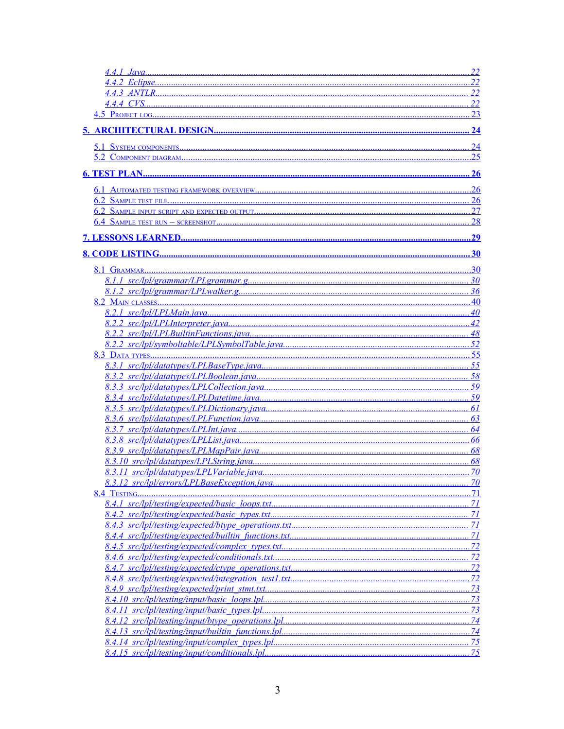<span id="page-2-51"></span><span id="page-2-50"></span><span id="page-2-49"></span><span id="page-2-48"></span><span id="page-2-47"></span><span id="page-2-46"></span><span id="page-2-45"></span><span id="page-2-44"></span><span id="page-2-43"></span><span id="page-2-42"></span><span id="page-2-41"></span><span id="page-2-40"></span><span id="page-2-39"></span><span id="page-2-38"></span><span id="page-2-37"></span><span id="page-2-36"></span><span id="page-2-35"></span><span id="page-2-34"></span><span id="page-2-33"></span><span id="page-2-32"></span><span id="page-2-31"></span><span id="page-2-30"></span><span id="page-2-29"></span><span id="page-2-28"></span><span id="page-2-27"></span><span id="page-2-26"></span><span id="page-2-25"></span><span id="page-2-24"></span><span id="page-2-23"></span><span id="page-2-22"></span><span id="page-2-21"></span><span id="page-2-20"></span><span id="page-2-19"></span><span id="page-2-18"></span><span id="page-2-17"></span><span id="page-2-16"></span><span id="page-2-15"></span><span id="page-2-14"></span><span id="page-2-13"></span><span id="page-2-12"></span><span id="page-2-11"></span><span id="page-2-10"></span><span id="page-2-9"></span><span id="page-2-8"></span><span id="page-2-7"></span><span id="page-2-6"></span><span id="page-2-5"></span><span id="page-2-4"></span><span id="page-2-3"></span><span id="page-2-2"></span><span id="page-2-1"></span><span id="page-2-0"></span>

|              | 22              |
|--------------|-----------------|
|              | 22              |
|              |                 |
|              | 23              |
|              |                 |
|              | $\overline{24}$ |
|              | 25              |
|              |                 |
|              | .26             |
|              | 26              |
|              |                 |
|              | 28              |
|              |                 |
|              | .30             |
| 8.1 GRAMMAR. | .30             |
|              |                 |
|              |                 |
|              |                 |
|              |                 |
|              | 42              |
|              | 48              |
|              | 52              |
|              |                 |
|              | 58              |
|              |                 |
|              |                 |
|              |                 |
|              |                 |
|              |                 |
|              |                 |
|              | 68              |
|              |                 |
|              |                 |
|              | 70              |
|              | 71              |
|              | 71              |
|              | 71              |
|              | 71              |
|              |                 |
|              | 72              |
|              |                 |
|              |                 |
|              |                 |
|              |                 |
|              | 73              |
|              |                 |
|              |                 |
|              | 75              |
|              | 75              |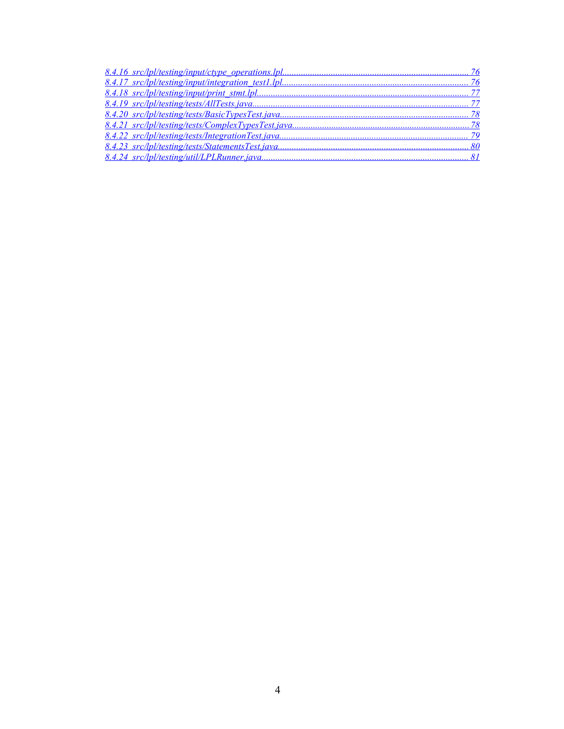<span id="page-3-8"></span><span id="page-3-7"></span><span id="page-3-6"></span><span id="page-3-5"></span><span id="page-3-4"></span><span id="page-3-3"></span><span id="page-3-2"></span><span id="page-3-1"></span><span id="page-3-0"></span>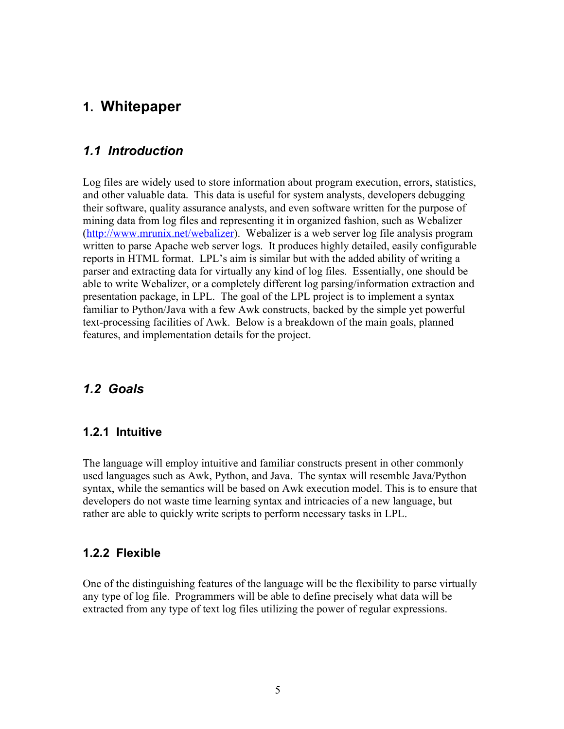# **1. Whitepaper**

### *1.1 Introduction*

Log files are widely used to store information about program execution, errors, statistics, and other valuable data. This data is useful for system analysts, developers debugging their software, quality assurance analysts, and even software written for the purpose of mining data from log files and representing it in organized fashion, such as Webalizer (<http://www.mrunix.net/webalizer>). Webalizer is a web server log file analysis program written to parse Apache web server logs. It produces highly detailed, easily configurable reports in HTML format. LPL's aim is similar but with the added ability of writing a parser and extracting data for virtually any kind of log files. Essentially, one should be able to write Webalizer, or a completely different log parsing/information extraction and presentation package, in LPL. The goal of the LPL project is to implement a syntax familiar to Python/Java with a few Awk constructs, backed by the simple yet powerful text-processing facilities of Awk. Below is a breakdown of the main goals, planned features, and implementation details for the project.

#### *1.2 Goals*

#### **1.2.1 Intuitive**

The language will employ intuitive and familiar constructs present in other commonly used languages such as Awk, Python, and Java. The syntax will resemble Java/Python syntax, while the semantics will be based on Awk execution model. This is to ensure that developers do not waste time learning syntax and intricacies of a new language, but rather are able to quickly write scripts to perform necessary tasks in LPL.

#### **1.2.2 Flexible**

One of the distinguishing features of the language will be the flexibility to parse virtually any type of log file. Programmers will be able to define precisely what data will be extracted from any type of text log files utilizing the power of regular expressions.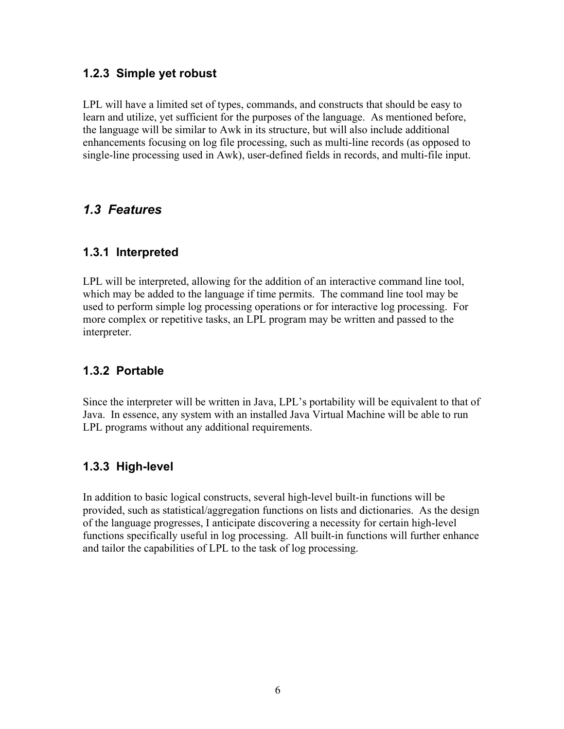#### **1.2.3 Simple yet robust**

LPL will have a limited set of types, commands, and constructs that should be easy to learn and utilize, yet sufficient for the purposes of the language. As mentioned before, the language will be similar to Awk in its structure, but will also include additional enhancements focusing on log file processing, such as multi-line records (as opposed to single-line processing used in Awk), user-defined fields in records, and multi-file input.

## *1.3 Features*

#### **1.3.1 Interpreted**

LPL will be interpreted, allowing for the addition of an interactive command line tool, which may be added to the language if time permits. The command line tool may be used to perform simple log processing operations or for interactive log processing. For more complex or repetitive tasks, an LPL program may be written and passed to the interpreter.

## **1.3.2 Portable**

Since the interpreter will be written in Java, LPL's portability will be equivalent to that of Java. In essence, any system with an installed Java Virtual Machine will be able to run LPL programs without any additional requirements.

## **1.3.3 High-level**

In addition to basic logical constructs, several high-level built-in functions will be provided, such as statistical/aggregation functions on lists and dictionaries. As the design of the language progresses, I anticipate discovering a necessity for certain high-level functions specifically useful in log processing. All built-in functions will further enhance and tailor the capabilities of LPL to the task of log processing.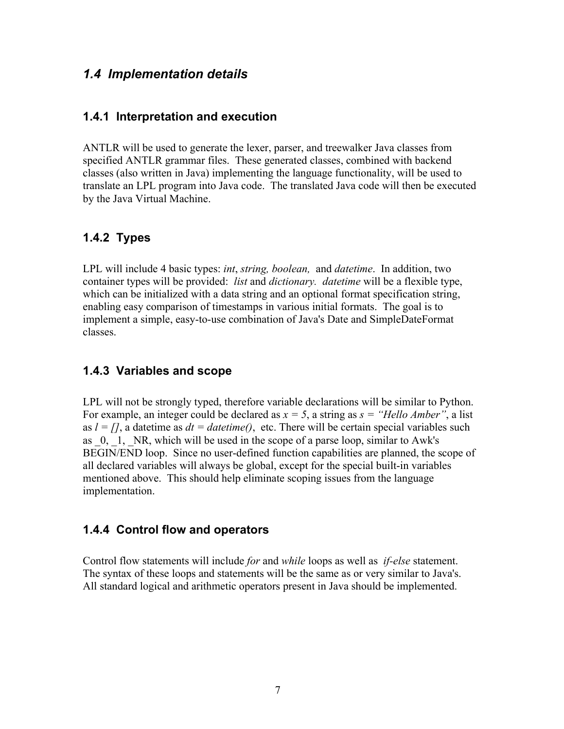#### *1.4 Implementation details*

#### **1.4.1 Interpretation and execution**

ANTLR will be used to generate the lexer, parser, and treewalker Java classes from specified ANTLR grammar files. These generated classes, combined with backend classes (also written in Java) implementing the language functionality, will be used to translate an LPL program into Java code. The translated Java code will then be executed by the Java Virtual Machine.

#### **1.4.2 Types**

LPL will include 4 basic types: *int*, *string, boolean,* and *datetime*. In addition, two container types will be provided: *list* and *dictionary. datetime* will be a flexible type, which can be initialized with a data string and an optional format specification string, enabling easy comparison of timestamps in various initial formats. The goal is to implement a simple, easy-to-use combination of Java's Date and SimpleDateFormat classes.

#### **1.4.3 Variables and scope**

LPL will not be strongly typed, therefore variable declarations will be similar to Python. For example, an integer could be declared as  $x = 5$ , a string as  $s =$  "Hello Amber", a list as  $l = \iint_l$ , a datetime as  $dt = datetime$ , etc. There will be certain special variables such as  $0$ , 1, NR, which will be used in the scope of a parse loop, similar to Awk's BEGIN/END loop. Since no user-defined function capabilities are planned, the scope of all declared variables will always be global, except for the special built-in variables mentioned above. This should help eliminate scoping issues from the language implementation.

#### **1.4.4 Control flow and operators**

Control flow statements will include *for* and *while* loops as well as *if-else* statement. The syntax of these loops and statements will be the same as or very similar to Java's. All standard logical and arithmetic operators present in Java should be implemented.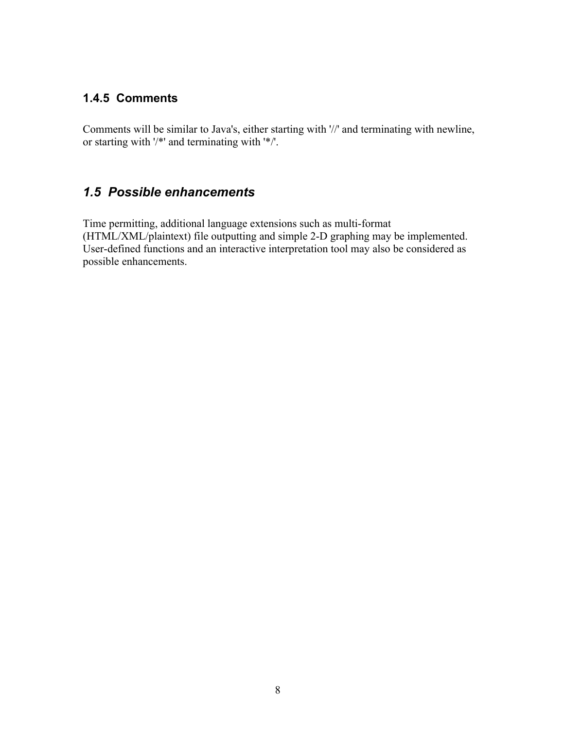#### **1.4.5 Comments**

Comments will be similar to Java's, either starting with '//' and terminating with newline, or starting with '/\*' and terminating with '\*/'.

## *1.5 Possible enhancements*

Time permitting, additional language extensions such as multi-format (HTML/XML/plaintext) file outputting and simple 2-D graphing may be implemented. User-defined functions and an interactive interpretation tool may also be considered as possible enhancements.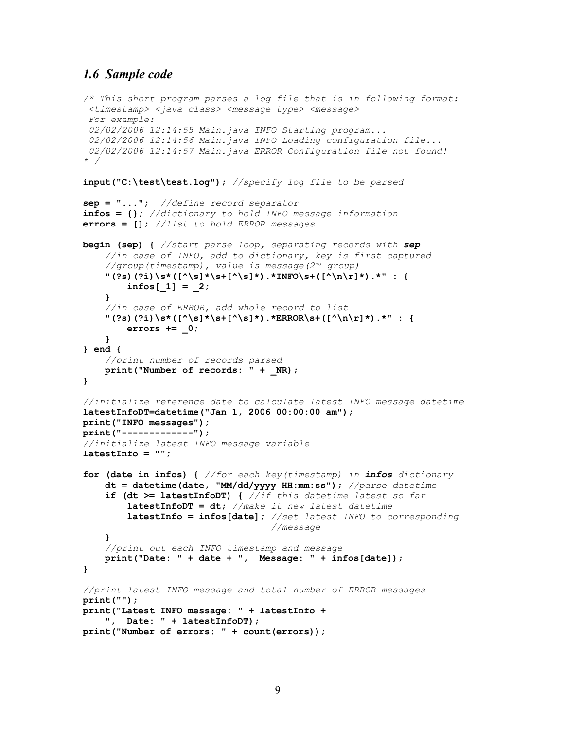#### *1.6 Sample code*

```
/* This short program parses a log file that is in following format:
  <timestamp> <java class> <message type> <message>
  For example:
  02/02/2006 12:14:55 Main.java INFO Starting program...
  02/02/2006 12:14:56 Main.java INFO Loading configuration file...
  02/02/2006 12:14:57 Main.java ERROR Configuration file not found!
* /
input("C:\test\test.log"); //specify log file to be parsed
sep = "..."; //define record separator
infos = {}; //dictionary to hold INFO message information
errors = []; //list to hold ERROR messages
begin (sep) { //start parse loop, separating records with sep
     //in case of INFO, add to dictionary, key is first captured
     //group(timestamp), value is message(2nd group)
    "(?s)(?i)\s*([^\s]*\s+[^\s]*).*INFO\s+([^\n\r]*).*" : {
         infos[_1] = _2;
     }
     //in case of ERROR, add whole record to list
    \binom{n}{r} (?s)(?i)\s*([^\s]*\s+[^\s]*).*ERROR\s+([^\n\r]*).*" : {
         errors += _0;
     }
} end {
     //print number of records parsed
     print("Number of records: " + _NR);
}
//initialize reference date to calculate latest INFO message datetime
latestInfoDT=datetime("Jan 1, 2006 00:00:00 am");
print("INFO messages");
print("-------------");
//initialize latest INFO message variable
latestInfo = "";
for (date in infos) { //for each key(timestamp) in infos dictionary
     dt = datetime(date, "MM/dd/yyyy HH:mm:ss"); //parse datetime
     if (dt >= latestInfoDT) { //if this datetime latest so far
         latestInfoDT = dt; //make it new latest datetime
         latestInfo = infos[date]; //set latest INFO to corresponding
                                    //message
 }
     //print out each INFO timestamp and message
     print("Date: " + date + ", Message: " + infos[date]);
}
//print latest INFO message and total number of ERROR messages
print("");
print("Latest INFO message: " + latestInfo + 
     ", Date: " + latestInfoDT);
print("Number of errors: " + count(errors));
```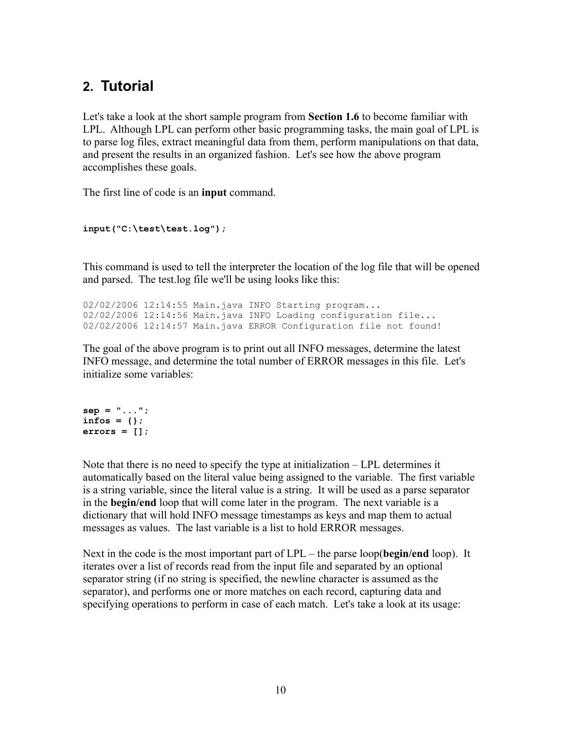# **2. Tutorial**

Let's take a look at the short sample program from **Section 1.6** to become familiar with LPL. Although LPL can perform other basic programming tasks, the main goal of LPL is to parse log files, extract meaningful data from them, perform manipulations on that data, and present the results in an organized fashion. Let's see how the above program accomplishes these goals.

The first line of code is an **input** command.

```
input("C:\test\test.log");
```
This command is used to tell the interpreter the location of the log file that will be opened and parsed. The test.log file we'll be using looks like this:

```
02/02/2006 12:14:55 Main.java INFO Starting program...
02/02/2006 12:14:56 Main.java INFO Loading configuration file...
02/02/2006 12:14:57 Main.java ERROR Configuration file not found!
```
The goal of the above program is to print out all INFO messages, determine the latest INFO message, and determine the total number of ERROR messages in this file. Let's initialize some variables:

```
sep = "...";
infos = {};
errors = [];
```
Note that there is no need to specify the type at initialization – LPL determines it automatically based on the literal value being assigned to the variable. The first variable is a string variable, since the literal value is a string. It will be used as a parse separator in the **begin/end** loop that will come later in the program. The next variable is a dictionary that will hold INFO message timestamps as keys and map them to actual messages as values. The last variable is a list to hold ERROR messages.

Next in the code is the most important part of LPL – the parse loop(**begin/end** loop). It iterates over a list of records read from the input file and separated by an optional separator string (if no string is specified, the newline character is assumed as the separator), and performs one or more matches on each record, capturing data and specifying operations to perform in case of each match. Let's take a look at its usage: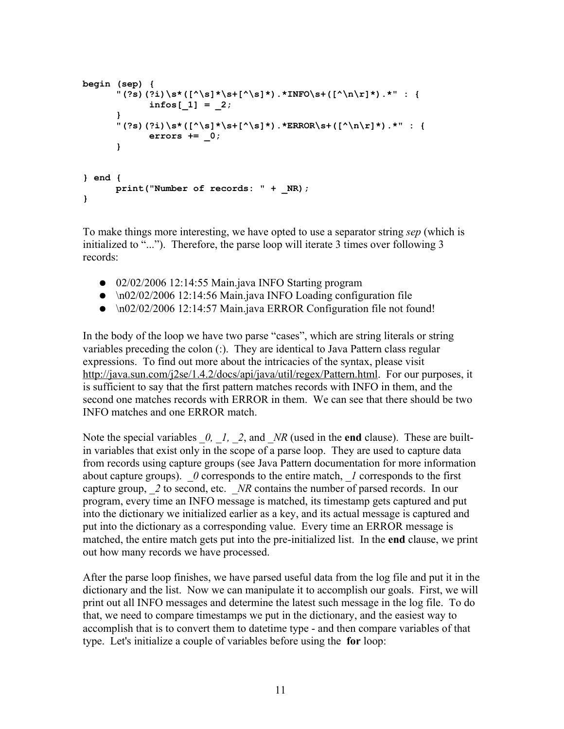```
begin (sep) {
      "(?s)(?i)\s*([^\s]*\s+[^\s]*).*INFO\s+([^\n\r]*).*" : {
            infos[_1] = _2;
      }
      "(?s)(?i)\s*([^\s]*\s+[^\s]*).*ERROR\s+([^\n\r]*).*" : {
            errors += _0;
      }
} end {
      print("Number of records: " + _NR);
}
```
To make things more interesting, we have opted to use a separator string *sep* (which is initialized to "..."). Therefore, the parse loop will iterate 3 times over following 3 records:

- 02/02/2006 12:14:55 Main.java INFO Starting program
- $\bullet$  \n02/02/2006 12:14:56 Main.java INFO Loading configuration file
- \n02/02/2006 12:14:57 Main.java ERROR Configuration file not found!

In the body of the loop we have two parse "cases", which are string literals or string variables preceding the colon (:). They are identical to Java Pattern class regular expressions. To find out more about the intricacies of the syntax, please visit <http://java.sun.com/j2se/1.4.2/docs/api/java/util/regex/Pattern.html>. For our purposes, it is sufficient to say that the first pattern matches records with INFO in them, and the second one matches records with ERROR in them. We can see that there should be two INFO matches and one ERROR match.

Note the special variables  $\theta$ ,  $I$ ,  $\theta$ , and  $NR$  (used in the **end** clause). These are builtin variables that exist only in the scope of a parse loop. They are used to capture data from records using capture groups (see Java Pattern documentation for more information about capture groups).  $\theta$  corresponds to the entire match,  $\theta$  corresponds to the first capture group, 2 to second, etc. *NR* contains the number of parsed records. In our program, every time an INFO message is matched, its timestamp gets captured and put into the dictionary we initialized earlier as a key, and its actual message is captured and put into the dictionary as a corresponding value. Every time an ERROR message is matched, the entire match gets put into the pre-initialized list. In the **end** clause, we print out how many records we have processed.

After the parse loop finishes, we have parsed useful data from the log file and put it in the dictionary and the list. Now we can manipulate it to accomplish our goals. First, we will print out all INFO messages and determine the latest such message in the log file. To do that, we need to compare timestamps we put in the dictionary, and the easiest way to accomplish that is to convert them to datetime type - and then compare variables of that type. Let's initialize a couple of variables before using the **for** loop: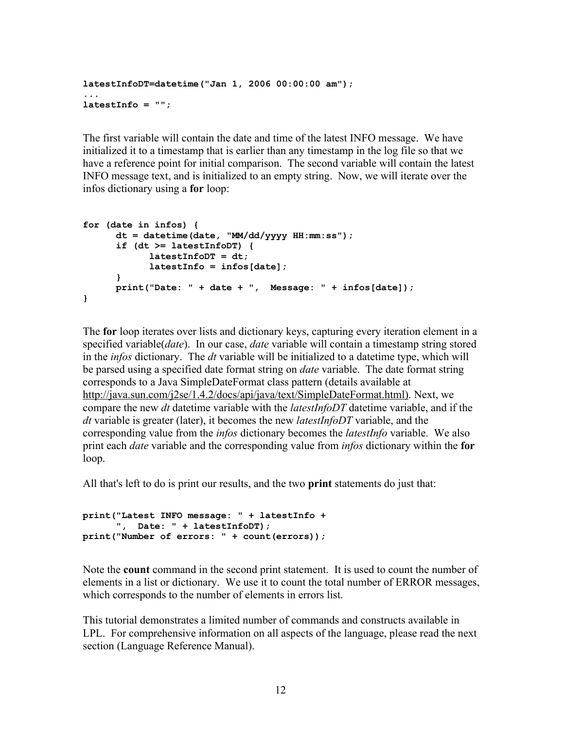```
latestInfoDT=datetime("Jan 1, 2006 00:00:00 am");
...
latestInfo = "";
```
The first variable will contain the date and time of the latest INFO message. We have initialized it to a timestamp that is earlier than any timestamp in the log file so that we have a reference point for initial comparison. The second variable will contain the latest INFO message text, and is initialized to an empty string. Now, we will iterate over the infos dictionary using a **for** loop:

```
for (date in infos) {
     dt = datetime(date, "MM/dd/yyyy HH:mm:ss");
     if (dt >= latestInfoDT) {
            latestInfoDT = dt;
            latestInfo = infos[date];
      }
     print("Date: " + date + ", Message: " + infos[date]);
}
```
The **for** loop iterates over lists and dictionary keys, capturing every iteration element in a specified variable(*date*). In our case, *date* variable will contain a timestamp string stored in the *infos* dictionary. The *dt* variable will be initialized to a datetime type, which will be parsed using a specified date format string on *date* variable. The date format string corresponds to a Java SimpleDateFormat class pattern (details available at [http://java.sun.com/j2se/1.4.2/docs/api/java/text/SimpleDateFormat.html\).](http://java.sun.com/j2se/1.4.2/docs/api/java/text/SimpleDateFormat.html) Next, we compare the new *dt* datetime variable with the *latestInfoDT* datetime variable, and if the *dt* variable is greater (later), it becomes the new *latestInfoDT* variable, and the corresponding value from the *infos* dictionary becomes the *latestInfo* variable. We also print each *date* variable and the corresponding value from *infos* dictionary within the **for** loop.

All that's left to do is print our results, and the two **print** statements do just that:

```
print("Latest INFO message: " + latestInfo + 
      ", Date: " + latestInfoDT);
print("Number of errors: " + count(errors));
```
Note the **count** command in the second print statement. It is used to count the number of elements in a list or dictionary. We use it to count the total number of ERROR messages, which corresponds to the number of elements in errors list.

This tutorial demonstrates a limited number of commands and constructs available in LPL. For comprehensive information on all aspects of the language, please read the next section (Language Reference Manual).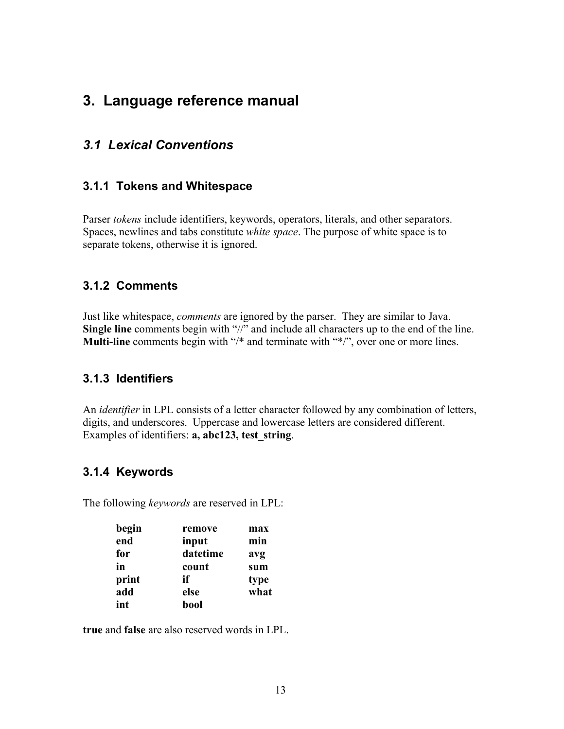# **3. Language reference manual**

## *3.1 Lexical Conventions*

#### **3.1.1 Tokens and Whitespace**

Parser *tokens* include identifiers, keywords, operators, literals, and other separators. Spaces, newlines and tabs constitute *white space*. The purpose of white space is to separate tokens, otherwise it is ignored.

#### **3.1.2 Comments**

Just like whitespace, *comments* are ignored by the parser. They are similar to Java. **Single line** comments begin with "//" and include all characters up to the end of the line. **Multi-line** comments begin with "/\* and terminate with "\*/", over one or more lines.

#### **3.1.3 Identifiers**

An *identifier* in LPL consists of a letter character followed by any combination of letters, digits, and underscores. Uppercase and lowercase letters are considered different. Examples of identifiers: **a, abc123, test\_string**.

#### **3.1.4 Keywords**

The following *keywords* are reserved in LPL:

| begin | remove   | max  |
|-------|----------|------|
| end   | input    | min  |
| for   | datetime | avg  |
| in    | count    | sum  |
| print | if       | type |
| add   | else     | what |
| int   | bool     |      |

**true** and **false** are also reserved words in LPL.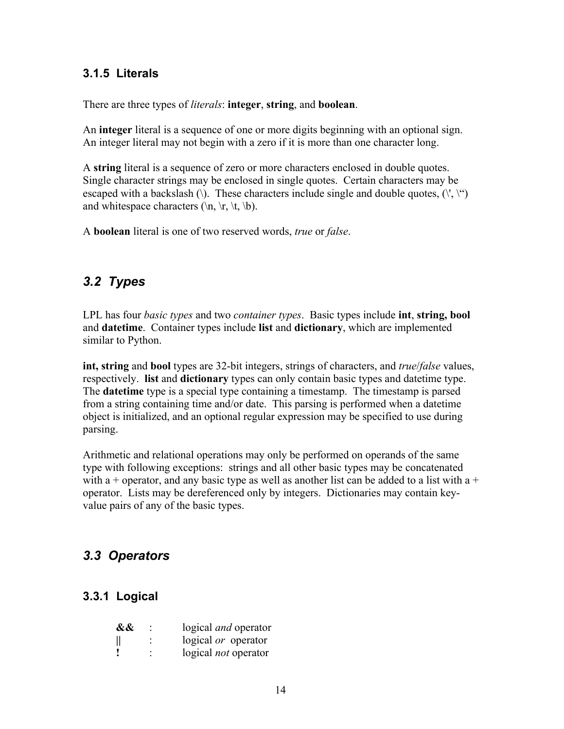#### **3.1.5 Literals**

There are three types of *literals*: **integer**, **string**, and **boolean**.

An **integer** literal is a sequence of one or more digits beginning with an optional sign. An integer literal may not begin with a zero if it is more than one character long.

A **string** literal is a sequence of zero or more characters enclosed in double quotes. Single character strings may be enclosed in single quotes. Certain characters may be escaped with a backslash (\). These characters include single and double quotes,  $(\langle \cdot, \cdot \rangle^{\alpha})$ and whitespace characters ( $\ln$ ,  $\trfore$ ,  $\trfore$ ,  $\th$ ).

A **boolean** literal is one of two reserved words, *true* or *false*.

## *3.2 Types*

LPL has four *basic types* and two *container types*. Basic types include **int**, **string, bool** and **datetime**. Container types include **list** and **dictionary**, which are implemented similar to Python.

**int, string** and **bool** types are 32-bit integers, strings of characters, and *true*/*false* values, respectively. **list** and **dictionary** types can only contain basic types and datetime type. The **datetime** type is a special type containing a timestamp. The timestamp is parsed from a string containing time and/or date. This parsing is performed when a datetime object is initialized, and an optional regular expression may be specified to use during parsing.

Arithmetic and relational operations may only be performed on operands of the same type with following exceptions: strings and all other basic types may be concatenated with a + operator, and any basic type as well as another list can be added to a list with a + operator. Lists may be dereferenced only by integers. Dictionaries may contain keyvalue pairs of any of the basic types.

## *3.3 Operators*

#### **3.3.1 Logical**

| && | logical <i>and</i> operator |
|----|-----------------------------|
| II | logical or operator         |
|    | logical <i>not</i> operator |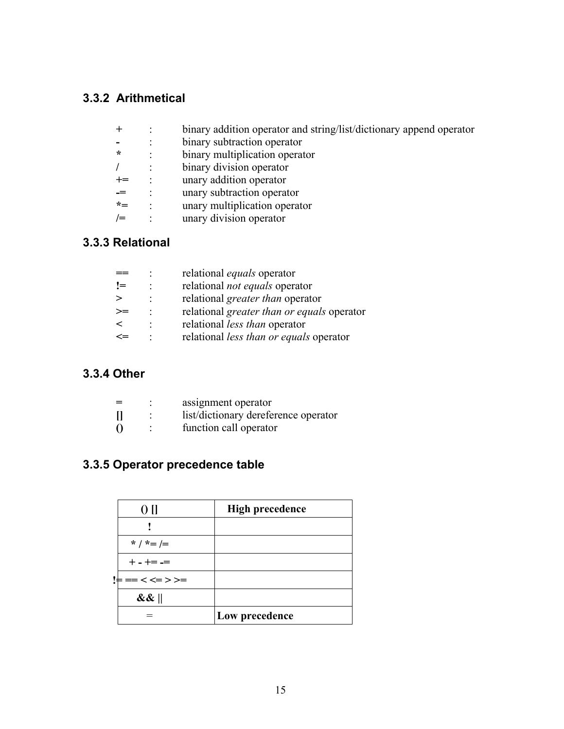## **3.3.2 Arithmetical**

| $^{+}$   | binary addition operator and string/list/dictionary append operator |
|----------|---------------------------------------------------------------------|
|          | binary subtraction operator                                         |
| $\star$  | binary multiplication operator                                      |
|          | binary division operator                                            |
| $+=$     | unary addition operator                                             |
|          | unary subtraction operator                                          |
| $\star-$ | unary multiplication operator                                       |
| $/ =$    | unary division operator                                             |

## **3.3.3 Relational**

|      | relational <i>equals</i> operator          |
|------|--------------------------------------------|
| $!=$ | relational <i>not equals</i> operator      |
|      | relational <i>greater than</i> operator    |
| >≕   | relational greater than or equals operator |
| ←    | relational <i>less than</i> operator       |
|      | relational less than or equals operator    |

## **3.3.4 Other**

| $=$      | assignment operator                  |
|----------|--------------------------------------|
|          | list/dictionary dereference operator |
| $\Omega$ | function call operator               |

# **3.3.5 Operator precedence table**

| 0 <sub>II</sub> | <b>High precedence</b> |
|-----------------|------------------------|
|                 |                        |
| * / *= /=       |                        |
| $+ - + = -$     |                        |
| !⊨ == < <= > >= |                        |
| $\&\&\ $        |                        |
|                 | Low precedence         |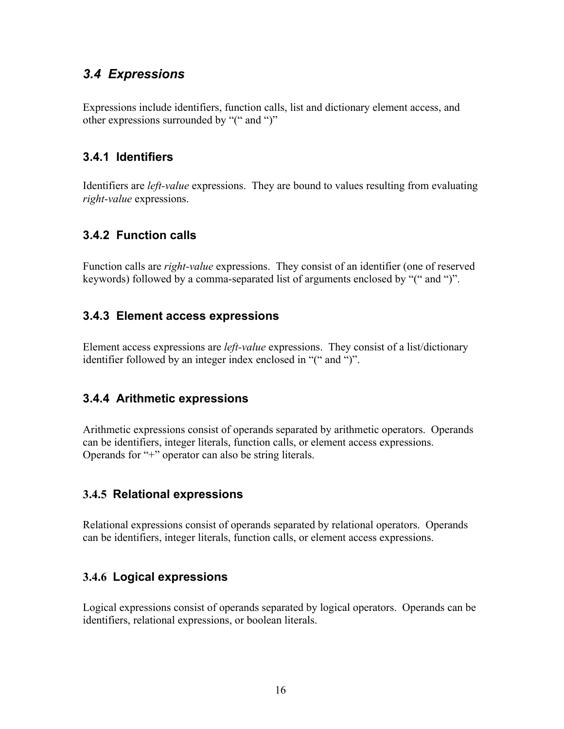## *3.4 Expressions*

Expressions include identifiers, function calls, list and dictionary element access, and other expressions surrounded by "(" and ")"

#### **3.4.1 Identifiers**

Identifiers are *left-value* expressions. They are bound to values resulting from evaluating *right-value* expressions.

#### **3.4.2 Function calls**

Function calls are *right-value* expressions. They consist of an identifier (one of reserved keywords) followed by a comma-separated list of arguments enclosed by "(" and ")".

#### **3.4.3 Element access expressions**

Element access expressions are *left-value* expressions. They consist of a list/dictionary identifier followed by an integer index enclosed in "(" and ")".

#### **3.4.4 Arithmetic expressions**

Arithmetic expressions consist of operands separated by arithmetic operators. Operands can be identifiers, integer literals, function calls, or element access expressions. Operands for "+" operator can also be string literals.

#### **3.4.5 Relational expressions**

Relational expressions consist of operands separated by relational operators. Operands can be identifiers, integer literals, function calls, or element access expressions.

#### **3.4.6 Logical expressions**

Logical expressions consist of operands separated by logical operators. Operands can be identifiers, relational expressions, or boolean literals.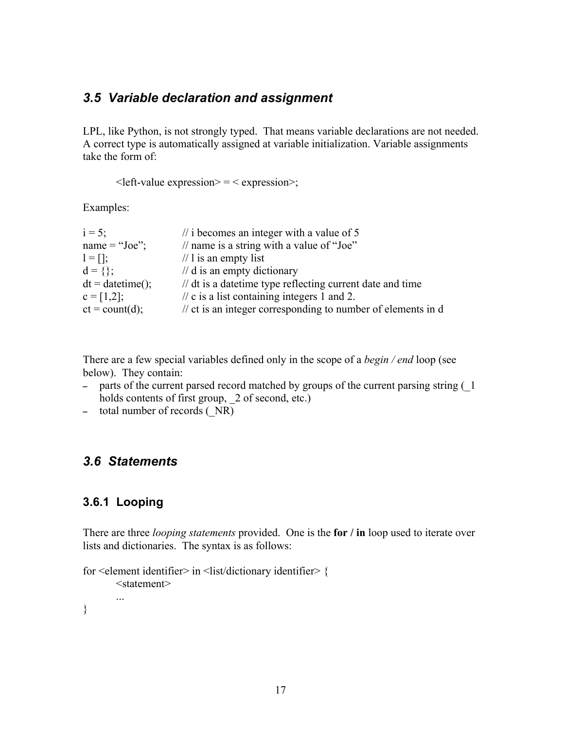### *3.5 Variable declaration and assignment*

LPL, like Python, is not strongly typed. That means variable declarations are not needed. A correct type is automatically assigned at variable initialization. Variable assignments take the form of:

 $\leq$  left-value expression $\geq$  =  $\leq$  expression $\geq$ ;

Examples:

| $\frac{1}{1}$ i becomes an integer with a value of 5                    |
|-------------------------------------------------------------------------|
| // name is a string with a value of "Joe"                               |
| $\frac{1}{1}$ is an empty list                                          |
| $\frac{1}{d}$ d is an empty dictionary                                  |
| // dt is a date time type reflecting current date and time              |
| $\frac{1}{2}$ c is a list containing integers 1 and 2.                  |
| $\frac{1}{x}$ ct is an integer corresponding to number of elements in d |
|                                                                         |

There are a few special variables defined only in the scope of a *begin / end* loop (see below). They contain:

- parts of the current parsed record matched by groups of the current parsing string ( $\overline{1}$ ) holds contents of first group, 2 of second, etc.)
- total number of records ( $NR$ )

#### *3.6 Statements*

#### **3.6.1 Looping**

There are three *looping statements* provided. One is the **for / in** loop used to iterate over lists and dictionaries. The syntax is as follows:

```
for <element identifier> in <list/dictionary identifier> {
       <statement>
       ...
```
}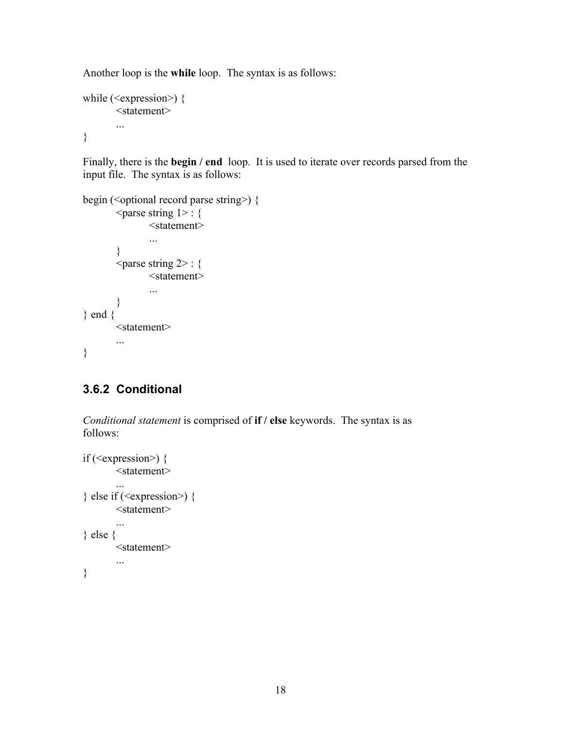Another loop is the **while** loop. The syntax is as follows:

```
while (\leqexpression\geq) {
        <statement>
        ...
}
```
Finally, there is the **begin / end** loop. It is used to iterate over records parsed from the input file. The syntax is as follows:

```
begin (<optional record parse string>) {
         \langle parse string 1> : {
                 <statement>
                 ...
         }
        \epsilon <parse string 2> : {
                 <statement>
                 ...
         }
} end {
         <statement>
         ...
}
```
## **3.6.2 Conditional**

*Conditional statement* is comprised of **if / else** keywords. The syntax is as follows:

```
if (\leqexpression\geq) {
        <statement>
        ...
\} else if (<expression>) {
        <statement>
        ...
} else {
        <statement>
        ...
}
```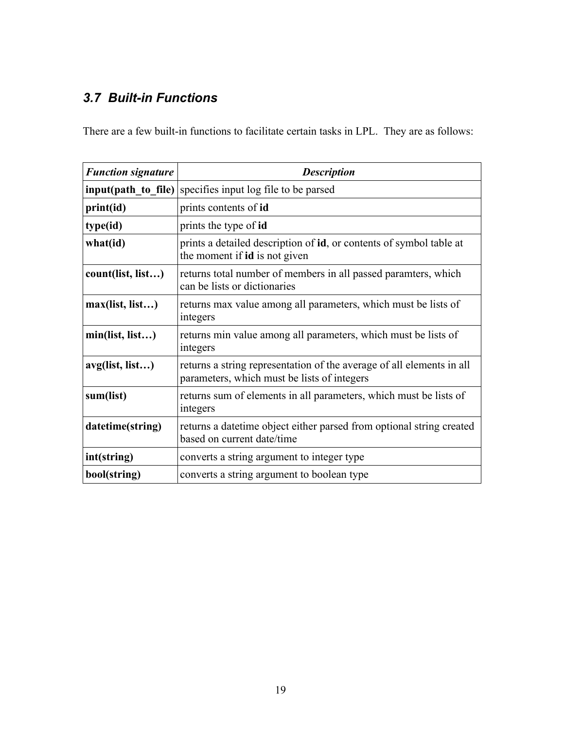# *3.7 Built-in Functions*

There are a few built-in functions to facilitate certain tasks in LPL. They are as follows:

| <b>Function signature</b> | <b>Description</b>                                                                                                   |
|---------------------------|----------------------------------------------------------------------------------------------------------------------|
|                           | <b>input(path to file)</b> specifies input log file to be parsed                                                     |
| print(id)                 | prints contents of id                                                                                                |
| type(id)                  | prints the type of id                                                                                                |
| what(id)                  | prints a detailed description of id, or contents of symbol table at<br>the moment if <b>id</b> is not given          |
| count(list, list)         | returns total number of members in all passed paramters, which<br>can be lists or dictionaries                       |
| max(list, list)           | returns max value among all parameters, which must be lists of<br>integers                                           |
| min(list, list)           | returns min value among all parameters, which must be lists of<br>integers                                           |
| avg(list, list)           | returns a string representation of the average of all elements in all<br>parameters, which must be lists of integers |
| sum(list)                 | returns sum of elements in all parameters, which must be lists of<br>integers                                        |
| datetime(string)          | returns a date time object either parsed from optional string created<br>based on current date/time                  |
| int(string)               | converts a string argument to integer type                                                                           |
| bool(string)              | converts a string argument to boolean type                                                                           |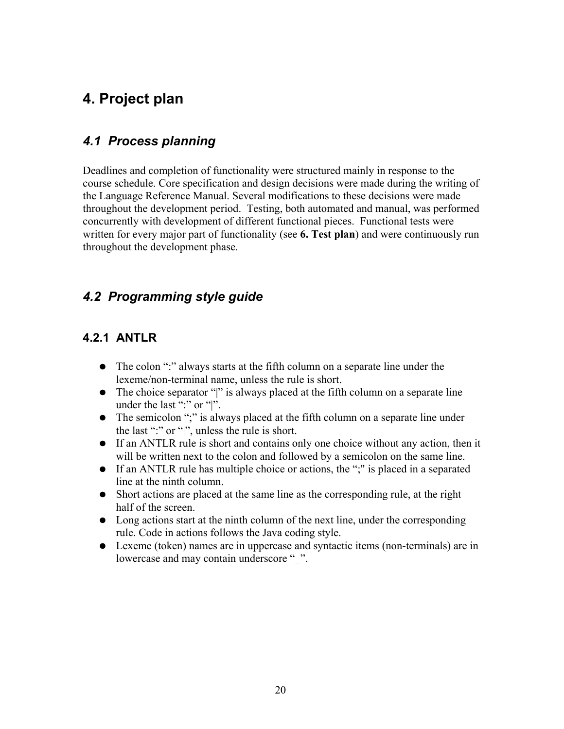# **4. Project plan**

## *4.1 Process planning*

Deadlines and completion of functionality were structured mainly in response to the course schedule. Core specification and design decisions were made during the writing of the Language Reference Manual. Several modifications to these decisions were made throughout the development period. Testing, both automated and manual, was performed concurrently with development of different functional pieces. Functional tests were written for every major part of functionality (see **6. Test plan**) and were continuously run throughout the development phase.

## *4.2 Programming style guide*

## **4.2.1 ANTLR**

- The colon ":" always starts at the fifth column on a separate line under the lexeme/non-terminal name, unless the rule is short.
- The choice separator "|" is always placed at the fifth column on a separate line under the last ":" or "|".
- The semicolon ";" is always placed at the fifth column on a separate line under the last ":" or "|", unless the rule is short.
- If an ANTLR rule is short and contains only one choice without any action, then it will be written next to the colon and followed by a semicolon on the same line.
- If an ANTLR rule has multiple choice or actions, the ";" is placed in a separated line at the ninth column.
- Short actions are placed at the same line as the corresponding rule, at the right half of the screen.
- Long actions start at the ninth column of the next line, under the corresponding rule. Code in actions follows the Java coding style.
- Lexeme (token) names are in uppercase and syntactic items (non-terminals) are in lowercase and may contain underscore "...".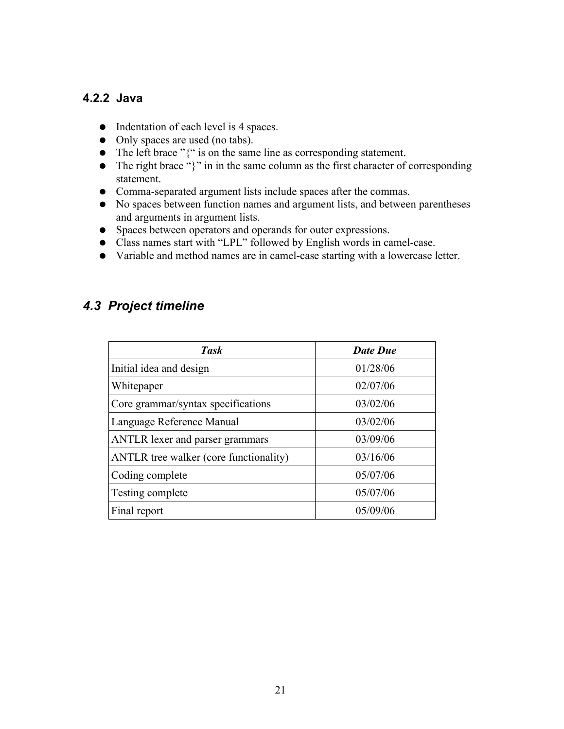#### **4.2.2 Java**

- Indentation of each level is 4 spaces.
- Only spaces are used (no tabs).
- The left brace "{" is on the same line as corresponding statement.
- $\bullet$  The right brace "}" in in the same column as the first character of corresponding statement.
- Comma-separated argument lists include spaces after the commas.
- No spaces between function names and argument lists, and between parentheses and arguments in argument lists.
- Spaces between operators and operands for outer expressions.
- Class names start with "LPL" followed by English words in camel-case.
- Variable and method names are in camel-case starting with a lowercase letter.

## *4.3 Project timeline*

| <b>Task</b>                            | <b>Date Due</b> |
|----------------------------------------|-----------------|
| Initial idea and design                | 01/28/06        |
| Whitepaper                             | 02/07/06        |
| Core grammar/syntax specifications     | 03/02/06        |
| Language Reference Manual              | 03/02/06        |
| <b>ANTLR</b> lexer and parser grammars | 03/09/06        |
| ANTLR tree walker (core functionality) | 03/16/06        |
| Coding complete                        | 05/07/06        |
| Testing complete                       | 05/07/06        |
| Final report                           | 05/09/06        |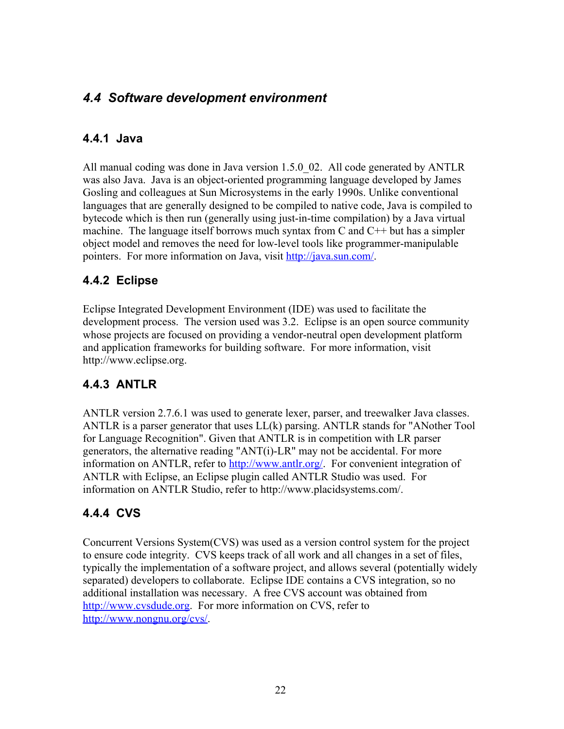## *4.4 Software development environment*

#### **4.4.1 Java**

All manual coding was done in Java version 1.5.0\_02. All code generated by ANTLR was also Java. Java is an object-oriented programming language developed by James Gosling and colleagues at Sun Microsystems in the early 1990s. Unlike conventional languages that are generally designed to be compiled to native code, Java is compiled to bytecode which is then run (generally using just-in-time compilation) by a Java virtual machine. The language itself borrows much syntax from C and  $C^{++}$  but has a simpler object model and removes the need for low-level tools like programmer-manipulable pointers. For more information on Java, visit <http://java.sun.com/>.

#### **4.4.2 Eclipse**

Eclipse Integrated Development Environment (IDE) was used to facilitate the development process. The version used was 3.2. Eclipse is an open source community whose projects are focused on providing a vendor-neutral open development platform and application frameworks for building software. For more information, visit http://www.eclipse.org.

## **4.4.3 ANTLR**

ANTLR version 2.7.6.1 was used to generate lexer, parser, and treewalker Java classes. ANTLR is a parser generator that uses LL(k) parsing. ANTLR stands for "ANother Tool for Language Recognition". Given that ANTLR is in competition with LR parser generators, the alternative reading "ANT(i)-LR" may not be accidental. For more information on ANTLR, refer to [http://www.antlr.org/.](http://www.antlr.org/) For convenient integration of ANTLR with Eclipse, an Eclipse plugin called ANTLR Studio was used. For information on ANTLR Studio, refer to http://www.placidsystems.com/.

## **4.4.4 CVS**

Concurrent Versions System(CVS) was used as a version control system for the project to ensure code integrity. CVS keeps track of all work and all changes in a set of files, typically the implementation of a software project, and allows several (potentially widely separated) developers to collaborate. Eclipse IDE contains a CVS integration, so no additional installation was necessary. A free CVS account was obtained from [http://www.cvsdude.org](http://www.cvsdude.org/). For more information on CVS, refer to <http://www.nongnu.org/cvs/>.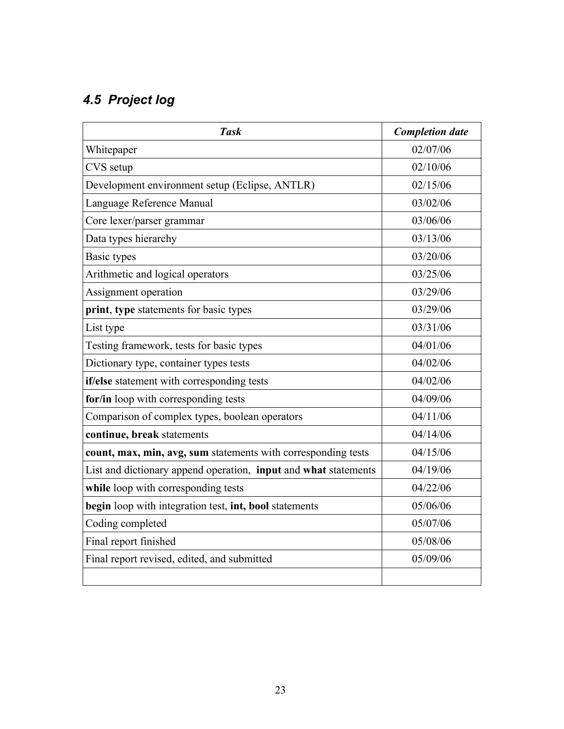# *4.5 Project log*

| <b>Task</b>                                                     | <b>Completion date</b> |
|-----------------------------------------------------------------|------------------------|
| Whitepaper                                                      | 02/07/06               |
| CVS setup                                                       | 02/10/06               |
| Development environment setup (Eclipse, ANTLR)                  | 02/15/06               |
| Language Reference Manual                                       | 03/02/06               |
| Core lexer/parser grammar                                       | 03/06/06               |
| Data types hierarchy                                            | 03/13/06               |
| Basic types                                                     | 03/20/06               |
| Arithmetic and logical operators                                | 03/25/06               |
| Assignment operation                                            | 03/29/06               |
| print, type statements for basic types                          | 03/29/06               |
| List type                                                       | 03/31/06               |
| Testing framework, tests for basic types                        | 04/01/06               |
| Dictionary type, container types tests                          | 04/02/06               |
| if/else statement with corresponding tests                      | 04/02/06               |
| for/in loop with corresponding tests                            | 04/09/06               |
| Comparison of complex types, boolean operators                  | 04/11/06               |
| continue, break statements                                      | 04/14/06               |
| count, max, min, avg, sum statements with corresponding tests   | 04/15/06               |
| List and dictionary append operation, input and what statements | 04/19/06               |
| while loop with corresponding tests                             | 04/22/06               |
| begin loop with integration test, int, bool statements          | 05/06/06               |
| Coding completed                                                | 05/07/06               |
| Final report finished                                           | 05/08/06               |
| Final report revised, edited, and submitted                     | 05/09/06               |
|                                                                 |                        |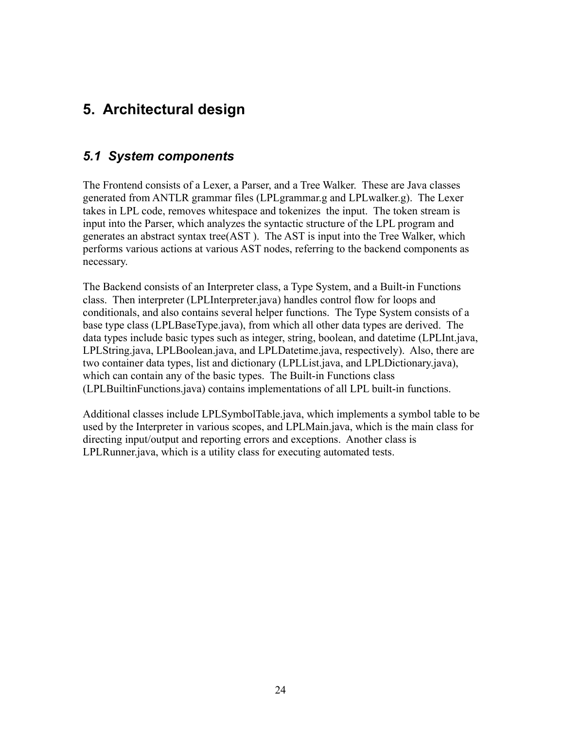# **5. Architectural design**

## *5.1 System components*

The Frontend consists of a Lexer, a Parser, and a Tree Walker. These are Java classes generated from ANTLR grammar files (LPLgrammar.g and LPLwalker.g). The Lexer takes in LPL code, removes whitespace and tokenizes the input. The token stream is input into the Parser, which analyzes the syntactic structure of the LPL program and generates an abstract syntax tree(AST ). The AST is input into the Tree Walker, which performs various actions at various AST nodes, referring to the backend components as necessary.

The Backend consists of an Interpreter class, a Type System, and a Built-in Functions class. Then interpreter (LPLInterpreter.java) handles control flow for loops and conditionals, and also contains several helper functions. The Type System consists of a base type class (LPLBaseType.java), from which all other data types are derived. The data types include basic types such as integer, string, boolean, and datetime (LPLInt.java, LPLString.java, LPLBoolean.java, and LPLDatetime.java, respectively). Also, there are two container data types, list and dictionary (LPLList.java, and LPLDictionary.java), which can contain any of the basic types. The Built-in Functions class (LPLBuiltinFunctions.java) contains implementations of all LPL built-in functions.

Additional classes include LPLSymbolTable.java, which implements a symbol table to be used by the Interpreter in various scopes, and LPLMain.java, which is the main class for directing input/output and reporting errors and exceptions. Another class is LPLRunner.java, which is a utility class for executing automated tests.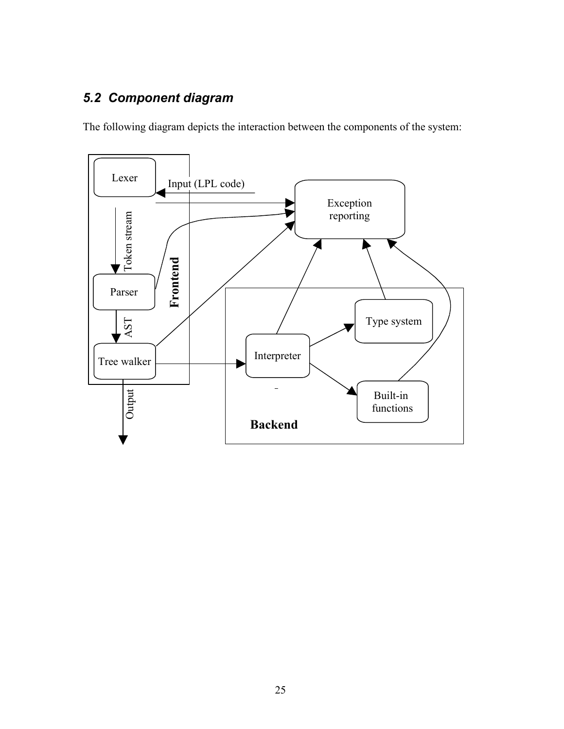# *5.2 Component diagram*

The following diagram depicts the interaction between the components of the system:

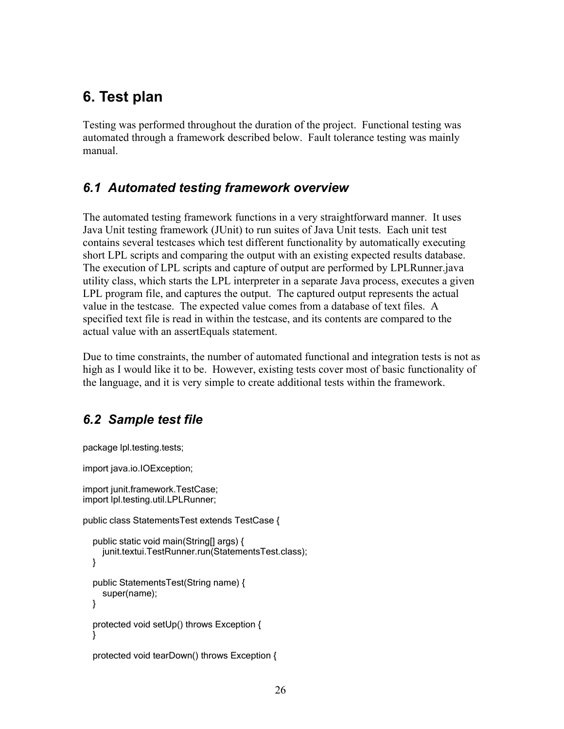# **6. Test plan**

Testing was performed throughout the duration of the project. Functional testing was automated through a framework described below. Fault tolerance testing was mainly manual.

## *6.1 Automated testing framework overview*

The automated testing framework functions in a very straightforward manner. It uses Java Unit testing framework (JUnit) to run suites of Java Unit tests. Each unit test contains several testcases which test different functionality by automatically executing short LPL scripts and comparing the output with an existing expected results database. The execution of LPL scripts and capture of output are performed by LPLRunner.java utility class, which starts the LPL interpreter in a separate Java process, executes a given LPL program file, and captures the output. The captured output represents the actual value in the testcase. The expected value comes from a database of text files. A specified text file is read in within the testcase, and its contents are compared to the actual value with an assertEquals statement.

Due to time constraints, the number of automated functional and integration tests is not as high as I would like it to be. However, existing tests cover most of basic functionality of the language, and it is very simple to create additional tests within the framework.

## *6.2 Sample test file*

package lpl.testing.tests;

import java.io.IOException;

```
import junit.framework.TestCase;
import lpl.testing.util.LPLRunner;
```

```
public class StatementsTest extends TestCase {
```

```
public static void main(String[] args) {
  junit.textui.TestRunner.run(StatementsTest.class);
}
public StatementsTest(String name) {
  super(name);
}
protected void setUp() throws Exception {
}
protected void tearDown() throws Exception {
```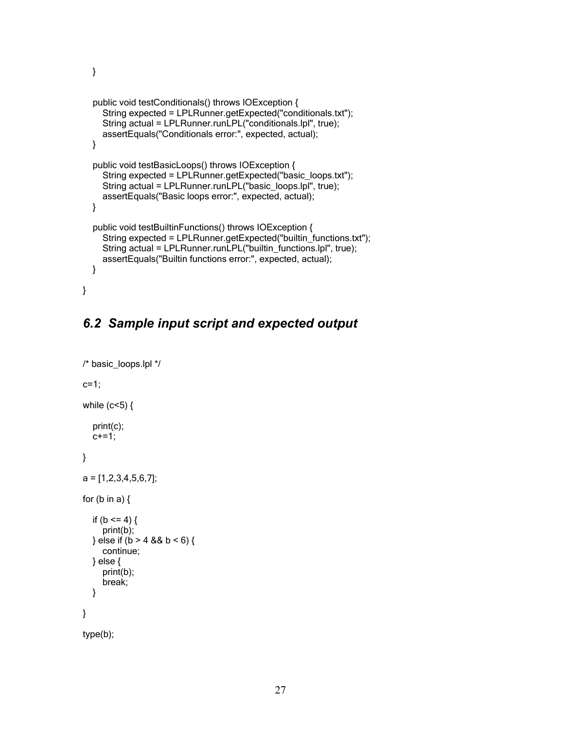```
public void testConditionals() throws IOException {
  String expected = LPLRunner.getExpected("conditionals.txt");
  String actual = LPLRunner.runLPL("conditionals.lpl", true);
  assertEquals("Conditionals error:", expected, actual);
}
public void testBasicLoops() throws IOException {
  String expected = LPLRunner.getExpected("basic_loops.txt");
  String actual = LPLRunner.runLPL("basic_loops.lpl", true);
  assertEquals("Basic loops error:", expected, actual);
}
public void testBuiltinFunctions() throws IOException {
  String expected = LPLRunner.getExpected("builtin_functions.txt");
  String actual = LPLRunner.runLPL("builtin_functions.lpl", true);
  assertEquals("Builtin functions error:", expected, actual);
}
```
#### *6.2 Sample input script and expected output*

```
/* basic_loops.lpl */
c=1;
while (c<5) {
  print(c);
  c+=1;}
a = [1, 2, 3, 4, 5, 6, 7];
for (b \text{ in a}) {
  if (b \le 4) {
     print(b);
  } else if (b > 4 && b < 6) {
     continue;
  } else {
     print(b);
     break;
  }
}
type(b);
```
}

}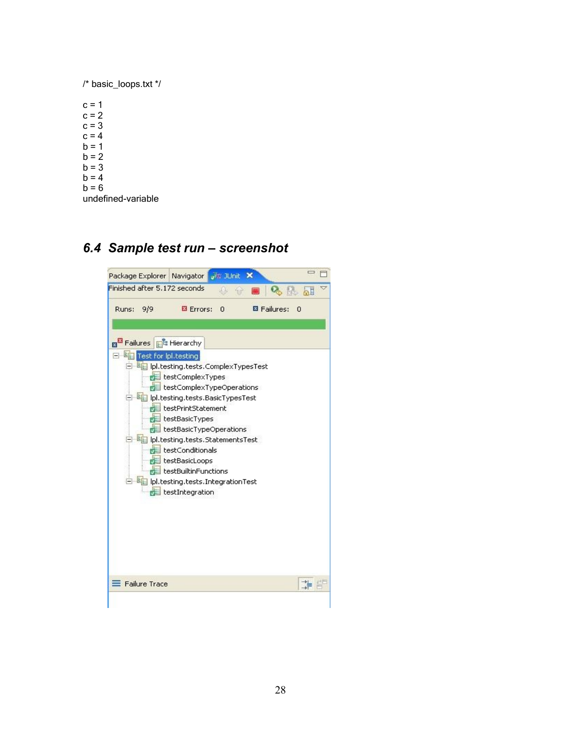/\* basic\_loops.txt \*/

 $c = 1$  $c = 2$  $c = 3$  $c = 4$  $b = 1$  $b = 2$  $b = 3$  $b = 4$  $b = 6$ undefined-variable

#### *6.4 Sample test run – screenshot*

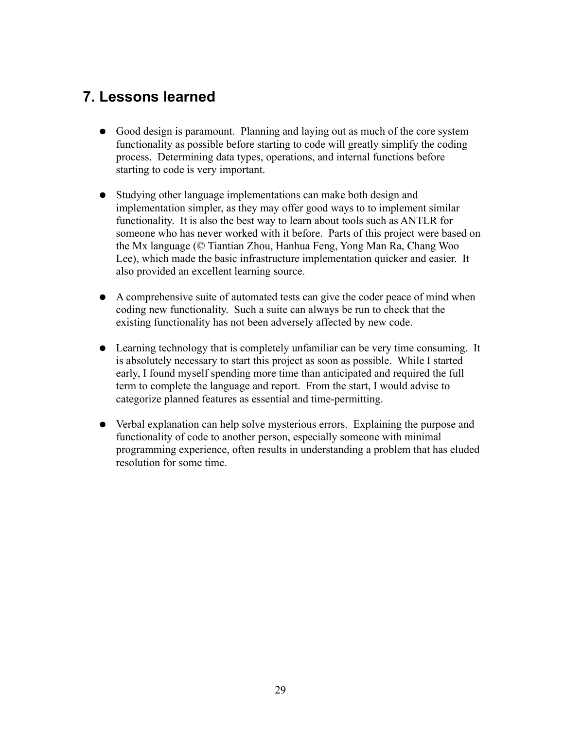# **7. Lessons learned**

- Good design is paramount. Planning and laying out as much of the core system functionality as possible before starting to code will greatly simplify the coding process. Determining data types, operations, and internal functions before starting to code is very important.
- Studying other language implementations can make both design and implementation simpler, as they may offer good ways to to implement similar functionality. It is also the best way to learn about tools such as ANTLR for someone who has never worked with it before. Parts of this project were based on the Mx language (© Tiantian Zhou, Hanhua Feng, Yong Man Ra, Chang Woo Lee), which made the basic infrastructure implementation quicker and easier. It also provided an excellent learning source.
- A comprehensive suite of automated tests can give the coder peace of mind when coding new functionality. Such a suite can always be run to check that the existing functionality has not been adversely affected by new code.
- Learning technology that is completely unfamiliar can be very time consuming. It is absolutely necessary to start this project as soon as possible. While I started early, I found myself spending more time than anticipated and required the full term to complete the language and report. From the start, I would advise to categorize planned features as essential and time-permitting.
- Verbal explanation can help solve mysterious errors. Explaining the purpose and functionality of code to another person, especially someone with minimal programming experience, often results in understanding a problem that has eluded resolution for some time.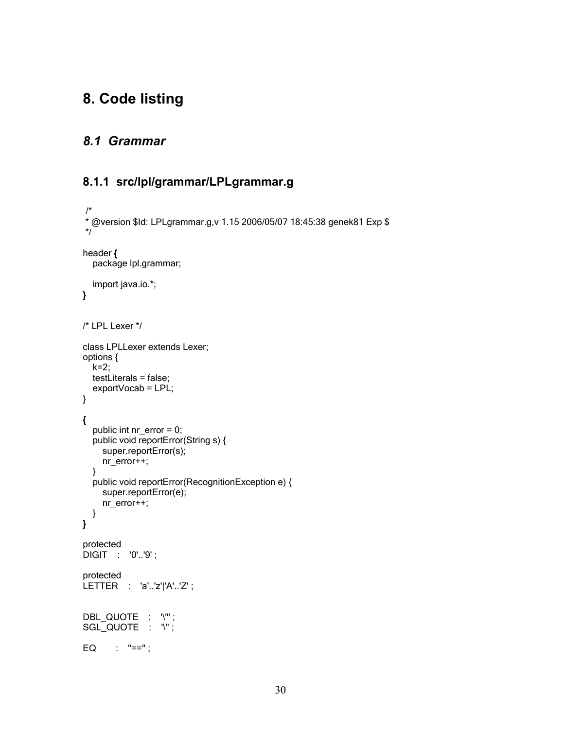# **8. Code listing**

## *8.1 Grammar*

#### **8.1.1 src/lpl/grammar/LPLgrammar.g**

```
/*
* @version $Id: LPLgrammar.g,v 1.15 2006/05/07 18:45:38 genek81 Exp $
*/
header {
  package lpl.grammar;
  import java.io.*;
}
/* LPL Lexer */
class LPLLexer extends Lexer;
options {
  k=2:
  testLiterals = false;
  exportVocab = LPL;
}
{
  public int nr_error = 0;
  public void reportError(String s) {
    super.reportError(s);
    nr_error++;
  }
  public void reportError(RecognitionException e) {
    super.reportError(e);
    nr_error++;
  }
}
protected
DIGIT : '0'..'9' ;
protected
LETTER : 'a'..'z'|'A'..'Z' ;
DBL_QUOTE : '\"' ;
SGL_QUOTE : '\";
EQ : "==";
```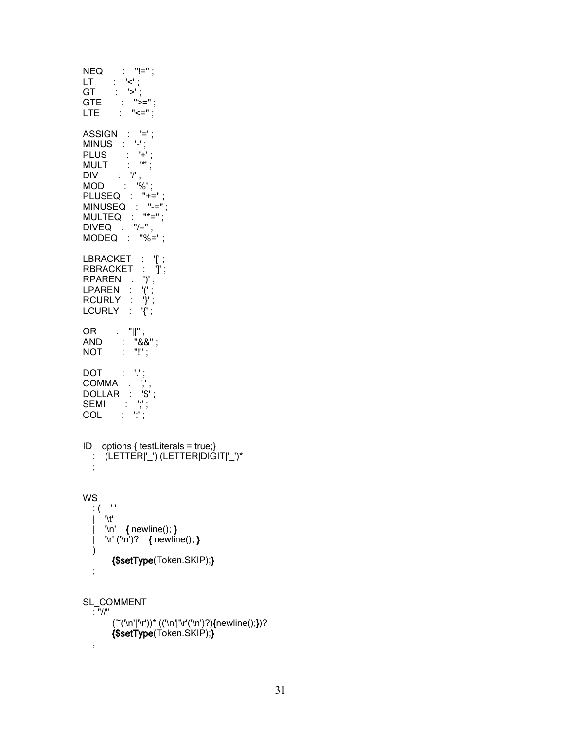NEQ : "!=" ; LT : '<' ; GT : '>' ; GT : '>';<br>GTE : ">="; LTE : "<="; ASSIGN : '=' ;  $MINUS : '-'$ ; PLUS : '+' ; MULT : '\*' ; DIV : '/' ; MOD : '%' ; PLUSEQ : "+=" ; MINUSEQ : "-=" ; MULTEQ : "\*=" ; DIVEQ : "/=" ; MODEQ : "%=" ; LBRACKET : '['; RBRACKET : 'J'; RPAREN : ')' ; LPAREN : '(' ;  $RCURLY$  : '}' ;  $LCURLY : 'T$ ; OR : "||" ; AND : "&&" ; NOT : "!" ; DOT : '.' ; COMMA : ','; DOLLAR : '\$' ; SEMI : ';' ; COL : ':' ; ID options { testLiterals = true;} : (LETTER|'\_') (LETTER|DIGIT|'\_')\* ; WS  $\frac{1}{2}$  (  $\frac{1}{2}$  )  $\int$   $\mathcal{M}'$  $|$  '\n' { newline(); } | '\r' ('\n')? { newline(); }  $\lambda$ {\$setType(Token.SKIP);} ; SL\_COMMENT : "//" (~('\n'|'\r'))\* (('\n'|'\r'('\n')?){newline();})? {\$setType(Token.SKIP);} ;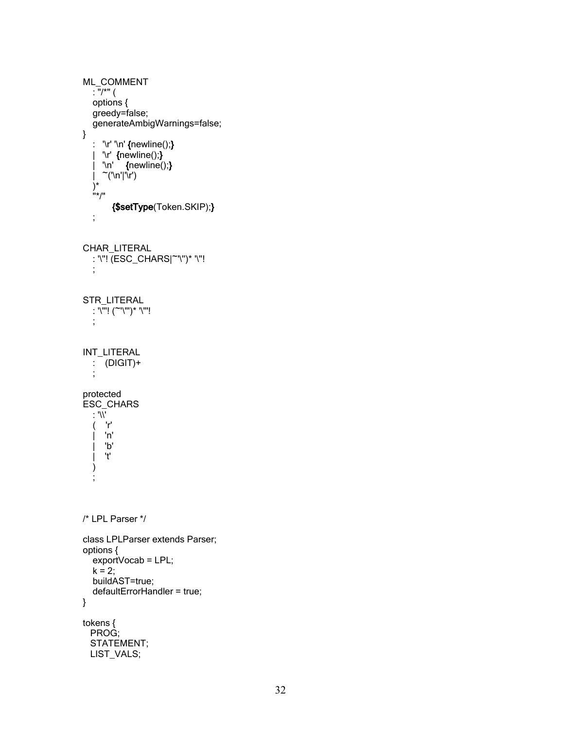```
ML_COMMENT
  \frac{1}{2} : "/*" (
  options {
  greedy=false;
  generateAmbigWarnings=false;
}
  : '\r' '\n' {newline();}
   | '\r' {newline();}
   | '\n' {newline();}
   | ~('\n'|'\r')
   )*
   "*/"
       {$setType(Token.SKIP);}
  ;
CHAR_LITERAL
  : '\''! (ESC_CHARS|~'\'')* '\''!
  ;
STR_LITERAL
  : '\"'! (~'\"')* '\"'!
  ;
INT_LITERAL
  : (DIGIT)+
   ;
protected
ESC_CHARS
  \cdot \sqrt{V}( 'r'
     | 'n'
     | 'b'
     | 't'
  )
   ;
/* LPL Parser */
class LPLParser extends Parser;
options {
  exportVocab = LPL;k = 2;
  buildAST=true;
  defaultErrorHandler = true;
}
tokens {
 PROG;
  STATEMENT;
 LIST_VALS;
```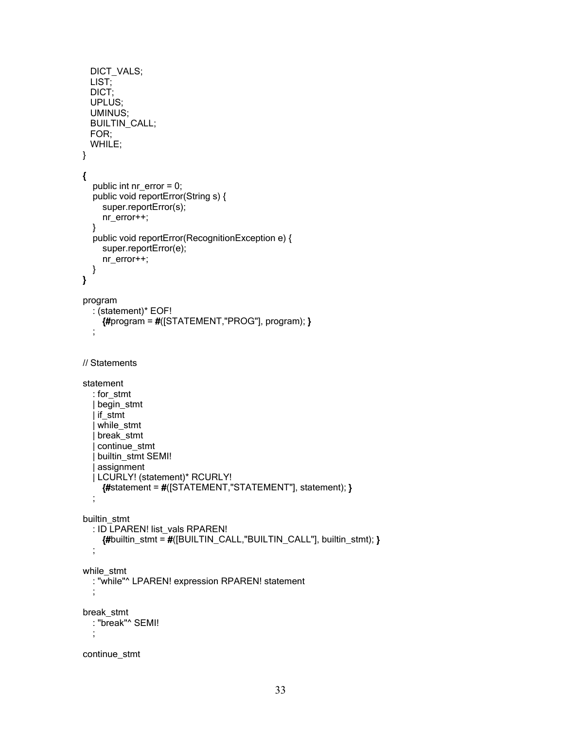```
DICT_VALS;
 LIST;
 DICT;
 UPLUS;
 UMINUS;
 BUILTIN_CALL;
 FOR;
 WHILE;
}
{
  public int nr_error = 0;
  public void reportError(String s) {
    super.reportError(s);
    nr_error++;
  }
  public void reportError(RecognitionException e) {
    super.reportError(e);
    nr_error++;
  }
}
program
  : (statement)* EOF!
    {4p}rogram = #([STATEMENT,"PROG"], program);;
// Statements
statement
  : for_stmt
  | begin_stmt
  | if_stmt
  | while_stmt
   | break_stmt
   continue_stmt
   builtin_stmt SEMI!
   | assignment
  | LCURLY! (statement)* RCURLY!
    {#statement = #([STATEMENT,"STATEMENT"], statement); }
  ;
builtin_stmt
  : ID LPAREN! list_vals RPAREN!
    {#builtin_stmt = #([BUILTIN_CALL,"BUILTIN_CALL"], builtin_stmt); }
  ;
while_stmt
  : "while"^ LPAREN! expression RPAREN! statement
  ;
break_stmt
  : "break"^ SEMI!
  ;
continue_stmt
```

```
33
```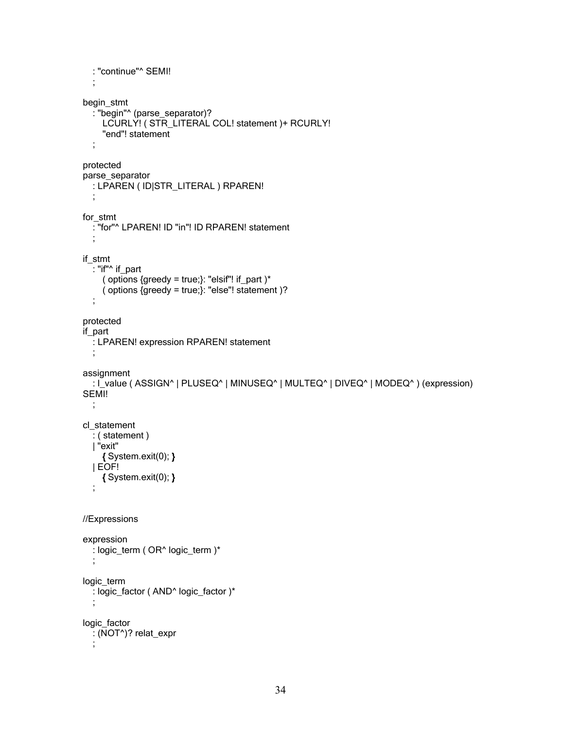```
: "continue"<sup>^</sup> SEMI!
  ;
begin_stmt
  : "begin"^ (parse_separator)?
    LCURLY! ( STR_LITERAL COL! statement )+ RCURLY!
    "end"! statement
  ;
protected
parse_separator
  : LPAREN ( ID|STR_LITERAL ) RPAREN!
  ;
for_stmt
  : "for"^ LPAREN! ID "in"! ID RPAREN! statement
  ;
if_stmt
  \cdot "if"^ if_part
    ( options \{greedy = true\}: "elsif"! if_part )*
    ( options {greedy = true;}: "else"! statement )?
  ;
protected
if_part
  : LPAREN! expression RPAREN! statement
  ;
assignment
  : I_value ( ASSIGN^ | PLUSEQ^ | MINUSEQ^ | MULTEQ^ | DIVEQ^ | MODEQ^ ) (expression)
SEMI!
  ;
cl_statement
  : ( statement )
  | "exit"
    { System.exit(0); }
  | EOF!
    { System.exit(0); }
  ;
//Expressions
expression
  : logic_term ( OR^ logic_term )*
  ;
logic_term
 : logic_factor ( AND^ logic_factor )*
  ;
logic_factor
 : (NOT^)? relat_expr
  ;
```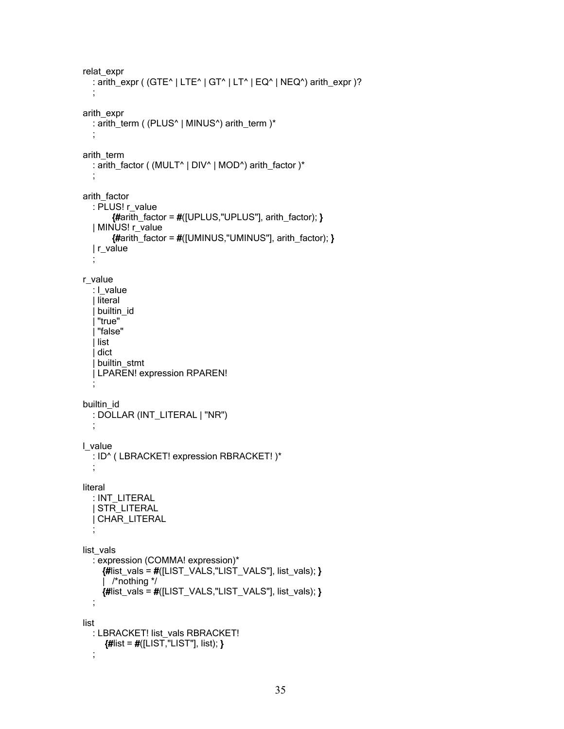```
relat_expr
  : arith expr ( (GTE^ | LTE^ | GT^ | LT^ | EQ^ | NEQ^) arith_expr )?
  ;
arith_expr
  : arith_term ( (PLUS^ | MINUS^) arith_term )*
  ;
arith_term
  : arith_factor ( (MULT^ | DIV^ | MOD^) arith_factor )*
  ;
arith factor
  : PLUS! r_value
       {#arith_factor = #([UPLUS,"UPLUS"], arith_factor); }
  | MINUS! r_value
       {#arith_factor = #([UMINUS,"UMINUS"], arith_factor); }
  | r_value
  ;
r_value
  : l_value
  | literal
   builtin id
   | "true"
   | "false"
   | list
  | dict
  | builtin_stmt
  | LPAREN! expression RPAREN!
  ;
builtin_id
  : DOLLAR (INT_LITERAL | "NR")
  ;
l_value
  : ID^ ( LBRACKET! expression RBRACKET! )*
  ;
literal
  : INT_LITERAL
  | STR_LITERAL
  | CHAR_LITERAL
  ;
list_vals
  : expression (COMMA! expression)*
    {#list\ vals = #([LIST\ VALS,"LIST\ VALS", list\ vals); }| /*nothing */
    {#list_vals = #([LIST_VALS,"LIST_VALS"], list_vals); }
  ;
list
  : LBRACKET! list_vals RBRACKET!
     {#list = #([LIST,"LIST"], list); };
```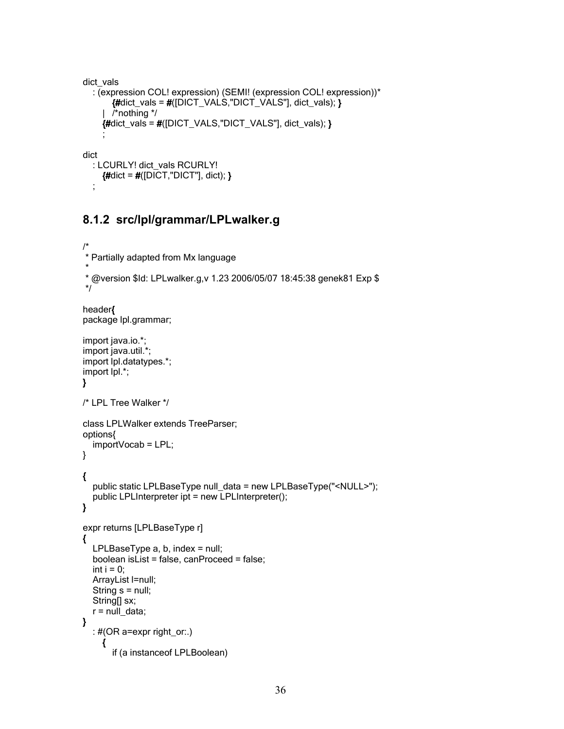```
dict_vals
  : (expression COL! expression) (SEMI! (expression COL! expression))*
      {#dict_vals = #([DICT_VALS,"DICT_VALS"], dict_vals); }| /*nothing */
    {#dict_vals = #([DICT_VALS,"DICT_VALS"], dict_vals); }
    ;
dict
  : LCURLY! dict_vals RCURLY!
    {#dict = #([DICT, "DICT"], dict)}
```
#### **8.1.2 src/lpl/grammar/LPLwalker.g**

;

```
/*
* Partially adapted from Mx language
 *
* @version $Id: LPLwalker.g,v 1.23 2006/05/07 18:45:38 genek81 Exp $
*/
header{
package lpl.grammar;
import java.io.*;
import java.util.*;
import lpl.datatypes.*;
import lpl.*;
}
/* LPL Tree Walker */
class LPLWalker extends TreeParser;
options{
  importVocab = LPL;
}
{
  public static LPLBaseType null_data = new LPLBaseType("<NULL>");
  public LPLInterpreter ipt = new LPLInterpreter();
}
expr returns [LPLBaseType r]
{
  LPLBaseType a, b, index = null;
  boolean isList = false, canProceed = false;
  int i = 0;
  ArrayList l=null;
  String s = null;
  String[] sx;
  r = null_data;}
  : #(OR a=expr right_or:.)
     {
       if (a instanceof LPLBoolean)
```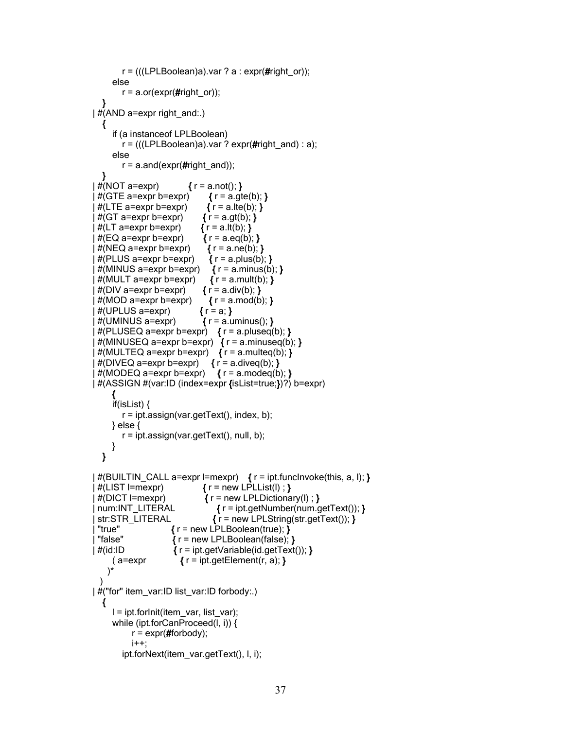```
r = (((LPLBoolean)a).var ? a : expr(<i>#right</i> or));else
       r = a.or(expr(\#right or));
  }
\#(AND a=expr right and:.)
  {
     if (a instanceof LPLBoolean)
       r = (((LPLBoolean)a).var ? expr(Hint and) : a);else
       r = a.and(expr(#right_and));
  }
 \#(\text{NOT a}=\text{expr}) { r = a.not(); }
 \#(GTE a=expr b=expr) \{r = a.get(b); \}\#(LTE a=expr b=expr) \{r = a.\text{lte}(b); \}\#(\text{GT a}=\text{expr b}=\text{expr}) { r = a.gt(b); }
 \#(LT a=expr b=expr) { r = a.lt(b); }
 \#(EQ a=expr b=expr) \{ r = a \cdot eq(b); \}\#(NEQ \text{ a}=\text{expr} \text{ b}=\text{expr}) { r = a.ne(b); }
 #(PLUS a=expr b=expr) { r = a. plus(b); }
 \#(MINUS a=expr b=expr) { r = a.minus(b); }
 \#(MULT a=expr b=expr) { r = a.mult(b); }
 \#(DIV a=expr b=expr) { r = a.div(b); }
 \#(\text{MOD a=expr b=expr}) \qquad \{r=a.mod(b); \}\#(UPLUS a=expr) \{r = a; \}\#(UMINUS a=expr) \{ r = a.uminus(); \}#(PLUSEQ a=expr b=expr) { r = a.pluseq(b); }
 \#(MINUSEQ a=expr b=expr) { r = a.minuseq(b); }
 \#(MULTEQ a=expr b=expr) { r = a.multeq(b); }
 \#(DIVEQ a=expr b=expr) { r = a.diveq(b); }
 \#(MODEQ a=expr b=expr) { r = a.modeq(b); }
| #(ASSIGN #(var:ID (index=expr {isList=true;})?) b=expr)
     {
     if(isList) {
       r = ipt.assign(var.getText(), index, b);
    } else {
       r = ipt.assign(var.getText(), null, b);
    }
  }
#(BUILTIN_CALL a=expr l=mexpr) \{r = \text{ipt.funchvoke}(\text{this}, a, l); \}\#(LIST l=mexpr) \{ r = new \text{ LPLList(l)} : \}#(DICT | = mexpr) { r = new LPLDictionary(l) ; }
 num:INT_LITERAL { r = ipt.getNumber(num.getText()); }
 str:STR LITERAL {r = new LPLString(str.getText());}"true" \{ r = new LPLBoolean(true); \}"false" \{ r = new LPLBoolean(false); \}\#(id:ID \{ r = \text{ipt.getVariable}(\text{id.getText}()) \}(a=expr \{r = ipt.getElement(r, a); \})*
  )
| #("for" item_var:ID list_var:ID forbody:.)
  {
    l = ipt.forInit(item_var, list_var);
    while (ipt.forCanProceed(l, i)) {
          r = \exp(\# \text{forbody});
          i++;
       ipt.forNext(item_var.getText(), l, i);
```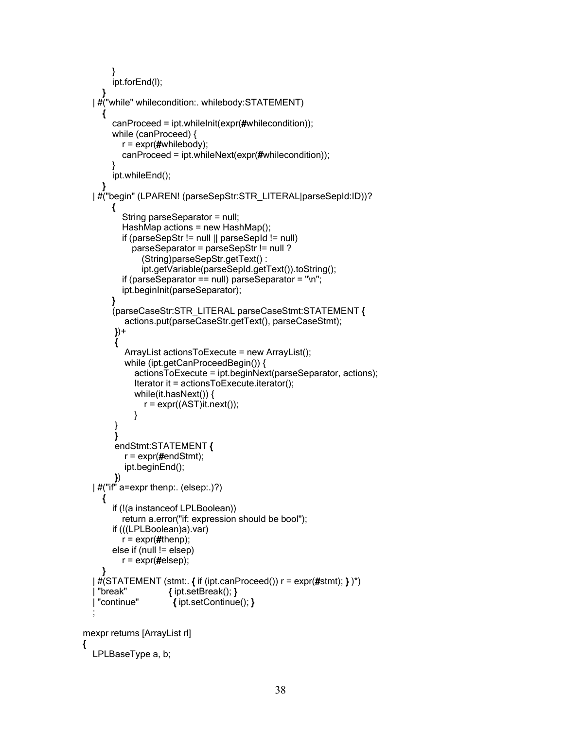```
}
       ipt.forEnd(l);
     }
  | #("while" whilecondition:. whilebody:STATEMENT)
     {
       canProceed = ipt.whileInit(expr(#whilecondition));
       while (canProceed) {
          r = \exp(\#whilebody);canProceed = ipt.whileNext(expr(#whilecondition));
       }
       ipt.whileEnd();
     }
  | #("begin" (LPAREN! (parseSepStr:STR_LITERAL|parseSepId:ID))?
       {
          String parseSeparator = null;
          HashMap actions = new HashMap();
          if (parseSepStr != null || parseSepId != null)
            parseSeparator = parseSepStr != null ?
               (String)parseSepStr.getText() :
               ipt.getVariable(parseSepId.getText()).toString();
          if (parseSeparator == null) parseSeparator = \ln";
          ipt.beginInit(parseSeparator);
       }
       (parseCaseStr:STR_LITERAL parseCaseStmt:STATEMENT {
          actions.put(parseCaseStr.getText(), parseCaseStmt);
        })+
        {
          ArrayList actionsToExecute = new ArrayList();
          while (ipt.getCanProceedBegin()) {
             actionsToExecute = ipt.beginNext(parseSeparator, actions);
             Iterator it = actionsToExecute.iterator();
             while(it.hasNext()) {
               r = \exp(r((AST))t.next());
             }
        }
        }
        endStmt:STATEMENT {
          r = \exp(\text{#endStmt});
          ipt.beginEnd();
        })
  | #("if" a=expr thenp:. (elsep:.)?)
     {
       if (!(a instanceof LPLBoolean))
          return a.error("if: expression should be bool");
       if (((LPLBoolean)a).var)
          r = \exp(r/4t) henp);
       else if (null != elsep)
          r = \exp(r/4)elsep);
    }
  \mid \#(\text{STATEMENT}(\text{stmt:}, \{\text{ if } (\text{ipt}.\text{canProceed}());\} = \text{expr}(\# \text{stmt}); \})^*)"break" { ipt.setBreak(); }
   | "continue" { ipt.setContinue(); }
  ;
mexpr returns [ArrayList rl]
  LPLBaseType a, b;
```
{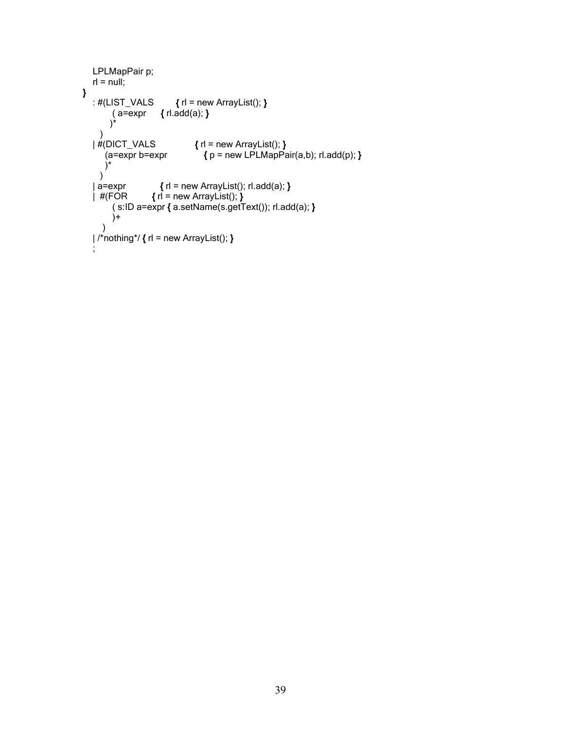```
LPLMapPair p;
   r = \text{null};
}
   : \#(LIST_VALS \{ r \mid r = new ArrayList(); \}( a=expr { rl.add(a); }
        )*
   )<br>|#(DICT_VALS
       \left\{ \begin{array}{ll}\n \text{DICT_VALS} \\
 \text{(a=expr b=expr} & \{ p = new LPLMapPe \} \end{array} \right.{ p = new LPLMapPair(a,b); r1.add(p); })*
     )
   | a=expr \{ rl = new ArrayList(); rl.add(a); \}| #(FOR { rl = new ArrayList(); }
        ( s:ID a=expr { a.setName(s.getText()); rl.add(a); }
        )+
     )
   1/r^{2}nothing*/ { rl = new ArrayList(); }
   ;
```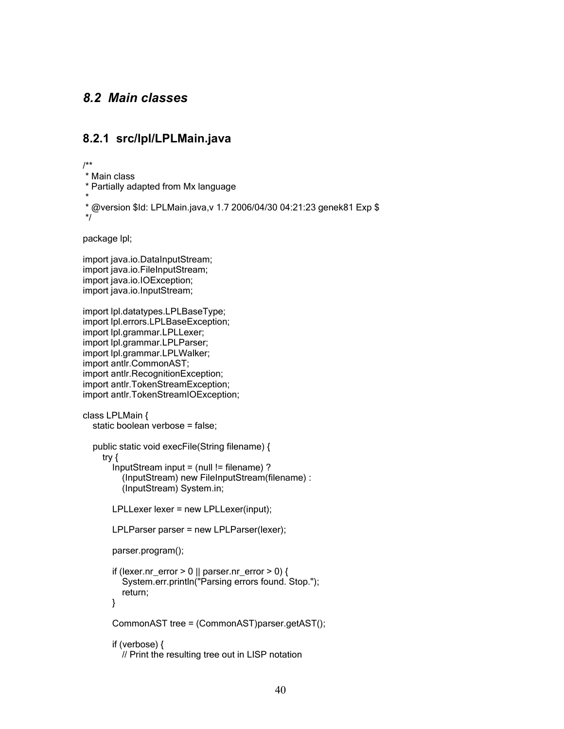# *8.2 Main classes*

### **8.2.1 src/lpl/LPLMain.java**

/\*\*

- \* Main class
- \* Partially adapted from Mx language
- \*
- \* @version \$Id: LPLMain.java,v 1.7 2006/04/30 04:21:23 genek81 Exp \$

\*/

package lpl;

import java.io.DataInputStream; import java.io.FileInputStream; import java.io.IOException; import java.io.InputStream;

import lpl.datatypes.LPLBaseType; import lpl.errors.LPLBaseException; import lpl.grammar.LPLLexer; import lpl.grammar.LPLParser; import lpl.grammar.LPLWalker; import antlr.CommonAST; import antlr.RecognitionException; import antlr.TokenStreamException; import antlr.TokenStreamIOException;

```
class LPLMain {
  static boolean verbose = false;
```

```
public static void execFile(String filename) {
  try {
    InputStream input = (null != filename) ?
       (InputStream) new FileInputStream(filename) :
       (InputStream) System.in;
```
LPLLexer lexer = new LPLLexer(input);

```
LPLParser parser = new LPLParser(lexer);
```

```
parser.program();
```

```
if (lexer.nr_error > 0 || parser.nr_error > 0) {
  System.err.println("Parsing errors found. Stop.");
  return;
}
```
CommonAST tree = (CommonAST)parser.getAST();

```
if (verbose) {
  // Print the resulting tree out in LISP notation
```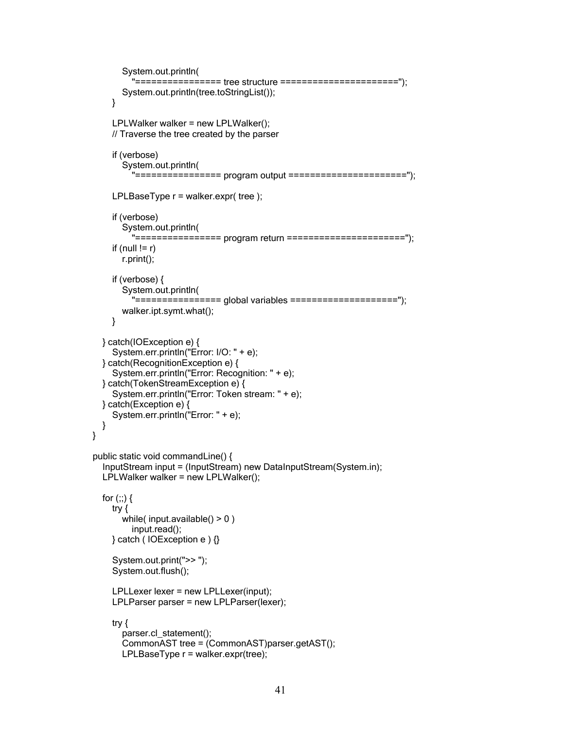```
System.out.println(
         "================ tree structure ======================");
       System.out.println(tree.toStringList());
    }
    LPLWalker walker = new LPLWalker();
    // Traverse the tree created by the parser
    if (verbose)
       System.out.println(
         "================ program output ======================");
    LPLBaseType r = walker.expr( tree );
    if (verbose)
       System.out.println(
         "================ program return ======================");
    if (null != r)
       r.print();
    if (verbose) {
       System.out.println(
         "================ global variables ====================");
       walker.ipt.symt.what();
    }
  } catch(IOException e) {
    System.err.println("Error: I/O: " + e);
  } catch(RecognitionException e) {
    System.err.println("Error: Recognition: " + e);
  } catch(TokenStreamException e) {
    System.err.println("Error: Token stream: " + e);
  } catch(Exception e) {
    System.err.println("Error: " + e);
  }
public static void commandLine() {
  InputStream input = (InputStream) new DataInputStream(System.in);
  LPLWalker walker = new LPLWalker();
  for (;;) {
    try {
       while( input.available() > 0)
         input.read();
    } catch ( IOException e ) {}
    System.out.print(">> ");
    System.out.flush();
    LPLLexer lexer = new LPLLexer(input);
    LPLParser parser = new LPLParser(lexer);
    try {
       parser.cl_statement();
       CommonAST tree = (CommonAST)parser.getAST();
       LPLBaseType r = walker.expr(tree);
```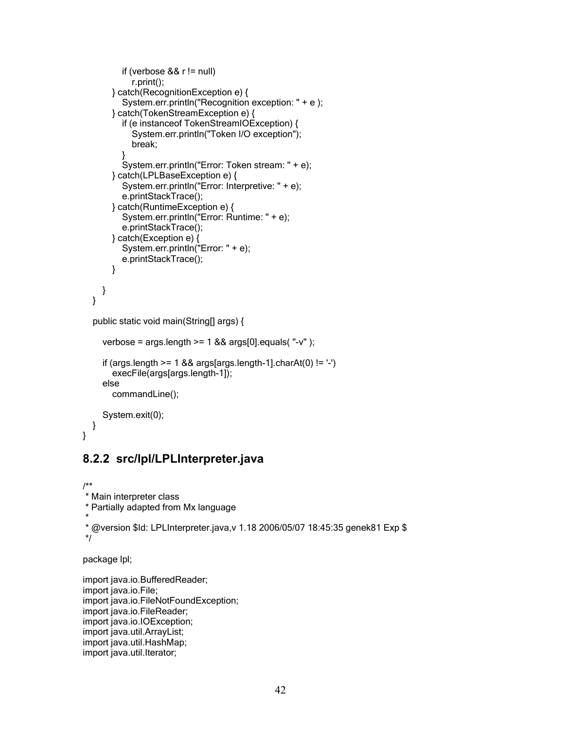```
if (verbose && r != null)
       r.print();
  } catch(RecognitionException e) {
     System.err.println("Recognition exception: " + e );
  } catch(TokenStreamException e) {
     if (e instanceof TokenStreamIOException) {
       System.err.println("Token I/O exception");
       break;
     }
     System.err.println("Error: Token stream: " + e);
  } catch(LPLBaseException e) {
     System.err.println("Error: Interpretive: " + e);
     e.printStackTrace();
  } catch(RuntimeException e) {
     System.err.println("Error: Runtime: " + e);
     e.printStackTrace();
  } catch(Exception e) {
     System.err.println("Error: " + e);
     e.printStackTrace();
  }
}
```

```
public static void main(String[] args) {
```

```
verbose = args.length \ge 1 && args[0]. equals("-v");
if (args.length >= 1 && args[args.length-1].charAt(0) != '-')
  execFile(args[args.length-1]);
else
  commandLine();
System.exit(0);
```

```
}
```
}

```
8.2.2 src/lpl/LPLInterpreter.java
```

```
/**
* Main interpreter class
* Partially adapted from Mx language
*
* @version $Id: LPLInterpreter.java,v 1.18 2006/05/07 18:45:35 genek81 Exp $
*/
```
package lpl;

```
import java.io.BufferedReader;
import java.io.File;
import java.io.FileNotFoundException;
import java.io.FileReader;
import java.io.IOException;
import java.util.ArrayList;
import java.util.HashMap;
import java.util.Iterator;
```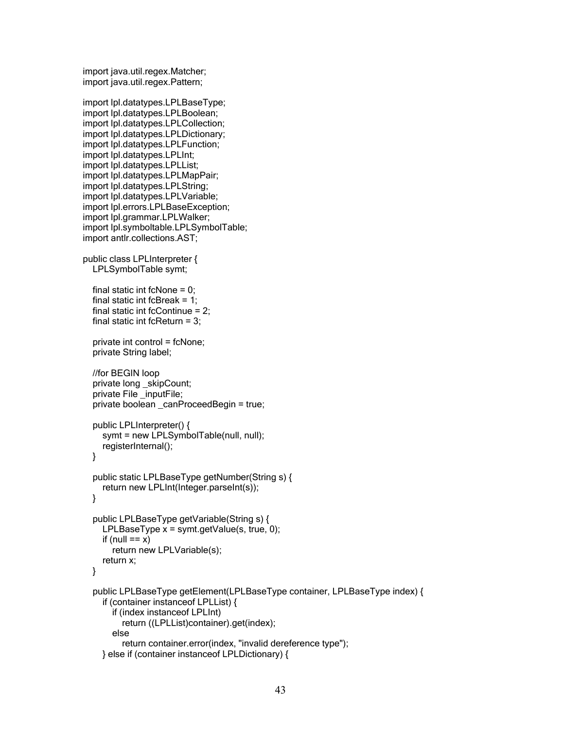```
import java.util.regex.Matcher;
import java.util.regex.Pattern;
```

```
import lpl.datatypes.LPLBaseType;
import lpl.datatypes.LPLBoolean;
import lpl.datatypes.LPLCollection;
import lpl.datatypes.LPLDictionary;
import lpl.datatypes.LPLFunction;
import lpl.datatypes.LPLInt;
import lpl.datatypes.LPLList;
import lpl.datatypes.LPLMapPair;
import lpl.datatypes.LPLString;
import lpl.datatypes.LPLVariable;
import lpl.errors.LPLBaseException;
import lpl.grammar.LPLWalker;
import lpl.symboltable.LPLSymbolTable;
import antlr.collections.AST;
public class LPLInterpreter {
  LPLSymbolTable symt;
  final static int fcNone = 0;
  final static int fcBreak = 1;
  final static int fcContinue = 2;
  final static int fcReturn = 3;
  private int control = fcNone;
  private String label;
```

```
//for BEGIN loop
private long _skipCount;
private File _inputFile;
private boolean _canProceedBegin = true;
```

```
public LPLInterpreter() {
  symt = new LPLSymbolTable(null, null);
  registerInternal();
}
```

```
public static LPLBaseType getNumber(String s) {
  return new LPLInt(Integer.parseInt(s));
}
```

```
public LPLBaseType getVariable(String s) {
  LPLBaseType x = symt.getValue(s, true, 0);
  if (null == x)
    return new LPLVariable(s);
  return x;
```

```
}
```

```
public LPLBaseType getElement(LPLBaseType container, LPLBaseType index) {
  if (container instanceof LPLList) {
    if (index instanceof LPLInt)
       return ((LPLList)container).get(index);
    else
       return container.error(index, "invalid dereference type");
  } else if (container instanceof LPLDictionary) {
```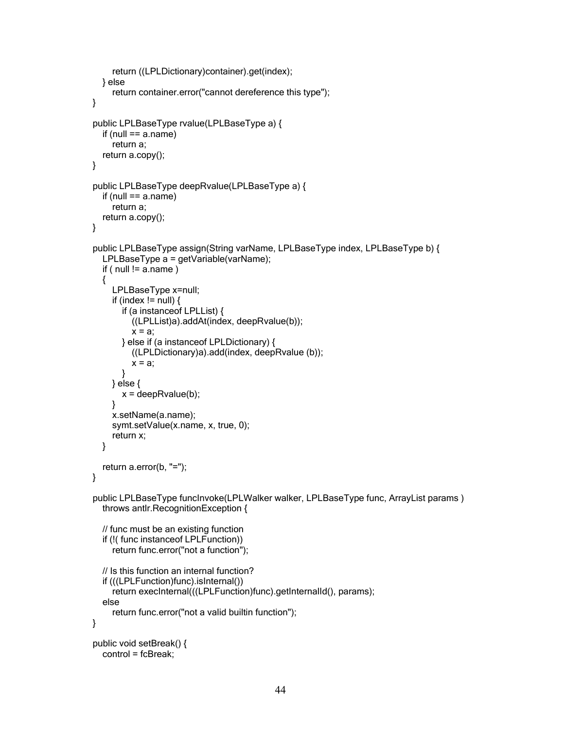```
return ((LPLDictionary)container).get(index);
  } else
     return container.error("cannot dereference this type");
}
public LPLBaseType rvalue(LPLBaseType a) {
  if (null == a.name)
    return a;
  return a.copy();
}
public LPLBaseType deepRvalue(LPLBaseType a) {
  if (null == a.name)
    return a;
  return a.copy();
}
public LPLBaseType assign(String varName, LPLBaseType index, LPLBaseType b) {
  LPLBaseType a = getVariable(varName);
  if ( null != a.name )
  {
    LPLBaseType x=null;
    if (index != null) {
       if (a instanceof LPLList) {
         ((LPLList)a).addAt(index, deepRvalue(b));
         x = a;
       } else if (a instanceof LPLDictionary) {
         ((LPLDictionary)a).add(index, deepRvalue (b));
         x = a:
       }
    } else {
       x = deepRvalue(b);
    }
    x.setName(a.name);
    symt.setValue(x.name, x, true, 0);
    return x;
  }
  return a.error(b, "=");
}
public LPLBaseType funcInvoke(LPLWalker walker, LPLBaseType func, ArrayList params )
  throws antlr.RecognitionException {
  // func must be an existing function
  if (!( func instanceof LPLFunction))
     return func.error("not a function");
  // Is this function an internal function?
  if (((LPLFunction)func).isInternal())
    return execInternal(((LPLFunction)func).getInternalId(), params);
  else
     return func.error("not a valid builtin function");
}
public void setBreak() {
  control = fcBreak;
```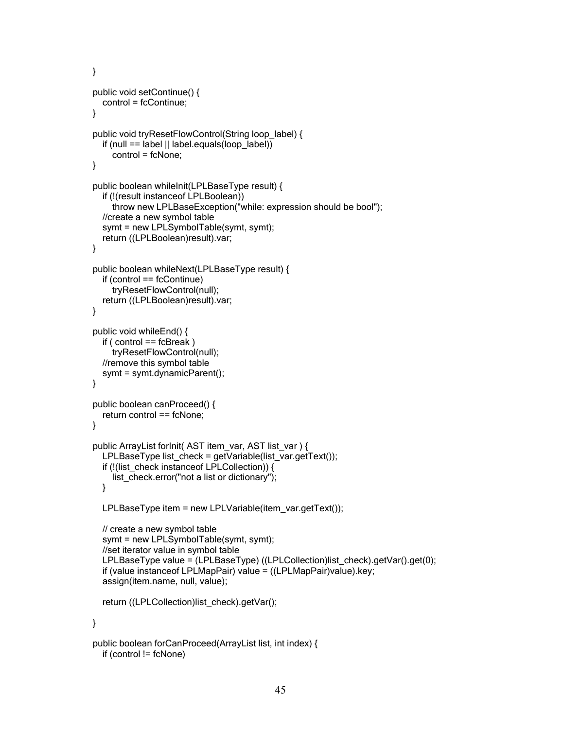```
}
public void setContinue() {
  control = fcContinue;
}
public void tryResetFlowControl(String loop_label) {
  if (null == label || label.equals(loop_label))
    control = fcNone;
}
public boolean whileInit(LPLBaseType result) {
  if (!(result instanceof LPLBoolean))
    throw new LPLBaseException("while: expression should be bool");
  //create a new symbol table
  symt = new LPLSymbolTable(symt, symt);
  return ((LPLBoolean)result).var;
}
public boolean whileNext(LPLBaseType result) {
  if (control == fcContinue)
    tryResetFlowControl(null);
  return ((LPLBoolean)result).var;
}
public void whileEnd() {
  if ( control == fcBreak )
    tryResetFlowControl(null);
  //remove this symbol table
  symt = symt.dynamicParent();
}
public boolean canProceed() {
  return control == fcNone;
}
public ArrayList forInit( AST item_var, AST list_var ) {
  LPLBaseType list_check = getVariable(list_var.getText());
  if (!(list_check instanceof LPLCollection)) {
    list_check.error("not a list or dictionary");
  }
  LPLBaseType item = new LPLVariable(item_var.getText());
  // create a new symbol table
  symt = new LPLSymbolTable(symt, symt);
  //set iterator value in symbol table
  LPLBaseType value = (LPLBaseType) ((LPLCollection)list_check).getVar().get(0);
  if (value instanceof LPLMapPair) value = ((LPLMapPair)value).key;
  assign(item.name, null, value);
  return ((LPLCollection)list_check).getVar();
}
public boolean forCanProceed(ArrayList list, int index) {
  if (control != fcNone)
```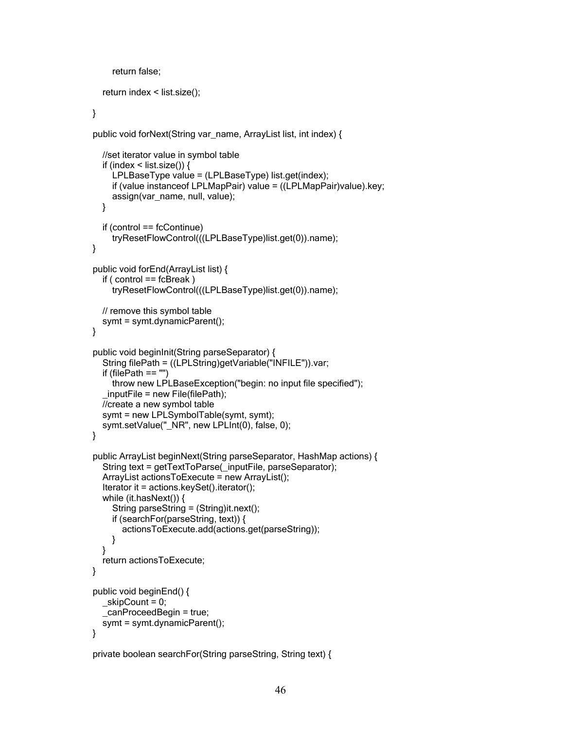```
return false;
  return index < list.size();
}
public void forNext(String var_name, ArrayList list, int index) {
  //set iterator value in symbol table
  if (index \le list.size()) {
     LPLBaseType value = (LPLBaseType) list.get(index);
     if (value instanceof LPLMapPair) value = ((LPLMapPair)value).key;
     assign(var_name, null, value);
  }
  if (control == fcContinue)
     tryResetFlowControl(((LPLBaseType)list.get(0)).name);
}
public void forEnd(ArrayList list) {
  if ( control == fcBreak )
     tryResetFlowControl(((LPLBaseType)list.get(0)).name);
  // remove this symbol table
  symt = symt.dynamicParent();
}
public void beginInit(String parseSeparator) {
  String filePath = ((LPLString)getVariable("INFILE")).var;
  if (filePath == "")
     throw new LPLBaseException("begin: no input file specified");
  _inputFile = new File(filePath);
  //create a new symbol table
  symt = new LPLSymbolTable(symt, symt);
  symt.setValue("_NR", new LPLInt(0), false, 0);
}
public ArrayList beginNext(String parseSeparator, HashMap actions) {
  String text = getTextToParse(_inputFile, parseSeparator);
  ArrayList actionsToExecute = new ArrayList();
  Iterator it = actions.keySet().iterator();
  while (it.hasNext()) {
     String parseString = (String)it.next();
     if (searchFor(parseString, text)) {
       actionsToExecute.add(actions.get(parseString));
    }
  }
  return actionsToExecute;
}
public void beginEnd() {
  \leqskipCount = 0;
  _canProceedBegin = true;
  symt = symt.dynamicParent();
}
```

```
private boolean searchFor(String parseString, String text) {
```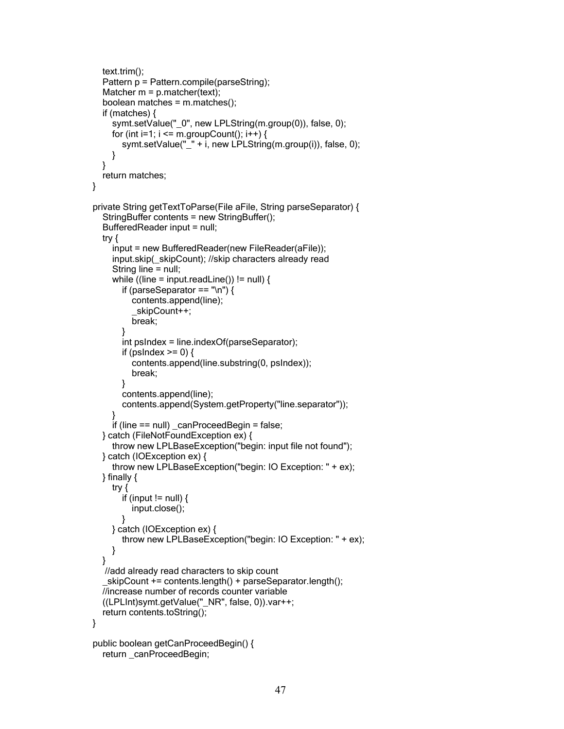```
text.trim();
  Pattern p = Pattern.compile(parseString);
  Matcher m = p. matcher(text);
  boolean matches = m.matches();
  if (matches) {
     symt.setValue("_0", new LPLString(m.group(0)), false, 0);
     for (int i=1; i \le m.groupCount(); i++) {
       symt.setValue("_" + i, new LPLString(m.group(i)), false, 0);
    }
  }
  return matches;
}
private String getTextToParse(File aFile, String parseSeparator) {
  StringBuffer contents = new StringBuffer();
  BufferedReader input = null;
  try {
     input = new BufferedReader(new FileReader(aFile));
     input.skip(_skipCount); //skip characters already read
     String line = null;
     while ((line = input.readLine()) != null) {
       if (parseSeparator == \ln) {
          contents.append(line);
          _skipCount++;
          break;
       }
       int psIndex = line.indexOf(parseSeparator);
       if (psIndex \geq = 0) {
          contents.append(line.substring(0, psIndex));
          break;
       }
       contents.append(line);
       contents.append(System.getProperty("line.separator"));
     }
     if (line == null) canProceedBegin = false;
  } catch (FileNotFoundException ex) {
     throw new LPLBaseException("begin: input file not found");
  } catch (IOException ex) {
     throw new LPLBaseException("begin: IO Exception: " + ex);
  } finally {
    try {
       if (input != null) {
          input.close();
       }
    } catch (IOException ex) {
       throw new LPLBaseException("begin: IO Exception: " + ex);
    }
  }
   //add already read characters to skip count
   _skipCount += contents.length() + parseSeparator.length();
  //increase number of records counter variable
  ((LPLInt)symt.getValue("_NR", false, 0)).var++;
  return contents.toString();
}
public boolean getCanProceedBegin() {
  return canProceedBegin;
```

```
47
```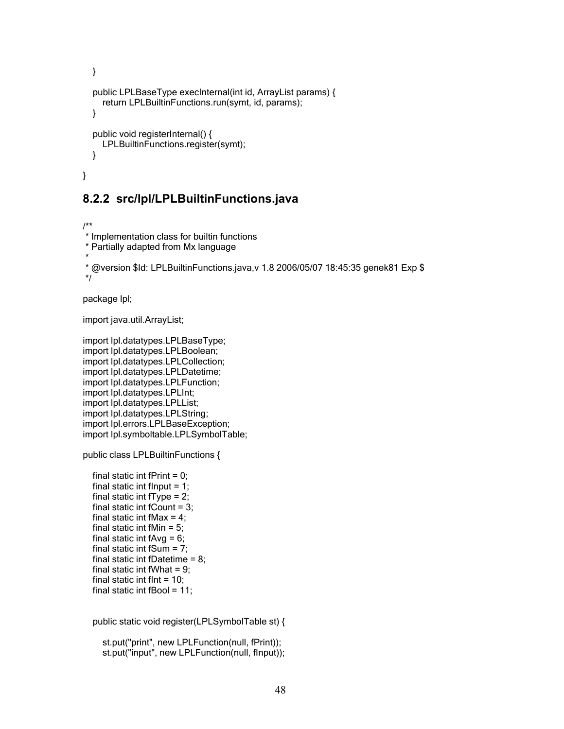```
}
  public LPLBaseType execInternal(int id, ArrayList params) {
    return LPLBuiltinFunctions.run(symt, id, params);
  }
  public void registerInternal() {
    LPLBuiltinFunctions.register(symt);
  }
}
```
#### **8.2.2 src/lpl/LPLBuiltinFunctions.java**

/\*\* \* Implementation class for builtin functions \* Partially adapted from Mx language \*

```
* @version $Id: LPLBuiltinFunctions.java,v 1.8 2006/05/07 18:45:35 genek81 Exp $
*/
```
package lpl;

import java.util.ArrayList;

```
import lpl.datatypes.LPLBaseType;
import lpl.datatypes.LPLBoolean;
import lpl.datatypes.LPLCollection;
import lpl.datatypes.LPLDatetime;
import lpl.datatypes.LPLFunction;
import lpl.datatypes.LPLInt;
import lpl.datatypes.LPLList;
import lpl.datatypes.LPLString;
import lpl.errors.LPLBaseException;
import lpl.symboltable.LPLSymbolTable;
```
public class LPLBuiltinFunctions {

```
final static int fPrint = 0;
final static int flnput = 1;
final static int fType = 2;
final static int fCount = 3;
final static int fMax = 4;
final static int fMin = 5;
final static int fAvg = 6;
final static int fSum = 7;
final static int fDatetime = 8;
final static int fWhat = 9;
final static int flnt = 10;
final static int fBool = 11;
```
public static void register(LPLSymbolTable st) {

st.put("print", new LPLFunction(null, fPrint)); st.put("input", new LPLFunction(null, fInput));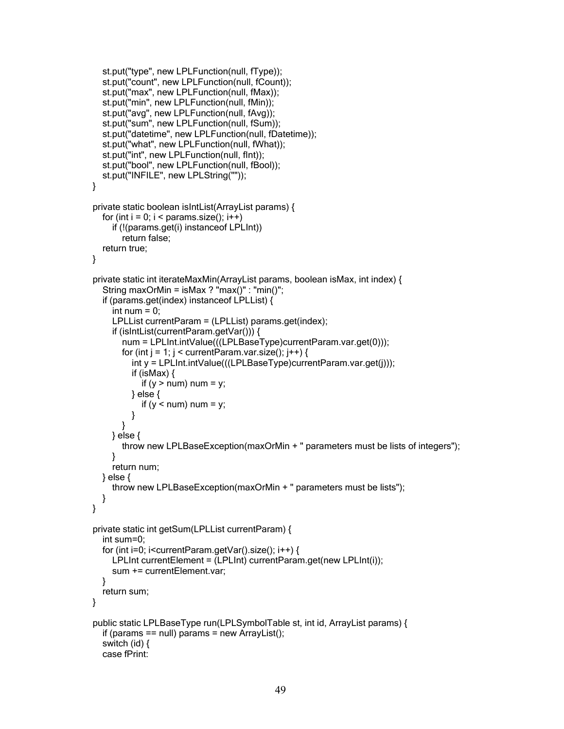```
st.put("type", new LPLFunction(null, fType));
  st.put("count", new LPLFunction(null, fCount));
  st.put("max", new LPLFunction(null, fMax));
  st.put("min", new LPLFunction(null, fMin));
  st.put("avg", new LPLFunction(null, fAvg));
  st.put("sum", new LPLFunction(null, fSum));
  st.put("datetime", new LPLFunction(null, fDatetime));
  st.put("what", new LPLFunction(null, fWhat));
  st.put("int", new LPLFunction(null, fInt));
  st.put("bool", new LPLFunction(null, fBool));
  st.put("INFILE", new LPLString(""));
}
private static boolean isIntList(ArrayList params) {
  for (int i = 0; i < params.size(); i++)
     if (!(params.get(i) instanceof LPLInt))
       return false;
  return true;
}
private static int iterateMaxMin(ArrayList params, boolean isMax, int index) {
  String maxOrMin = isMax ? "max()" : "min()";
  if (params.get(index) instanceof LPLList) {
     int num = 0:
     LPLList currentParam = (LPLList) params.get(index);
     if (isIntList(currentParam.getVar())) {
       num = LPLInt.intValue(((LPLBaseType)currentParam.var.get(0)));
       for (int j = 1; j < current Param.var.size(); j++) {
          int y = LPLInt.intValue(((LPLBaseType)currentParam.var.get(j)));
          if (isMax) {
            if (y > num) num = y;
          } else {
            if (y < num) num = y;
          }
       }
    } else {
       throw new LPLBaseException(maxOrMin + " parameters must be lists of integers");
     }
     return num;
  } else {
    throw new LPLBaseException(maxOrMin + " parameters must be lists");
  }
}
private static int getSum(LPLList currentParam) {
  int sum=0;
  for (int i=0; i<currentParam.getVar().size(); i++) {
     LPLInt currentElement = (LPLInt) currentParam.get(new LPLInt(i));
     sum += currentElement.var;
  }
  return sum;
}
public static LPLBaseType run(LPLSymbolTable st, int id, ArrayList params) {
  if (params == null) params = new ArrayList();
  switch (id) {
  case fPrint:
```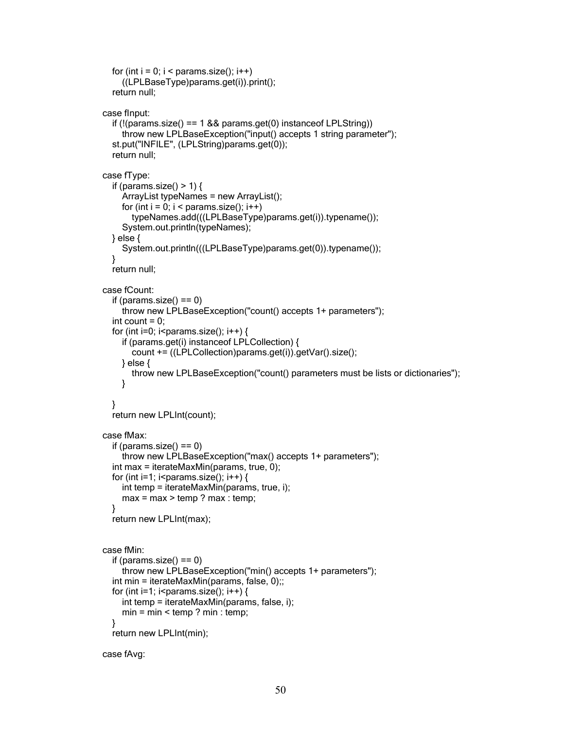```
for (int i = 0; i < params.size(); i++)
     ((LPLBaseType)params.get(i)).print();
  return null;
case fInput:
  if (!(params.size() == 1 && params.get(0) instanceof LPLString))
    throw new LPLBaseException("input() accepts 1 string parameter");
  st.put("INFILE", (LPLString)params.get(0));
  return null;
case fType:
  if (params.size() > 1) {
    ArrayList typeNames = new ArrayList();
    for (int i = 0; i < params.size(); i++)
       typeNames.add(((LPLBaseType)params.get(i)).typename());
     System.out.println(typeNames);
  } else {
    System.out.println(((LPLBaseType)params.get(0)).typename());
  }
  return null;
case fCount:
  if (params.size() == 0)
    throw new LPLBaseException("count() accepts 1+ parameters");
  int count = 0:
  for (int i=0; i<params.size(); i++) {
    if (params.get(i) instanceof LPLCollection) {
       count += ((LPLCollection)params.get(i)).getVar().size();
    } else {
       throw new LPLBaseException("count() parameters must be lists or dictionaries");
    }
  }
  return new LPLInt(count);
case fMax:
  if (params.size() == 0)
    throw new LPLBaseException("max() accepts 1+ parameters");
  int max = iterateMaxMin(params, true, 0);
  for (int i=1; i<params.size(); i++) {
    int temp = iterateMaxMin(params, true, i);
    max = max > temp? max : temp;
  }
  return new LPLInt(max);
case fMin:
  if (params.size() == 0)
    throw new LPLBaseException("min() accepts 1+ parameters");
  int min = iterateMaxMin(params, false, 0);;
  for (int i=1; i<params.size(); i++) {
    int temp = iterateMaxMin(params, false, i);
    min = min < temp ? min : temp;
  }
  return new LPLInt(min);
```

```
case fAvg:
```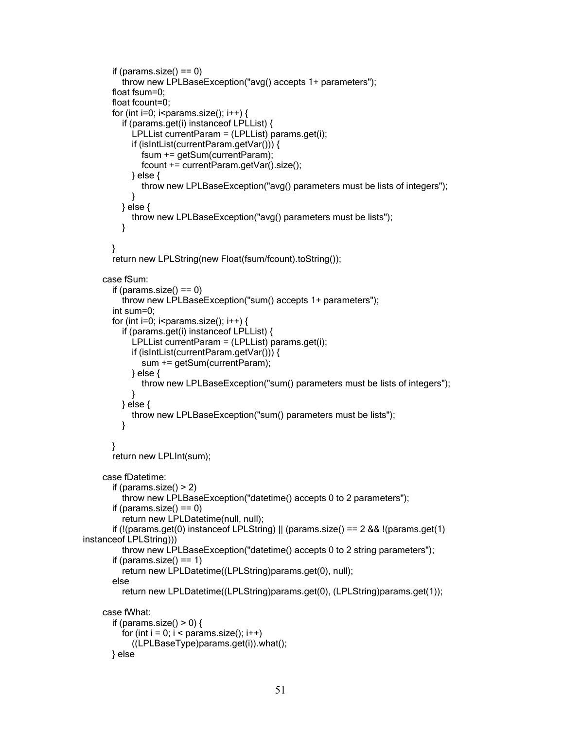```
if (params.size() == 0)
         throw new LPLBaseException("avg() accepts 1+ parameters");
       float fsum=0;
       float fcount=0;
       for (int i=0; i<params.size(); i++) {
         if (params.get(i) instanceof LPLList) {
            LPLList currentParam = (LPLList) params.get(i);
            if (isIntList(currentParam.getVar())) {
              fsum += getSum(currentParam);
              fcount += currentParam.getVar().size();
            } else {
              throw new LPLBaseException("avg() parameters must be lists of integers");
            }
         } else {
            throw new LPLBaseException("avg() parameters must be lists");
         }
       }
       return new LPLString(new Float(fsum/fcount).toString());
    case fSum:
       if (params.size() == 0)
         throw new LPLBaseException("sum() accepts 1+ parameters");
       int sum=0;
       for (int i=0; i<params.size(); i++) {
         if (params.get(i) instanceof LPLList) {
            LPLList currentParam = (LPLList) params.get(i);
            if (isIntList(currentParam.getVar())) {
              sum += getSum(currentParam);
            } else {
              throw new LPLBaseException("sum() parameters must be lists of integers");
            }
         } else {
            throw new LPLBaseException("sum() parameters must be lists");
         }
       }
       return new LPLInt(sum);
    case fDatetime:
       if (params.size() > 2)
         throw new LPLBaseException("datetime() accepts 0 to 2 parameters");
       if (params.size() == 0)
         return new LPLDatetime(null, null);
       if (!(params.get(0) instance of LPLString) || (params.size() == 2.88 !(params.get(1)
instanceof LPLString)))
         throw new LPLBaseException("datetime() accepts 0 to 2 string parameters");
       if (params.size() == 1)
         return new LPLDatetime((LPLString)params.get(0), null);
       else
         return new LPLDatetime((LPLString)params.get(0), (LPLString)params.get(1));
    case fWhat:
       if (params.size() > 0) {
         for (int i = 0; i < params.size(); i++)
            ((LPLBaseType)params.get(i)).what();
      } else
```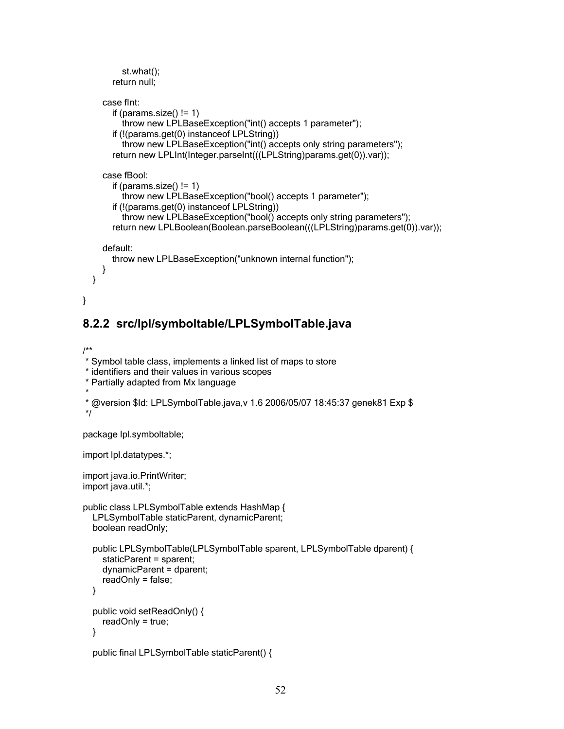```
st.what();
     return null;
  case fInt:
     if (params.size() != 1)
       throw new LPLBaseException("int() accepts 1 parameter");
     if (!(params.get(0) instanceof LPLString))
       throw new LPLBaseException("int() accepts only string parameters");
     return new LPLInt(Integer.parseInt(((LPLString)params.get(0)).var));
  case fBool:
     if (params.size() != 1)
       throw new LPLBaseException("bool() accepts 1 parameter");
     if (!(params.get(0) instanceof LPLString))
       throw new LPLBaseException("bool() accepts only string parameters");
     return new LPLBoolean(Boolean.parseBoolean(((LPLString)params.get(0)).var));
  default:
     throw new LPLBaseException("unknown internal function");
  }
}
```
### **8.2.2 src/lpl/symboltable/LPLSymbolTable.java**

```
/**
```

```
* Symbol table class, implements a linked list of maps to store
* identifiers and their values in various scopes
* Partially adapted from Mx language
*
* @version $Id: LPLSymbolTable.java,v 1.6 2006/05/07 18:45:37 genek81 Exp $
*/
package lpl.symboltable;
import lpl.datatypes.*;
import java.io.PrintWriter;
import java.util.*;
public class LPLSymbolTable extends HashMap {
  LPLSymbolTable staticParent, dynamicParent;
  boolean readOnly;
  public LPLSymbolTable(LPLSymbolTable sparent, LPLSymbolTable dparent) {
    staticParent = sparent;
    dynamicParent = dparent;
    readOnly = false;
  }
  public void setReadOnly() {
    readOnly = true;
  }
  public final LPLSymbolTable staticParent() {
```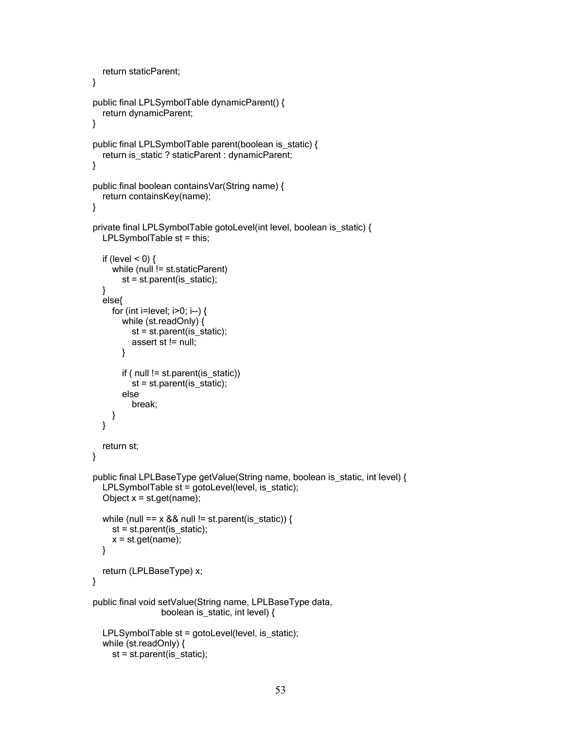```
return staticParent;
}
public final LPLSymbolTable dynamicParent() {
  return dynamicParent;
}
public final LPLSymbolTable parent(boolean is_static) {
  return is_static ? staticParent : dynamicParent;
}
public final boolean containsVar(String name) {
  return containsKey(name);
}
private final LPLSymbolTable gotoLevel(int level, boolean is_static) {
  LPLSymbolTable st = this;
  if (level < 0) {
    while (null != st.staticParent)
       st = st.parent(is_static);
  }
  else{
    for (int i=level; i>0; i--) {
       while (st.readOnly) {
          st = st.parent(is_static);
          assert st != null;
       }
       if ( null != st.parent(is_static))
          st = st.parent(is_static);
       else
          break;
    }
  }
  return st;
}
public final LPLBaseType getValue(String name, boolean is_static, int level) {
  LPLSymbolTable st = gotoLevel(level, is_static);
  Object x = st.get(name);while (null == x && null != st.parent(is_static)) {
     st = st.parent(is   state);x = st.get(name);}
  return (LPLBaseType) x;
}
public final void setValue(String name, LPLBaseType data,
                 boolean is_static, int level) {
  LPLSymbolTable st = gotoLevel(level, is_static);
  while (st.readOnly) {
     st = st.parent(is_static);
```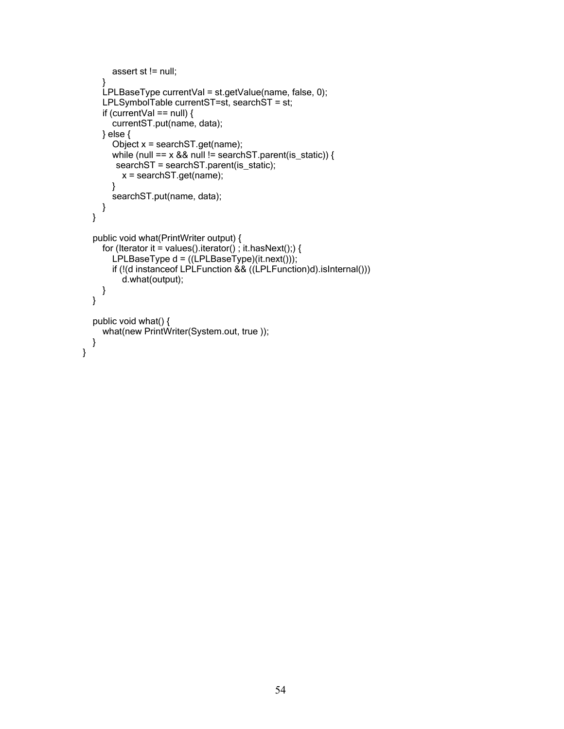```
assert st != null;
   }
  LPLBaseType currentVal = st.getValue(name, false, 0);
  LPLSymbolTable currentST=st, searchST = st;
  if (currentVal == null) \{currentST.put(name, data);
  } else {
     Object x = searchST.get(name);
     while (null == x && null != searchST.parent(is_static)) {
     searchST = searchST.parent(is_static);
       x = searchST.get(name);
    }
    searchST.put(name, data);
  }
}
public void what(PrintWriter output) {
  for (Iterator it = values().iterator(); it.hasNext();) {
    LPLBaseType d = ((LPLBaseType)(it.next)));
     if (!(d instanceof LPLFunction && ((LPLFunction)d).isInternal()))
       d.what(output);
  }
}
public void what() {
  what(new PrintWriter(System.out, true ));
}
```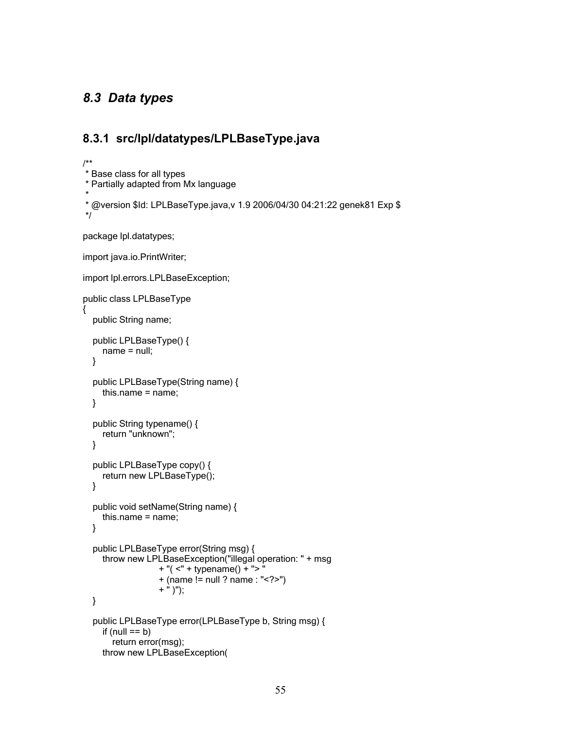# *8.3 Data types*

### **8.3.1 src/lpl/datatypes/LPLBaseType.java**

```
/**
* Base class for all types
* Partially adapted from Mx language
*
* @version $Id: LPLBaseType.java,v 1.9 2006/04/30 04:21:22 genek81 Exp $
*/
package lpl.datatypes;
import java.io.PrintWriter;
import lpl.errors.LPLBaseException;
public class LPLBaseType
{
  public String name;
  public LPLBaseType() {
    name = null;
  }
  public LPLBaseType(String name) {
    this.name = name;
  }
  public String typename() {
    return "unknown";
  }
  public LPLBaseType copy() {
    return new LPLBaseType();
  }
  public void setName(String name) {
    this.name = name;
  }
  public LPLBaseType error(String msg) {
    throw new LPLBaseException("illegal operation: " + msg
                  + "( <" + typename() + "> "
                  + (name != null ? name : "<?>")
                  + " )");
  }
  public LPLBaseType error(LPLBaseType b, String msg) {
    if (null == b)
       return error(msg);
    throw new LPLBaseException(
```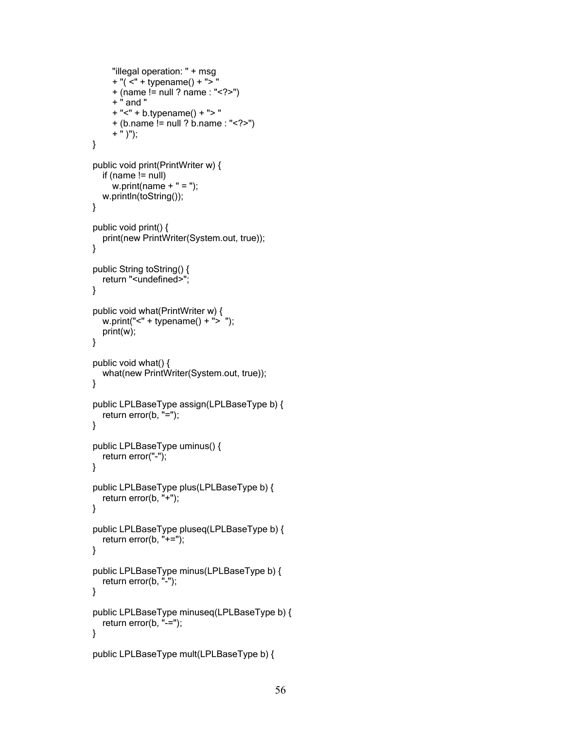```
"illegal operation: " + msg
     + "( <" + typename() + "> "
     + (name != null ? name : "<?>")
     + " and "
     + "<" + b.typename() + "> "
     + (b.name != null ? b.name : "<?>")
     + " )");
}
public void print(PrintWriter w) {
  if (name != null)w.print(name + " = ");
  w.println(toString());
}
public void print() {
  print(new PrintWriter(System.out, true));
}
public String toString() {
  return "<undefined>";
}
public void what(PrintWriter w) {
  w.print("<" + typename() + "> ");
  print(w);
}
public void what() {
  what(new PrintWriter(System.out, true));
}
public LPLBaseType assign(LPLBaseType b) {
  return error(b, "=");
}
public LPLBaseType uminus() {
  return error("-");
}
public LPLBaseType plus(LPLBaseType b) {
  return error(b, "+");
}
public LPLBaseType pluseq(LPLBaseType b) {
  return error(b, "+=");
}
public LPLBaseType minus(LPLBaseType b) {
  return error(b, "-");
}
public LPLBaseType minuseq(LPLBaseType b) {
  return error(b, "-=");
}
public LPLBaseType mult(LPLBaseType b) {
```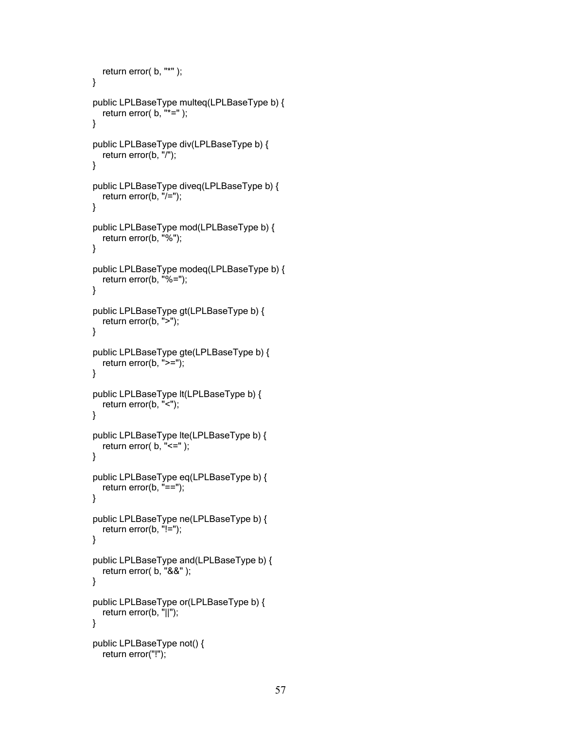```
return error( b, "*" );
}
public LPLBaseType multeq(LPLBaseType b) {
  return error(b, "*=");
}
public LPLBaseType div(LPLBaseType b) {
  return error(b, "/");
}
public LPLBaseType diveq(LPLBaseType b) {
  return error(b, "/=");
}
public LPLBaseType mod(LPLBaseType b) {
  return error(b, "%");
}
public LPLBaseType modeq(LPLBaseType b) {
  return error(b, "%=");
}
public LPLBaseType gt(LPLBaseType b) {
  return error(b, ">");
}
public LPLBaseType gte(LPLBaseType b) {
  return error(b, ">=");
}
public LPLBaseType lt(LPLBaseType b) {
  return error(b, "<");
}
public LPLBaseType lte(LPLBaseType b) {
  return error( b, "<=" );
}
public LPLBaseType eq(LPLBaseType b) {
  return error(b, "==");
}
public LPLBaseType ne(LPLBaseType b) {
  return error(b, "!=");
}
public LPLBaseType and(LPLBaseType b) {
  return error( b, "&&" );
}
public LPLBaseType or(LPLBaseType b) {
  return error(b, "||");
}
public LPLBaseType not() {
  return error("!");
```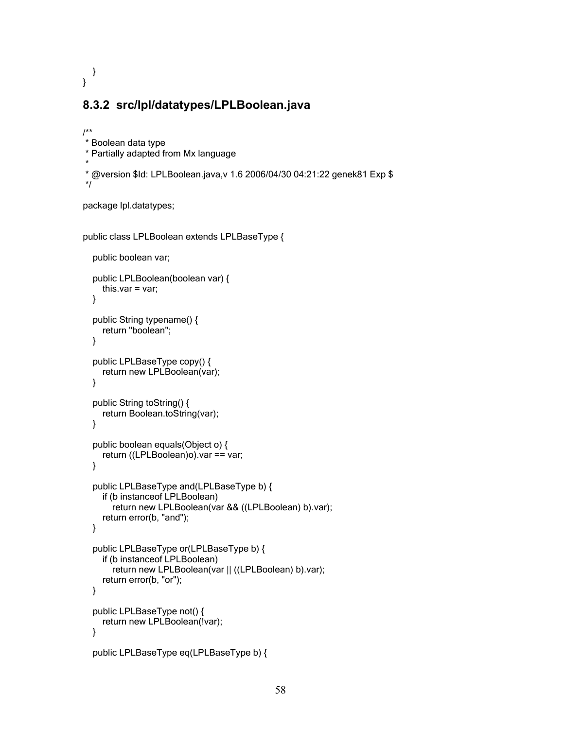} }

### **8.3.2 src/lpl/datatypes/LPLBoolean.java**

```
/**
* Boolean data type
* Partially adapted from Mx language
*
* @version $Id: LPLBoolean.java,v 1.6 2006/04/30 04:21:22 genek81 Exp $
*/
```
package lpl.datatypes;

```
public class LPLBoolean extends LPLBaseType {
```

```
public boolean var;
public LPLBoolean(boolean var) {
  this.var = var;
}
public String typename() {
  return "boolean";
}
public LPLBaseType copy() {
  return new LPLBoolean(var);
}
public String toString() {
  return Boolean.toString(var);
}
public boolean equals(Object o) {
  return ((LPLBoolean)o).var == var;
}
public LPLBaseType and(LPLBaseType b) {
  if (b instanceof LPLBoolean)
    return new LPLBoolean(var && ((LPLBoolean) b).var);
  return error(b, "and");
}
public LPLBaseType or(LPLBaseType b) {
  if (b instanceof LPLBoolean)
    return new LPLBoolean(var || ((LPLBoolean) b).var);
  return error(b, "or");
}
public LPLBaseType not() {
  return new LPLBoolean(!var);
}
public LPLBaseType eq(LPLBaseType b) {
```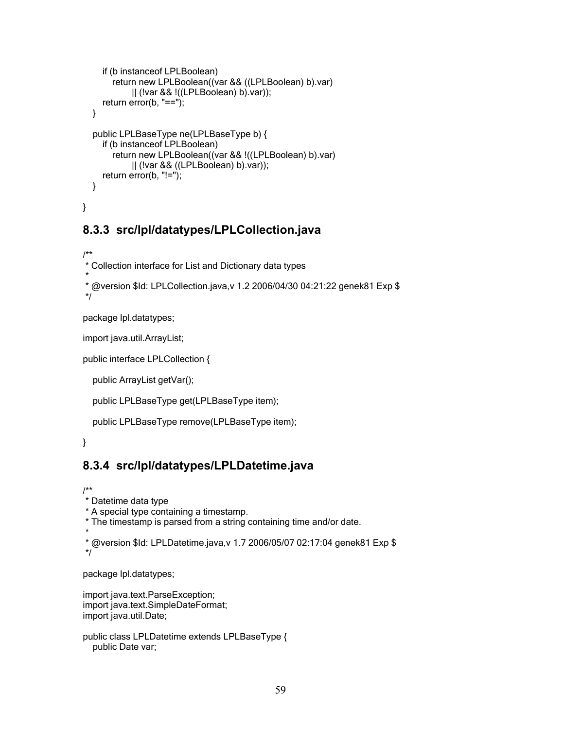```
if (b instanceof LPLBoolean)
       return new LPLBoolean((var && ((LPLBoolean) b).var)
            || (!var && !((LPLBoolean) b).var));
    return error(b, "==");
  }
  public LPLBaseType ne(LPLBaseType b) {
    if (b instanceof LPLBoolean)
       return new LPLBoolean((var && !((LPLBoolean) b).var)
            || (!var && ((LPLBoolean) b).var));
    return error(b, "!=");
  }
}
```
# **8.3.3 src/lpl/datatypes/LPLCollection.java**

```
/**
* Collection interface for List and Dictionary data types
*
```

```
* @version $Id: LPLCollection.java,v 1.2 2006/04/30 04:21:22 genek81 Exp $
*/
```
package lpl.datatypes;

import java.util.ArrayList;

public interface LPLCollection {

public ArrayList getVar();

```
public LPLBaseType get(LPLBaseType item);
```

```
public LPLBaseType remove(LPLBaseType item);
```
}

# **8.3.4 src/lpl/datatypes/LPLDatetime.java**

/\*\*

\* Datetime data type

\* A special type containing a timestamp.

```
* The timestamp is parsed from a string containing time and/or date.
```

```
*
```

```
* @version $Id: LPLDatetime.java,v 1.7 2006/05/07 02:17:04 genek81 Exp $
*/
```
package lpl.datatypes;

import java.text.ParseException; import java.text.SimpleDateFormat; import java.util.Date;

```
public class LPLDatetime extends LPLBaseType {
  public Date var;
```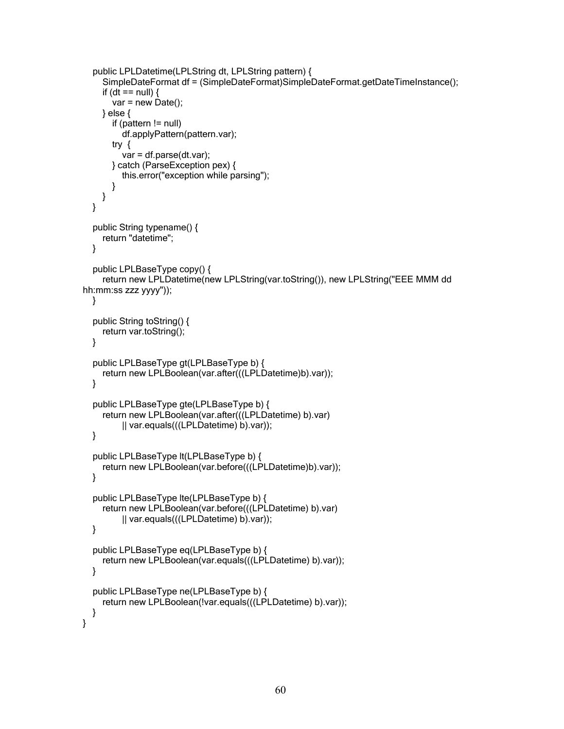```
public LPLDatetime(LPLString dt, LPLString pattern) {
    SimpleDateFormat df = (SimpleDateFormat)SimpleDateFormat.getDateTimeInstance();
    if (dt == null) {
       var = new Date();
    } else {
       if (pattern != null)
         df.applyPattern(pattern.var);
      try {
         var = df.parse(dt.var);
      } catch (ParseException pex) {
         this.error("exception while parsing");
      }
    }
  }
  public String typename() {
    return "datetime";
  }
  public LPLBaseType copy() {
    return new LPLDatetime(new LPLString(var.toString()), new LPLString("EEE MMM dd
hh:mm:ss zzz yyyy"));
  }
  public String toString() {
    return var.toString();
  }
  public LPLBaseType gt(LPLBaseType b) {
    return new LPLBoolean(var.after(((LPLDatetime)b).var));
  }
  public LPLBaseType gte(LPLBaseType b) {
    return new LPLBoolean(var.after(((LPLDatetime) b).var)
         || var.equals(((LPLDatetime) b).var));
  }
  public LPLBaseType lt(LPLBaseType b) {
    return new LPLBoolean(var.before(((LPLDatetime)b).var));
  }
  public LPLBaseType lte(LPLBaseType b) {
    return new LPLBoolean(var.before(((LPLDatetime) b).var)
         || var.equals(((LPLDatetime) b).var));
  }
  public LPLBaseType eq(LPLBaseType b) {
    return new LPLBoolean(var.equals(((LPLDatetime) b).var));
  }
  public LPLBaseType ne(LPLBaseType b) {
    return new LPLBoolean(!var.equals(((LPLDatetime) b).var));
  }
}
```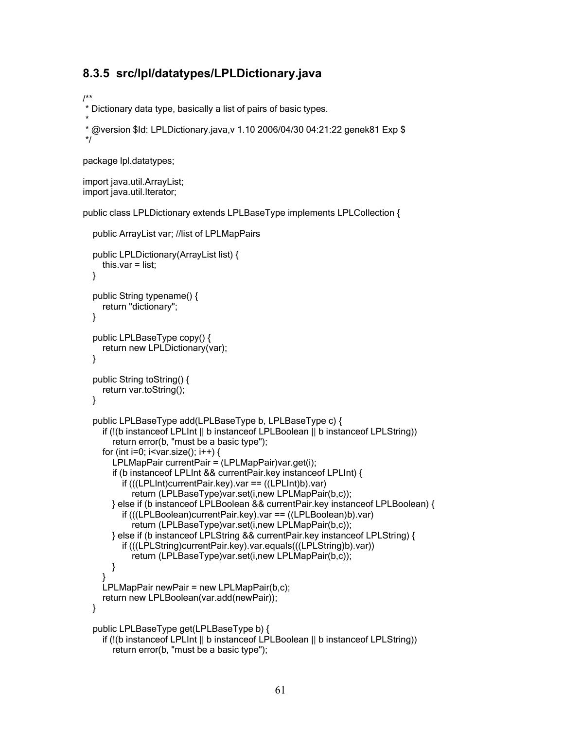### **8.3.5 src/lpl/datatypes/LPLDictionary.java**

/\*\*

\* Dictionary data type, basically a list of pairs of basic types.

```
*
* @version $Id: LPLDictionary.java,v 1.10 2006/04/30 04:21:22 genek81 Exp $
*/
```
package lpl.datatypes;

import java.util.ArrayList; import java.util.Iterator;

public class LPLDictionary extends LPLBaseType implements LPLCollection {

```
public ArrayList var; //list of LPLMapPairs
public LPLDictionary(ArrayList list) {
  this.var = list:
}
public String typename() {
  return "dictionary";
}
public LPLBaseType copy() {
  return new LPLDictionary(var);
}
public String toString() {
  return var.toString();
}
public LPLBaseType add(LPLBaseType b, LPLBaseType c) {
  if (!(b instanceof LPLInt || b instanceof LPLBoolean || b instanceof LPLString))
    return error(b, "must be a basic type");
  for (int i=0; i<var.size(); i++) {
    LPLMapPair currentPair = (LPLMapPair)var.get(i);
    if (b instanceof LPLInt && currentPair.key instanceof LPLInt) {
       if (((LPLInt)currentPair.key).var == ((LPLInt)b).var)
         return (LPLBaseType)var.set(i,new LPLMapPair(b,c));
    } else if (b instanceof LPLBoolean && currentPair.key instanceof LPLBoolean) {
       if (((LPLBoolean)currentPair.key).var == ((LPLBoolean)b).var)
         return (LPLBaseType)var.set(i,new LPLMapPair(b,c));
    } else if (b instanceof LPLString && currentPair.key instanceof LPLString) {
       if (((LPLString)currentPair.key).var.equals(((LPLString)b).var))
         return (LPLBaseType)var.set(i,new LPLMapPair(b,c));
    }
  }
  LPLMapPair newPair = new LPLMapPair(b,c);
  return new LPLBoolean(var.add(newPair));
}
public LPLBaseType get(LPLBaseType b) {
  if (!(b instanceof LPLInt || b instanceof LPLBoolean || b instanceof LPLString))
    return error(b, "must be a basic type");
```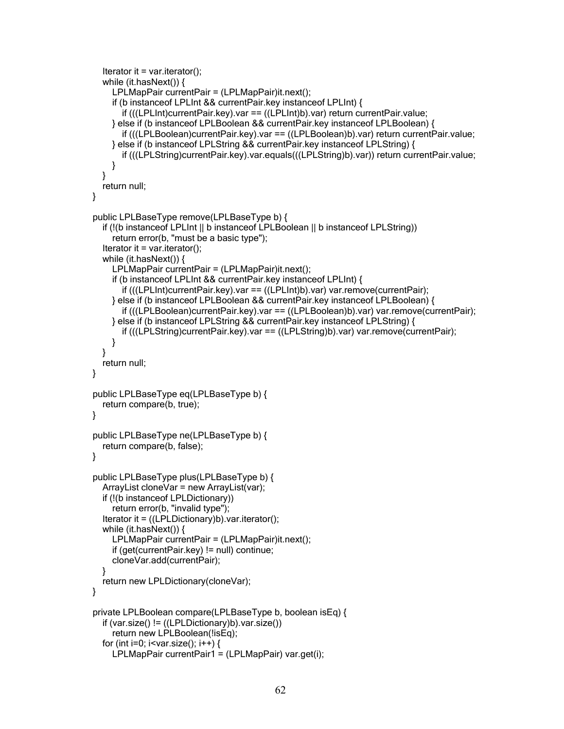```
Iterator it = var.iterator();
  while (it.hasNext()) {
    LPLMapPair currentPair = (LPLMapPair)it.next();
    if (b instanceof LPLInt && currentPair.key instanceof LPLInt) {
       if (((LPLInt)currentPair.key).var == ((LPLInt)b).var) return currentPair.value;
    } else if (b instanceof LPLBoolean && currentPair.key instanceof LPLBoolean) {
       if (((LPLBoolean)currentPair.key).var == ((LPLBoolean)b).var) return currentPair.value;
    } else if (b instanceof LPLString && currentPair.key instanceof LPLString) {
       if (((LPLString)currentPair.key).var.equals(((LPLString)b).var)) return currentPair.value;
    }
  }
  return null;
}
public LPLBaseType remove(LPLBaseType b) {
  if (!(b instanceof LPLInt || b instanceof LPLBoolean || b instanceof LPLString))
     return error(b, "must be a basic type");
  Iterator it = var.iterator();
  while (it.hasNext()) {
     LPLMapPair currentPair = (LPLMapPair)it.next();
     if (b instanceof LPLInt && currentPair.key instanceof LPLInt) {
       if (((LPLInt)currentPair.key).var == ((LPLInt)b).var) var.remove(currentPair);
    } else if (b instanceof LPLBoolean && currentPair.key instanceof LPLBoolean) {
       if (((LPLBoolean)currentPair.key).var == ((LPLBoolean)b).var) var.remove(currentPair);
    } else if (b instanceof LPLString && currentPair.key instanceof LPLString) {
       if (((LPLString)currentPair.key).var == ((LPLString)b).var) var.remove(currentPair);
    }
  }
  return null;
}
public LPLBaseType eq(LPLBaseType b) {
  return compare(b, true);
}
public LPLBaseType ne(LPLBaseType b) {
  return compare(b, false);
}
public LPLBaseType plus(LPLBaseType b) {
  ArrayList cloneVar = new ArrayList(var);
  if (!(b instanceof LPLDictionary))
     return error(b, "invalid type");
  Iterator it = ((LPLDictionary)b).var.iterator();
  while (it.hasNext()) {
     LPLMapPair currentPair = (LPLMapPair)it.next();
     if (get(currentPair.key) != null) continue;
     cloneVar.add(currentPair);
  }
  return new LPLDictionary(cloneVar);
}
private LPLBoolean compare(LPLBaseType b, boolean isEq) {
  if (var.size() != ((LPLDictionary)b).var.size())
     return new LPLBoolean(!isEq);
  for (int i=0; i<var.size(); i++) {
```

```
LPLMapPair currentPair1 = (LPLMapPair) var.get(i);
```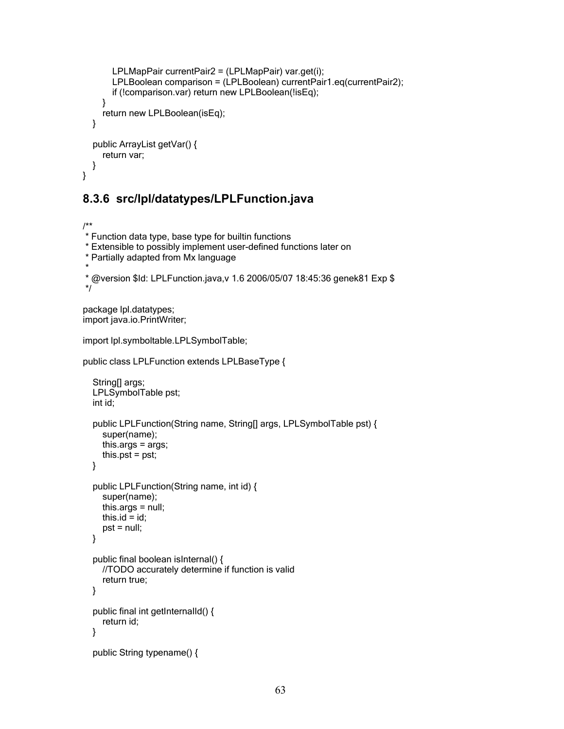```
LPLMapPair currentPair2 = (LPLMapPair) var.get(i);
       LPLBoolean comparison = (LPLBoolean) currentPair1.eq(currentPair2);
       if (!comparison.var) return new LPLBoolean(!isEq);
    }
    return new LPLBoolean(isEq);
  }
  public ArrayList getVar() {
    return var;
  }
}
```
### **8.3.6 src/lpl/datatypes/LPLFunction.java**

```
/**
* Function data type, base type for builtin functions
* Extensible to possibly implement user-defined functions later on
* Partially adapted from Mx language
*
* @version $Id: LPLFunction.java,v 1.6 2006/05/07 18:45:36 genek81 Exp $
*/
```
package lpl.datatypes; import java.io.PrintWriter;

import lpl.symboltable.LPLSymbolTable;

public class LPLFunction extends LPLBaseType {

```
String[] args;
LPLSymbolTable pst;
int id;
public LPLFunction(String name, String[] args, LPLSymbolTable pst) {
  super(name);
  this.args = args;
  this.pst = pst;
}
public LPLFunction(String name, int id) {
  super(name);
  this.args = null;
  this.id = id;
  pst = null;}
public final boolean isInternal() {
  //TODO accurately determine if function is valid
  return true;
}
public final int getInternalId() {
  return id;
}
public String typename() {
```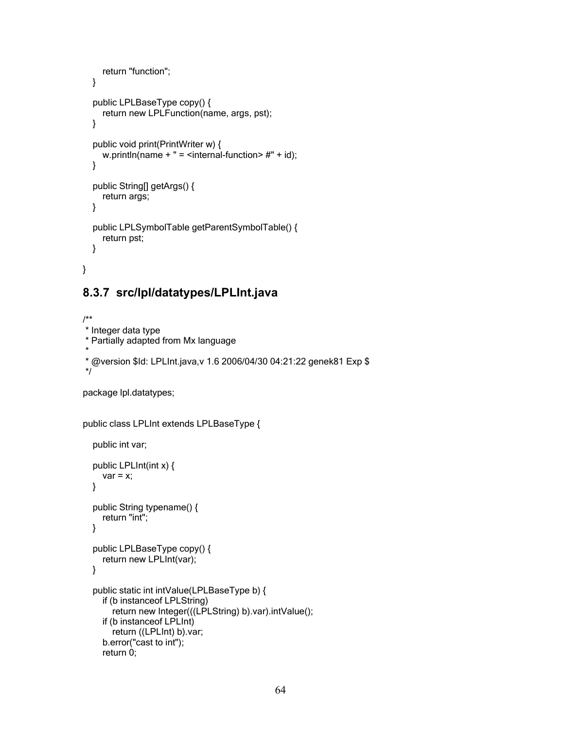```
return "function";
  }
  public LPLBaseType copy() {
    return new LPLFunction(name, args, pst);
  }
  public void print(PrintWriter w) {
    w.println(name + " = <internal-function> #" + id);
  }
  public String[] getArgs() {
    return args;
  }
  public LPLSymbolTable getParentSymbolTable() {
    return pst;
  }
}
```
# **8.3.7 src/lpl/datatypes/LPLInt.java**

```
/**
* Integer data type
* Partially adapted from Mx language
*
* @version $Id: LPLInt.java,v 1.6 2006/04/30 04:21:22 genek81 Exp $
*/
```
package lpl.datatypes;

```
public class LPLInt extends LPLBaseType {
```

```
public int var;
public LPLInt(int x) {
  var = x;
}
public String typename() {
  return "int";
}
public LPLBaseType copy() {
  return new LPLInt(var);
}
public static int intValue(LPLBaseType b) {
  if (b instanceof LPLString)
     return new Integer(((LPLString) b).var).intValue();
  if (b instanceof LPLInt)
     return ((LPLInt) b).var;
  b.error("cast to int");
  return 0;
```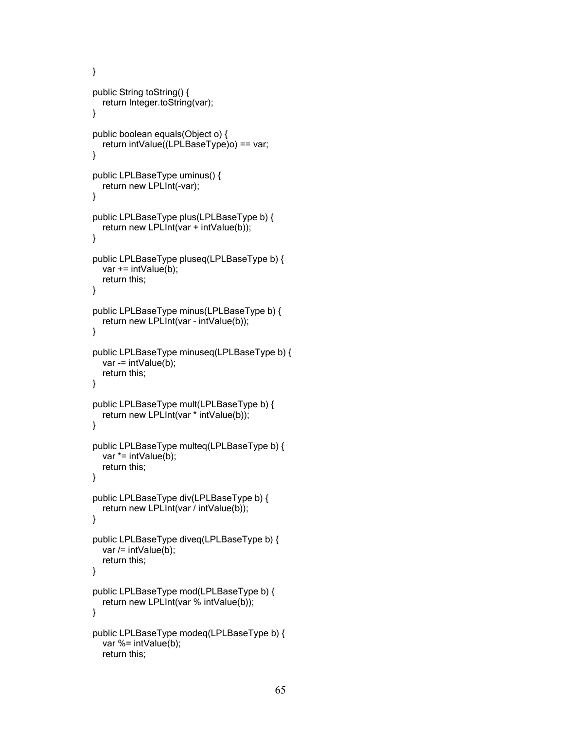```
}
public String toString() {
  return Integer.toString(var);
}
public boolean equals(Object o) {
  return intValue((LPLBaseType)o) == var;
}
public LPLBaseType uminus() {
  return new LPLInt(-var);
}
public LPLBaseType plus(LPLBaseType b) {
  return new LPLInt(var + intValue(b));
}
public LPLBaseType pluseq(LPLBaseType b) {
  var += intValue(b);
  return this;
}
public LPLBaseType minus(LPLBaseType b) {
  return new LPLInt(var - intValue(b));
}
public LPLBaseType minuseq(LPLBaseType b) {
  var = intValue(b);
  return this;
}
public LPLBaseType mult(LPLBaseType b) {
  return new LPLInt(var * intValue(b));
}
public LPLBaseType multeq(LPLBaseType b) {
  var *= intValue(b);
  return this;
}
public LPLBaseType div(LPLBaseType b) {
  return new LPLInt(var / intValue(b));
}
public LPLBaseType diveq(LPLBaseType b) {
  var /= intValue(b);
  return this;
}
public LPLBaseType mod(LPLBaseType b) {
  return new LPLInt(var % intValue(b));
}
public LPLBaseType modeq(LPLBaseType b) {
  var %= intValue(b);
  return this;
```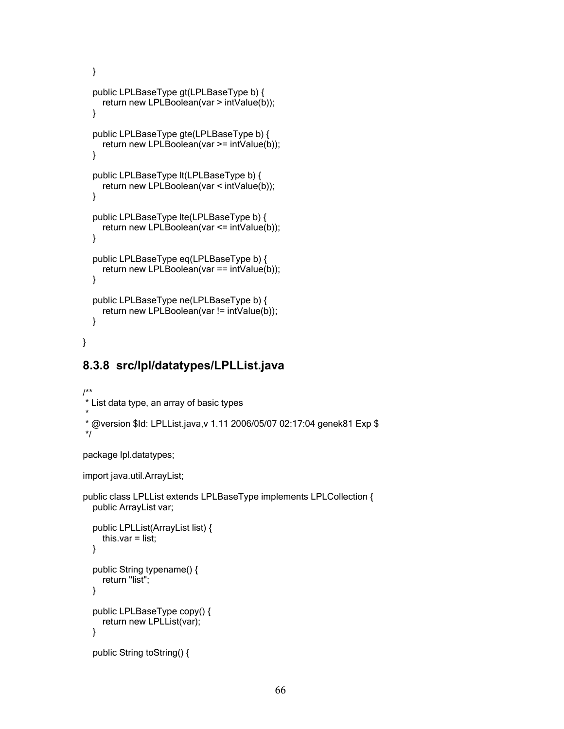```
}
public LPLBaseType gt(LPLBaseType b) {
  return new LPLBoolean(var > intValue(b));
}
public LPLBaseType gte(LPLBaseType b) {
  return new LPLBoolean(var >= intValue(b));
}
public LPLBaseType lt(LPLBaseType b) {
  return new LPLBoolean(var < intValue(b));
}
public LPLBaseType lte(LPLBaseType b) {
  return new LPLBoolean(var <= intValue(b));
}
public LPLBaseType eq(LPLBaseType b) {
  return new LPLBoolean(var == intValue(b));
}
public LPLBaseType ne(LPLBaseType b) {
  return new LPLBoolean(var != intValue(b));
}
```
# **8.3.8 src/lpl/datatypes/LPLList.java**

```
/**
* List data type, an array of basic types
*
* @version $Id: LPLList.java,v 1.11 2006/05/07 02:17:04 genek81 Exp $
*/
```
package lpl.datatypes;

}

import java.util.ArrayList;

```
public class LPLList extends LPLBaseType implements LPLCollection {
  public ArrayList var;
  public LPLList(ArrayList list) {
    this.var = list;
  }
  public String typename() {
    return "list";
  }
  public LPLBaseType copy() {
    return new LPLList(var);
  }
  public String toString() {
```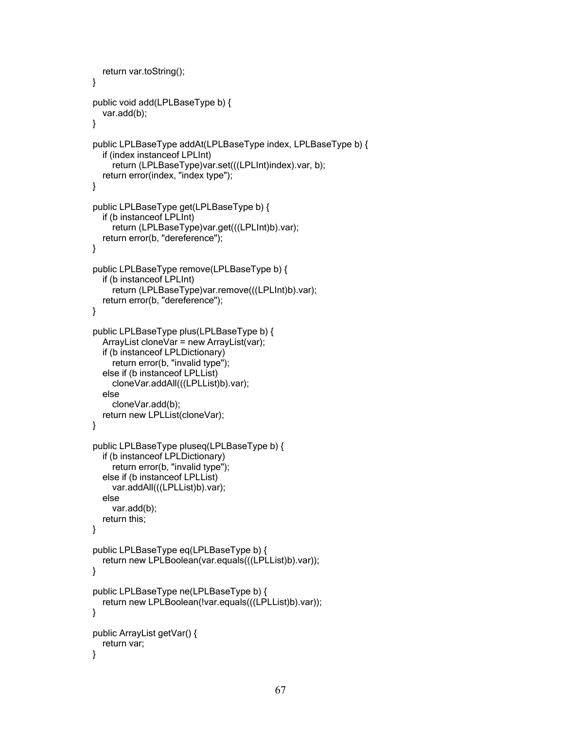```
return var.toString();
}
public void add(LPLBaseType b) {
  var.add(b);
}
public LPLBaseType addAt(LPLBaseType index, LPLBaseType b) {
  if (index instanceof LPLInt)
     return (LPLBaseType)var.set(((LPLInt)index).var, b);
  return error(index, "index type");
}
public LPLBaseType get(LPLBaseType b) {
  if (b instanceof LPLInt)
     return (LPLBaseType)var.get(((LPLInt)b).var);
  return error(b, "dereference");
}
public LPLBaseType remove(LPLBaseType b) {
  if (b instanceof LPLInt)
    return (LPLBaseType)var.remove(((LPLInt)b).var);
  return error(b, "dereference");
}
public LPLBaseType plus(LPLBaseType b) {
  ArrayList cloneVar = new ArrayList(var);
  if (b instanceof LPLDictionary)
     return error(b, "invalid type");
  else if (b instanceof LPLList)
     cloneVar.addAll(((LPLList)b).var);
  else
     cloneVar.add(b);
  return new LPLList(cloneVar);
}
public LPLBaseType pluseq(LPLBaseType b) {
  if (b instanceof LPLDictionary)
     return error(b, "invalid type");
  else if (b instanceof LPLList)
    var.addAll(((LPLList)b).var);
  else
    var.add(b);
  return this;
}
public LPLBaseType eq(LPLBaseType b) {
  return new LPLBoolean(var.equals(((LPLList)b).var));
}
public LPLBaseType ne(LPLBaseType b) {
  return new LPLBoolean(!var.equals(((LPLList)b).var));
}
public ArrayList getVar() {
  return var;
}
```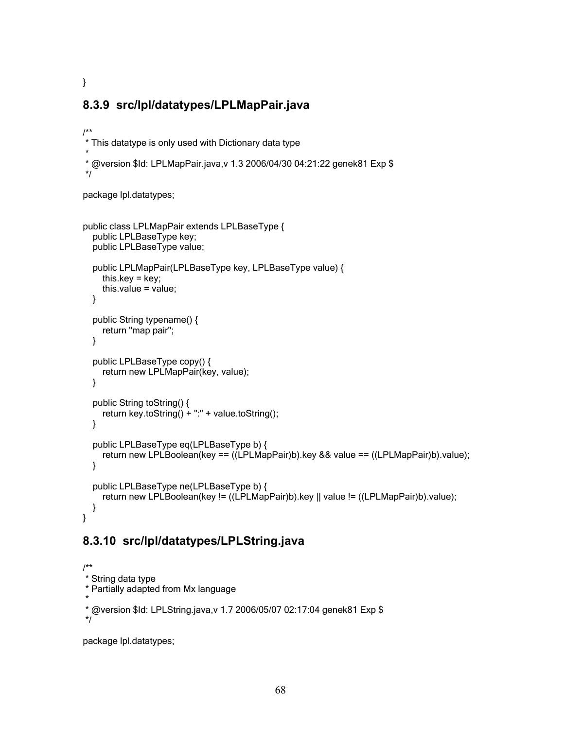# **8.3.9 src/lpl/datatypes/LPLMapPair.java**

```
/**
* This datatype is only used with Dictionary data type
*
* @version $Id: LPLMapPair.java,v 1.3 2006/04/30 04:21:22 genek81 Exp $
*/
```
package lpl.datatypes;

}

```
public class LPLMapPair extends LPLBaseType {
  public LPLBaseType key;
  public LPLBaseType value;
  public LPLMapPair(LPLBaseType key, LPLBaseType value) {
    this.key = key;
    this.value = value;
  }
  public String typename() {
    return "map pair";
  }
  public LPLBaseType copy() {
    return new LPLMapPair(key, value);
  }
  public String toString() {
    return key.toString() + ":" + value.toString();
  }
  public LPLBaseType eq(LPLBaseType b) {
    return new LPLBoolean(key == ((LPLMapPair)b).key && value == ((LPLMapPair)b).value);
  }
  public LPLBaseType ne(LPLBaseType b) {
    return new LPLBoolean(key != ((LPLMapPair)b).key || value != ((LPLMapPair)b).value);
  }
}
```
# **8.3.10 src/lpl/datatypes/LPLString.java**

```
/**
* String data type
* Partially adapted from Mx language
*
* @version $Id: LPLString.java,v 1.7 2006/05/07 02:17:04 genek81 Exp $
*/
```
package lpl.datatypes;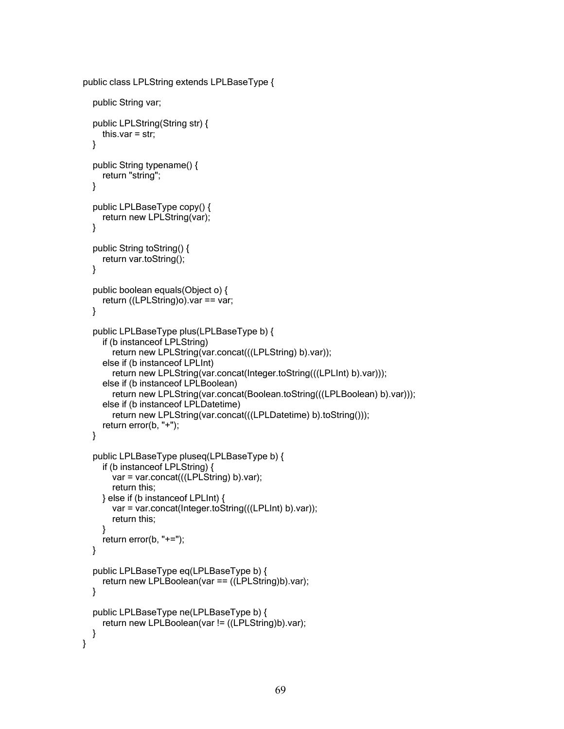```
public class LPLString extends LPLBaseType {
```

```
public String var;
public LPLString(String str) {
  this.var = str;
}
public String typename() {
  return "string";
}
public LPLBaseType copy() {
  return new LPLString(var);
}
public String toString() {
  return var.toString();
}
public boolean equals(Object o) {
  return ((LPLString)o).var == var;
}
public LPLBaseType plus(LPLBaseType b) {
  if (b instanceof LPLString)
     return new LPLString(var.concat(((LPLString) b).var));
  else if (b instanceof LPLInt)
     return new LPLString(var.concat(Integer.toString(((LPLInt) b).var)));
  else if (b instanceof LPLBoolean)
     return new LPLString(var.concat(Boolean.toString(((LPLBoolean) b).var)));
  else if (b instanceof LPLDatetime)
     return new LPLString(var.concat(((LPLDatetime) b).toString()));
  return error(b, "+");
}
public LPLBaseType pluseq(LPLBaseType b) {
  if (b instanceof LPLString) {
     var = var.concat(((LPLString) b).var);
     return this;
  } else if (b instanceof LPLInt) {
     var = var.concat(Integer.toString(((LPLInt) b).var));
     return this;
  }
  return error(b, "+=");
}
public LPLBaseType eq(LPLBaseType b) {
  return new LPLBoolean(var == ((LPLString)b).var);
}
public LPLBaseType ne(LPLBaseType b) {
  return new LPLBoolean(var != ((LPLString)b).var);
}
```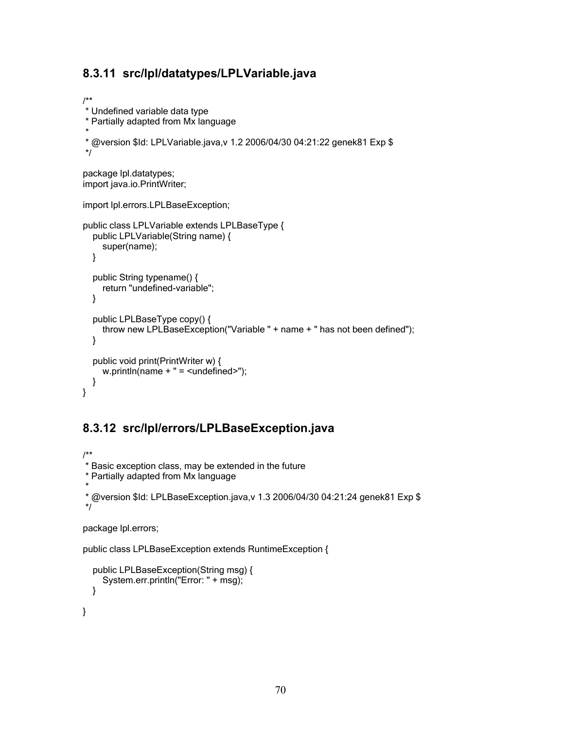# **8.3.11 src/lpl/datatypes/LPLVariable.java**

```
/**
* Undefined variable data type
* Partially adapted from Mx language
*
* @version $Id: LPLVariable.java,v 1.2 2006/04/30 04:21:22 genek81 Exp $
*/
package lpl.datatypes;
import java.io.PrintWriter;
import lpl.errors.LPLBaseException;
public class LPLVariable extends LPLBaseType {
  public LPLVariable(String name) {
    super(name);
  }
  public String typename() {
    return "undefined-variable";
  }
  public LPLBaseType copy() {
    throw new LPLBaseException("Variable " + name + " has not been defined");
  }
  public void print(PrintWriter w) {
    w.println(name + " = \lequndefined>");
  }
}
```
# **8.3.12 src/lpl/errors/LPLBaseException.java**

```
/**
* Basic exception class, may be extended in the future
* Partially adapted from Mx language
*
* @version $Id: LPLBaseException.java,v 1.3 2006/04/30 04:21:24 genek81 Exp $
*/
```

```
package lpl.errors;
```

```
public class LPLBaseException extends RuntimeException {
```

```
public LPLBaseException(String msg) {
  System.err.println("Error: " + msg);
}
```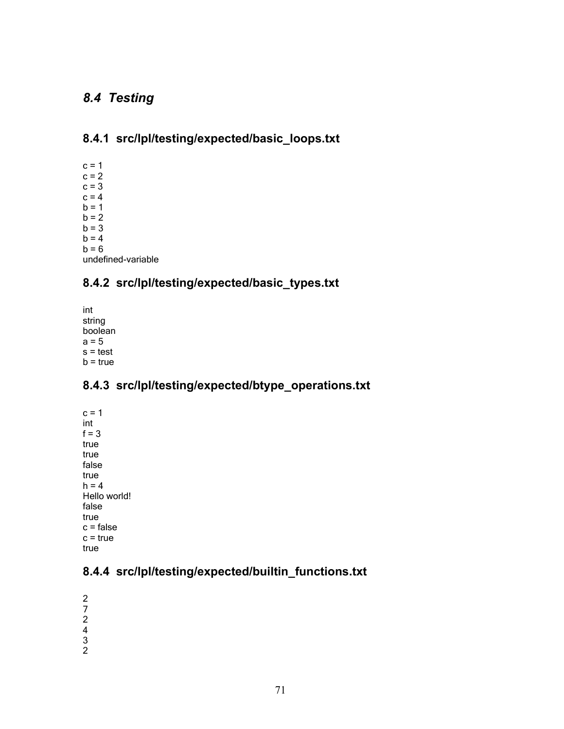# *8.4 Testing*

# **8.4.1 src/lpl/testing/expected/basic\_loops.txt**

 $c = 1$  $c = 2$  $c = 3$  $c = 4$  $b = 1$  $b = 2$  $b = 3$  $b = 4$  $b = 6$ undefined-variable

#### **8.4.2 src/lpl/testing/expected/basic\_types.txt**

int string boolean  $a = 5$  $s = test$  $b = true$ 

### **8.4.3 src/lpl/testing/expected/btype\_operations.txt**

 $c = 1$ int  $f = 3$ true true false true  $h = 4$ Hello world! false true  $c = false$ c = true true

### **8.4.4 src/lpl/testing/expected/builtin\_functions.txt**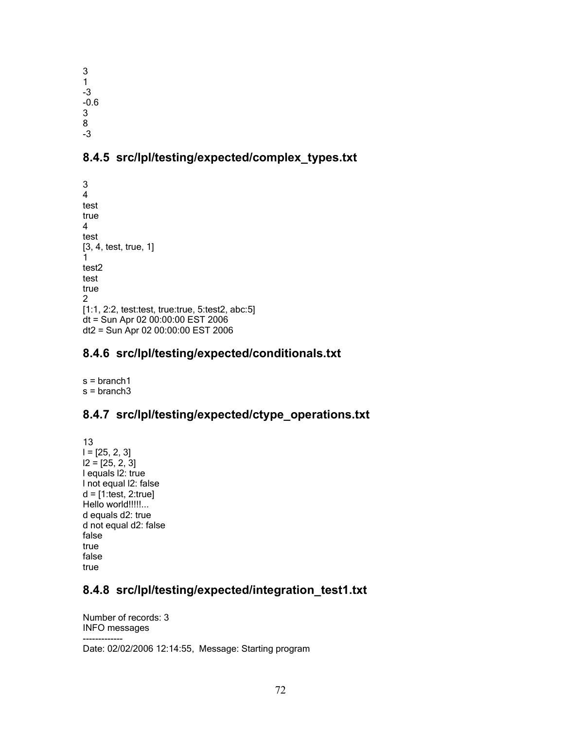3 1 -3 -0.6 3 8 -3

### **8.4.5 src/lpl/testing/expected/complex\_types.txt**

3 4 test true 4 test [3, 4, test, true, 1] 1 test2 test true 2 [1:1, 2:2, test:test, true:true, 5:test2, abc:5] dt = Sun Apr 02 00:00:00 EST 2006 dt2 = Sun Apr 02 00:00:00 EST 2006

### **8.4.6 src/lpl/testing/expected/conditionals.txt**

s = branch1  $s = branch3$ 

### **8.4.7 src/lpl/testing/expected/ctype\_operations.txt**

13  $I = [25, 2, 3]$  $12 = [25, 2, 3]$ l equals l2: true l not equal l2: false  $d = [1:test, 2:true]$ Hello world!!!!!... d equals d2: true d not equal d2: false false true false true

### **8.4.8 src/lpl/testing/expected/integration\_test1.txt**

Number of records: 3 INFO messages

-------------

Date: 02/02/2006 12:14:55, Message: Starting program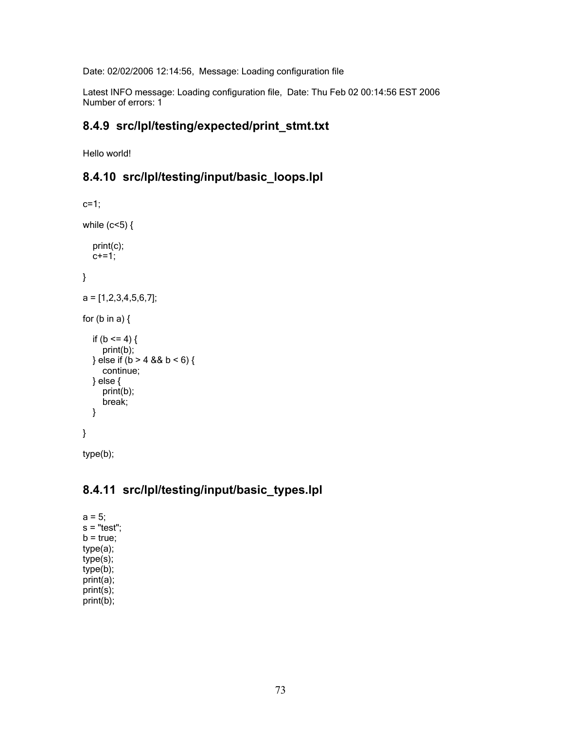Date: 02/02/2006 12:14:56, Message: Loading configuration file

Latest INFO message: Loading configuration file, Date: Thu Feb 02 00:14:56 EST 2006 Number of errors: 1

#### **8.4.9 src/lpl/testing/expected/print\_stmt.txt**

Hello world!

#### **8.4.10 src/lpl/testing/input/basic\_loops.lpl**

```
c=1;
while (c<5) {
  print(c);
  c+=1;}
a = [1,2,3,4,5,6,7];
for (b \text{ in a}) {
  if (b \le 4) {
     print(b);
  } else if (b > 4 & 8 & 6 & 6) {
     continue;
  } else {
     print(b);
     break;
  }
}
```
type(b);

# **8.4.11 src/lpl/testing/input/basic\_types.lpl**

 $a = 5$ ;  $s$  = "test";  $b = true;$ type(a); type(s); type(b); print(a); print(s); print(b);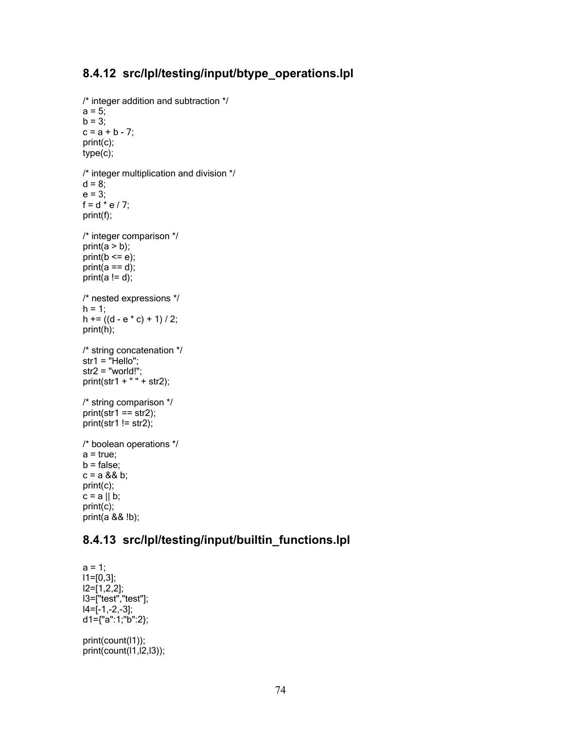# **8.4.12 src/lpl/testing/input/btype\_operations.lpl**

```
/* integer addition and subtraction */
a = 5;b = 3;
c = a + b - 7;print(c);
type(c);
/* integer multiplication and division */
d = 8;
e = 3:
f = d * e / 7;print(f);
/* integer comparison */
print(a > b);
print(b \le e);print(a == d);
print(a := d);
/* nested expressions */
h = 1;
h += ((d - e * c) + 1) / 2;print(h);
/* string concatenation */
str1 = "Hello":str2 = "world!";print(str1 + " + str2);
/* string comparison */
print(str1 == str2);print(str1 != str2);/* boolean operations */
a = true;
b = false;c = a 88 b;print(c);
c = a \parallel b;print(c);
print(a && !b);
```
#### **8.4.13 src/lpl/testing/input/builtin\_functions.lpl**

```
a = 1;
l1=[0,3];
l2=[1,2,2];
l3=["test","test"];
14=[-1,-2,-3];
d1={"a":1;"b":2};
print(count(l1));
```
 $print(count(11,12,13));$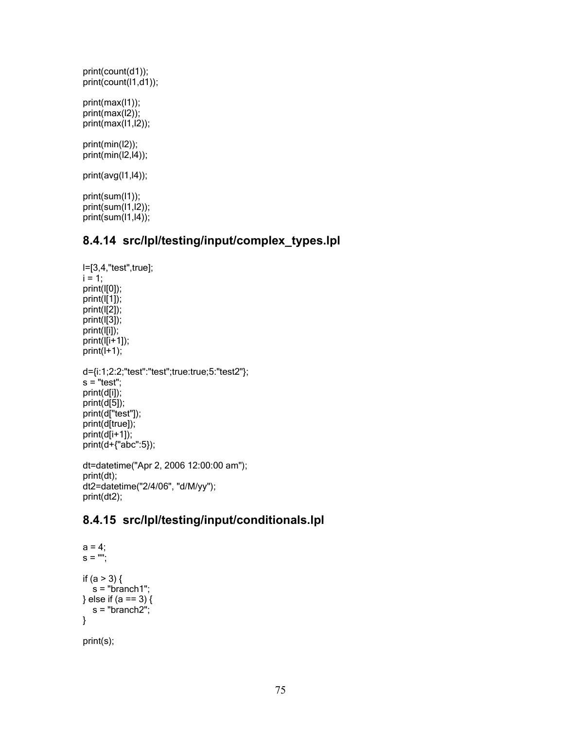```
print(count(d1));
print(count(1,d1));
print(max(l1));
print(max(l2));
print(max(I1,I2));
print(min(l2));
print(min(l2,l4));
print(avg(l1,l4));
print(sum(l1));
print(sum(l1,l2));
print(sum(l1,l4));
```
#### **8.4.14 src/lpl/testing/input/complex\_types.lpl**

```
l=[3,4,"test",true];
i = 1;print(l[0]);
print(l[1]);
print(l[2]);
print(l[3]);
print(l[i]);
print(l[i+1]);
print(l+1);
d={i:1;2:2;"test":"test";true:true;5:"test2"};
s = "test";
print(d[i]);
print(d[5]);
print(d["test"]);
print(d[true]);
print(d[i+1]);
print(d+{"abc":5});
dt=datetime("Apr 2, 2006 12:00:00 am");
print(dt);
dt2=datetime("2/4/06", "d/M/yy");
print(dt2);
```
#### **8.4.15 src/lpl/testing/input/conditionals.lpl**

```
a = 4;s = "";
if (a > 3) {
  s = "branch1";
} else if (a == 3) {
  s = "branch2";}
```

```
print(s);
```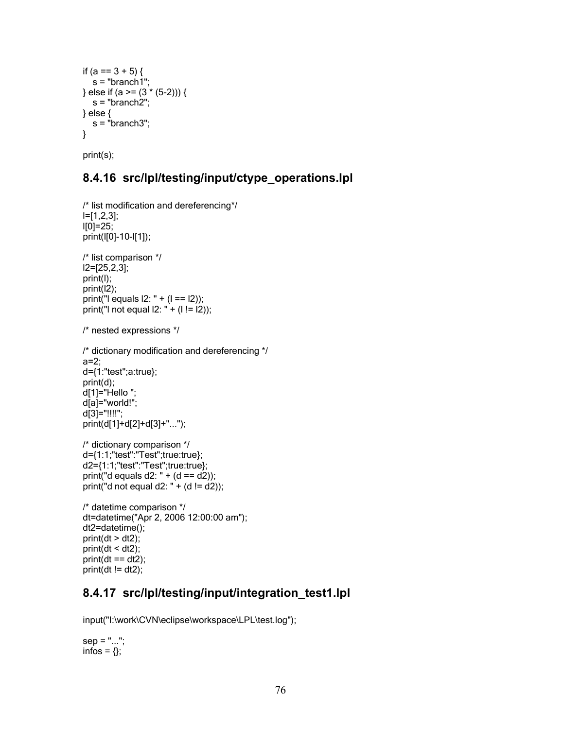```
if (a == 3 + 5) {
   s = "branch1";
} else if (a >= (3 \times (5-2))) {
  s = "branch2";
} else {
  s = "branch3";}
```
print(s);

#### **8.4.16 src/lpl/testing/input/ctype\_operations.lpl**

```
/* list modification and dereferencing*/
l=[1,2,3];
|10|=25;print(l[0]-10-l[1]);
/* list comparison */
l2=[25,2,3];
print(l);
print(l2);
print("I equals 12: " + (1 == 12));
print("I not equal |2: " + (1 != 12));
/* nested expressions */
/* dictionary modification and dereferencing */
a=2;
d={1:"test";a:true};
print(d);
d[1]="Hello";
d[a]="world!";
d[3]="!!!!";
print(d[1]+d[2]+d[3]+"...");
/* dictionary comparison */
d={1:1;"test":"Test";true:true};
d2={1:1;"test":"Test";true:true};
print("d equals d2: " + (d == d2));
print("d not equal d2: " + (d != d2));
/* datetime comparison */
dt=datetime("Apr 2, 2006 12:00:00 am");
dt2=datetime();
print(dt > dt2);print(dt < dt2);
```
#### $print(dt == dt2);$  $print(dt != dt2);$

#### **8.4.17 src/lpl/testing/input/integration\_test1.lpl**

input("I:\work\CVN\eclipse\workspace\LPL\test.log");

```
sep = "...";infos = \{\};
```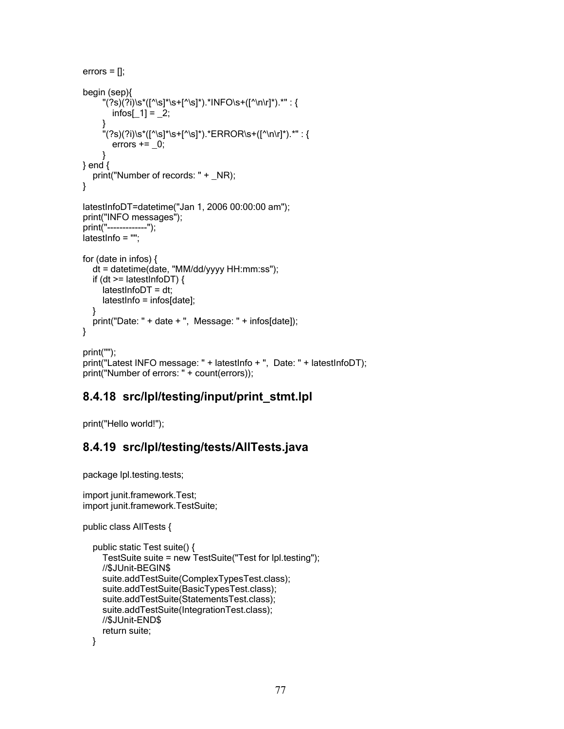```
errors = \left[\right];
begin (sep){
     "(?s)(?i)\s*([^\s]*\s+[^\s]*).*INFO\s+([^\n\r]*).*" : {
       infos[1] = 2;}
     "(?s)(?i)\s*([^\s]*\s+[^\s]*).*ERROR\s+([^\n\r]*).*" : {
       errors += 0;
     }
} end {
  print("Number of records: " + _NR);
}
latestInfoDT=datetime("Jan 1, 2006 00:00:00 am");
print("INFO messages");
print("-------------");
latestInfo = "";
for (date in infos) {
  dt = datetime(date, "MM/dd/yyyy HH:mm:ss");
  if (dt >= latestInfoDT) {
     latestInfoDT = dt;
     latestInfo = infos[date];
  }
  print("Date: " + date + ", Message: " + infos[date]);
}
print("");
print("Latest INFO message: " + latestInfo + ", Date: " + latestInfoDT);
print("Number of errors: " + count(errors));
```
#### **8.4.18 src/lpl/testing/input/print\_stmt.lpl**

print("Hello world!");

#### **8.4.19 src/lpl/testing/tests/AllTests.java**

package lpl.testing.tests;

```
import junit.framework.Test;
import junit.framework.TestSuite;
```

```
public class AllTests {
```

```
public static Test suite() {
  TestSuite suite = new TestSuite("Test for lpl.testing");
  //$JUnit-BEGIN$
  suite.addTestSuite(ComplexTypesTest.class);
  suite.addTestSuite(BasicTypesTest.class);
  suite.addTestSuite(StatementsTest.class);
  suite.addTestSuite(IntegrationTest.class);
  //$JUnit-END$
  return suite;
}
```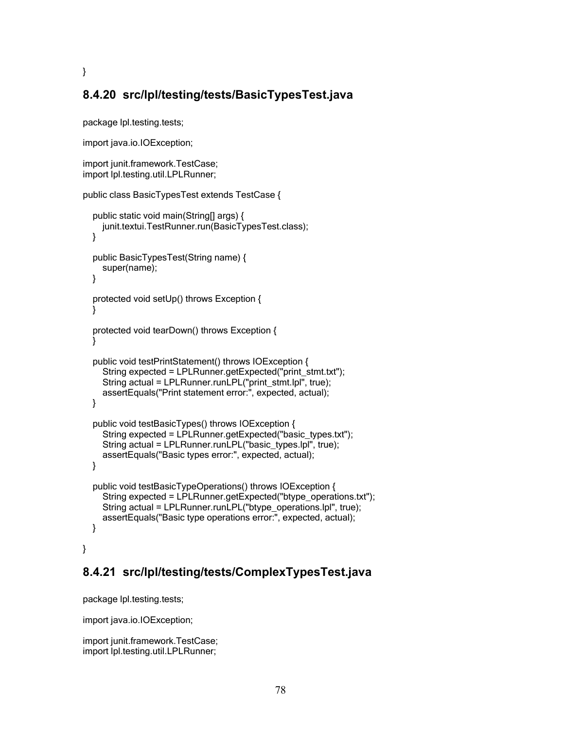# **8.4.20 src/lpl/testing/tests/BasicTypesTest.java**

package lpl.testing.tests;

}

```
import java.io.IOException;
```

```
import junit.framework.TestCase;
import lpl.testing.util.LPLRunner;
```

```
public class BasicTypesTest extends TestCase {
```

```
public static void main(String[] args) {
  junit.textui.TestRunner.run(BasicTypesTest.class);
}
public BasicTypesTest(String name) {
  super(name);
}
protected void setUp() throws Exception {
}
protected void tearDown() throws Exception {
}
public void testPrintStatement() throws IOException {
  String expected = LPLRunner.getExpected("print_stmt.txt");
  String actual = LPLRunner.runLPL("print_stmt.lpl", true);
  assertEquals("Print statement error:", expected, actual);
}
public void testBasicTypes() throws IOException {
  String expected = LPLRunner.getExpected("basic_types.txt");
  String actual = LPLRunner.runLPL("basic_types.lpl", true);
  assertEquals("Basic types error:", expected, actual);
}
public void testBasicTypeOperations() throws IOException {
  String expected = LPLRunner.getExpected("btype_operations.txt");
  String actual = LPLRunner.runLPL("btype_operations.lpl", true);
  assertEquals("Basic type operations error:", expected, actual);
}
```
}

# **8.4.21 src/lpl/testing/tests/ComplexTypesTest.java**

package lpl.testing.tests;

import java.io.IOException;

import junit.framework.TestCase; import lpl.testing.util.LPLRunner;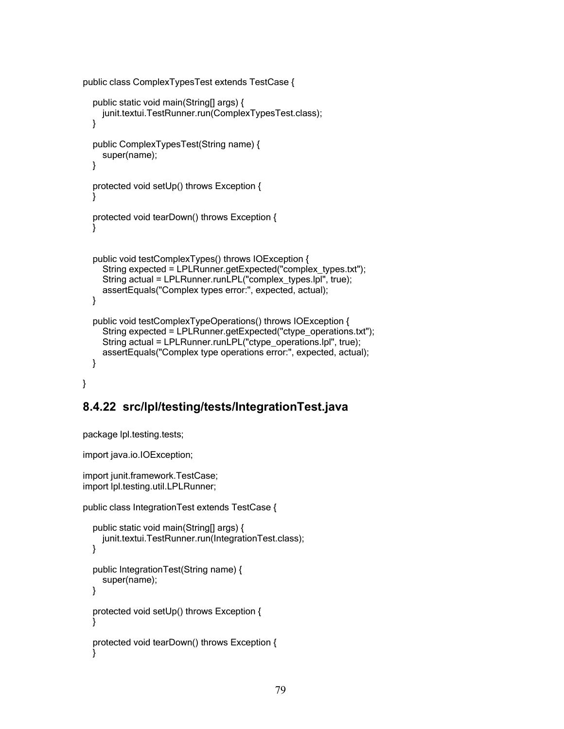```
public class ComplexTypesTest extends TestCase {
```

```
public static void main(String[] args) {
    junit.textui.TestRunner.run(ComplexTypesTest.class);
  }
  public ComplexTypesTest(String name) {
    super(name);
  }
  protected void setUp() throws Exception {
  }
  protected void tearDown() throws Exception {
  }
  public void testComplexTypes() throws IOException {
    String expected = LPLRunner.getExpected("complex_types.txt");
    String actual = LPLRunner.runLPL("complex_types.lpl", true);
    assertEquals("Complex types error:", expected, actual);
  }
  public void testComplexTypeOperations() throws IOException {
    String expected = LPLRunner.getExpected("ctype_operations.txt");
    String actual = LPLRunner.runLPL("ctype_operations.lpl", true);
    assertEquals("Complex type operations error:", expected, actual);
  }
}
```
# **8.4.22 src/lpl/testing/tests/IntegrationTest.java**

```
package lpl.testing.tests;
```
import java.io.IOException;

import junit.framework.TestCase; import lpl.testing.util.LPLRunner;

```
public class IntegrationTest extends TestCase {
```

```
public static void main(String[] args) {
  junit.textui.TestRunner.run(IntegrationTest.class);
}
public IntegrationTest(String name) {
  super(name);
}
protected void setUp() throws Exception {
}
protected void tearDown() throws Exception {
}
```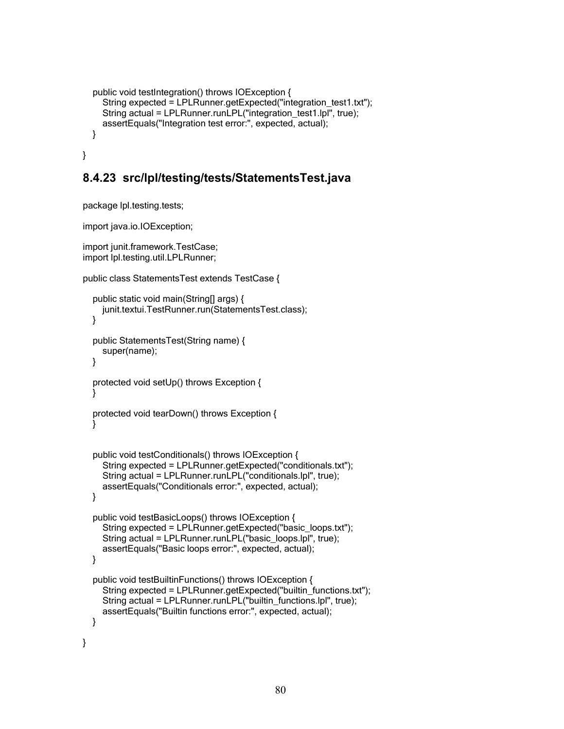```
public void testIntegration() throws IOException {
    String expected = LPLRunner.getExpected("integration_test1.txt");
    String actual = LPLRunner.runLPL("integration_test1.lpl", true);
    assertEquals("Integration test error:", expected, actual);
  }
}
```
#### **8.4.23 src/lpl/testing/tests/StatementsTest.java**

package lpl.testing.tests;

import java.io.IOException;

```
import junit.framework.TestCase;
import lpl.testing.util.LPLRunner;
```

```
public class StatementsTest extends TestCase {
```

```
public static void main(String[] args) {
    junit.textui.TestRunner.run(StatementsTest.class);
  }
  public StatementsTest(String name) {
    super(name);
  }
  protected void setUp() throws Exception {
  }
  protected void tearDown() throws Exception {
  }
  public void testConditionals() throws IOException {
    String expected = LPLRunner.getExpected("conditionals.txt");
    String actual = LPLRunner.runLPL("conditionals.lpl", true);
    assertEquals("Conditionals error:", expected, actual);
  }
  public void testBasicLoops() throws IOException {
    String expected = LPLRunner.getExpected("basic_loops.txt");
    String actual = LPLRunner.runLPL("basic_loops.lpl", true);
    assertEquals("Basic loops error:", expected, actual);
  }
  public void testBuiltinFunctions() throws IOException {
    String expected = LPLRunner.getExpected("builtin_functions.txt");
    String actual = LPLRunner.runLPL("builtin_functions.lpl", true);
    assertEquals("Builtin functions error:", expected, actual);
  }
}
```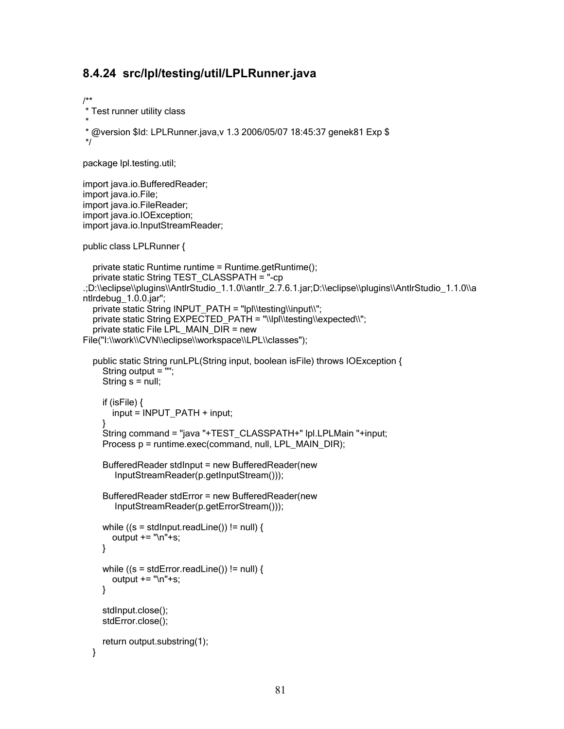#### **8.4.24 src/lpl/testing/util/LPLRunner.java**

```
/**
* Test runner utility class
*
* @version $Id: LPLRunner.java,v 1.3 2006/05/07 18:45:37 genek81 Exp $
*/
package lpl.testing.util;
import java.io.BufferedReader;
import java.io.File;
import java.io.FileReader;
import java.io.IOException;
import java.io.InputStreamReader;
public class LPLRunner {
  private static Runtime runtime = Runtime.getRuntime();
  private static String TEST_CLASSPATH = "-cp
.;D:\\eclipse\\plugins\\AntlrStudio_1.1.0\\antlr_2.7.6.1.jar;D:\\eclipse\\plugins\\AntlrStudio_1.1.0\\a
ntlrdebug_1.0.0.jar";
  private static String INPUT_PATH = "lpl\\testing\\input\\";
  private static String EXPECTED_PATH = "\\lpl\\testing\\expected\\";
  private static File LPL_MAIN_DIR = new
File("I:\\work\\CVN\\eclipse\\workspace\\LPL\\classes");
  public static String runLPL(String input, boolean isFile) throws IOException {
    String output = "";
    String s = null;
    if (isFile) {
       input = INPUT_PATH + input;
     }
    String command = "java "+TEST_CLASSPATH+" lpl.LPLMain "+input;
    Process p = runtime.exec(command, null, LPL_MAIN_DIR);
    BufferedReader stdInput = new BufferedReader(new
        InputStreamReader(p.getInputStream()));
    BufferedReader stdError = new BufferedReader(new
        InputStreamReader(p.getErrorStream()));
    while ((s = stdInput.readLine()) == null) {
       output += "\n"+s;
    }
    while ((s = stdError.readLine()) == null) {
       output += "\n"+s;
    }
```

```
return output.substring(1);
```
stdInput.close(); stdError.close();

```
}
```